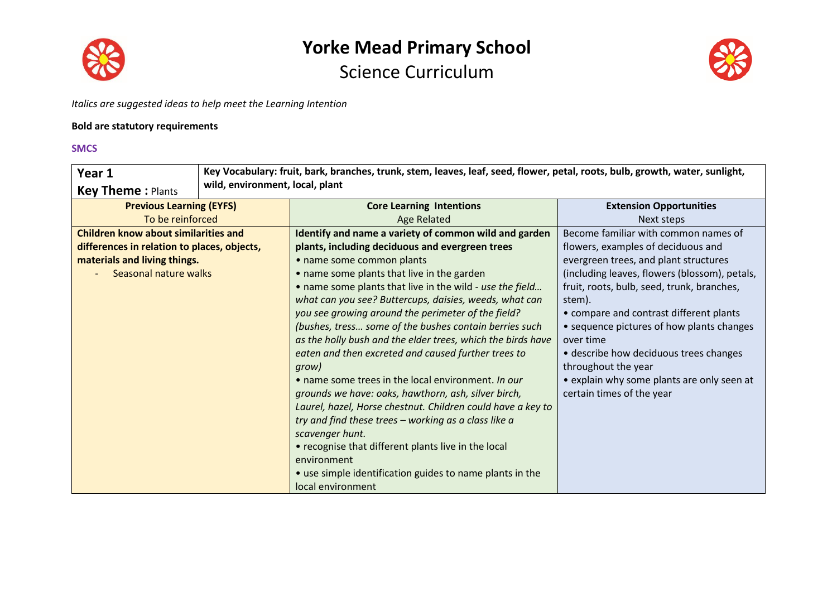



*Italics are suggested ideas to help meet the Learning Intention*

#### **Bold are statutory requirements**

#### **SMCS**

| Year 1                                      | Key Vocabulary: fruit, bark, branches, trunk, stem, leaves, leaf, seed, flower, petal, roots, bulb, growth, water, sunlight, |                                                             |                                               |
|---------------------------------------------|------------------------------------------------------------------------------------------------------------------------------|-------------------------------------------------------------|-----------------------------------------------|
| <b>Key Theme: Plants</b>                    | wild, environment, local, plant                                                                                              |                                                             |                                               |
| <b>Previous Learning (EYFS)</b>             |                                                                                                                              | <b>Core Learning Intentions</b>                             | <b>Extension Opportunities</b>                |
| To be reinforced                            |                                                                                                                              | <b>Age Related</b>                                          | Next steps                                    |
| <b>Children know about similarities and</b> |                                                                                                                              | Identify and name a variety of common wild and garden       | Become familiar with common names of          |
| differences in relation to places, objects, |                                                                                                                              | plants, including deciduous and evergreen trees             | flowers, examples of deciduous and            |
| materials and living things.                |                                                                                                                              | • name some common plants                                   | evergreen trees, and plant structures         |
| Seasonal nature walks                       |                                                                                                                              | • name some plants that live in the garden                  | (including leaves, flowers (blossom), petals, |
|                                             |                                                                                                                              | . name some plants that live in the wild - use the field    | fruit, roots, bulb, seed, trunk, branches,    |
|                                             |                                                                                                                              | what can you see? Buttercups, daisies, weeds, what can      | stem).                                        |
|                                             |                                                                                                                              | you see growing around the perimeter of the field?          | • compare and contrast different plants       |
|                                             |                                                                                                                              | (bushes, tress some of the bushes contain berries such      | • sequence pictures of how plants changes     |
|                                             |                                                                                                                              | as the holly bush and the elder trees, which the birds have | over time                                     |
|                                             |                                                                                                                              | eaten and then excreted and caused further trees to         | • describe how deciduous trees changes        |
|                                             |                                                                                                                              | grow)                                                       | throughout the year                           |
|                                             |                                                                                                                              | • name some trees in the local environment. In our          | • explain why some plants are only seen at    |
|                                             |                                                                                                                              | grounds we have: oaks, hawthorn, ash, silver birch,         | certain times of the year                     |
|                                             |                                                                                                                              | Laurel, hazel, Horse chestnut. Children could have a key to |                                               |
|                                             |                                                                                                                              | try and find these trees - working as a class like a        |                                               |
|                                             |                                                                                                                              | scavenger hunt.                                             |                                               |
|                                             |                                                                                                                              | • recognise that different plants live in the local         |                                               |
|                                             |                                                                                                                              | environment                                                 |                                               |
|                                             |                                                                                                                              | • use simple identification guides to name plants in the    |                                               |
|                                             |                                                                                                                              | local environment                                           |                                               |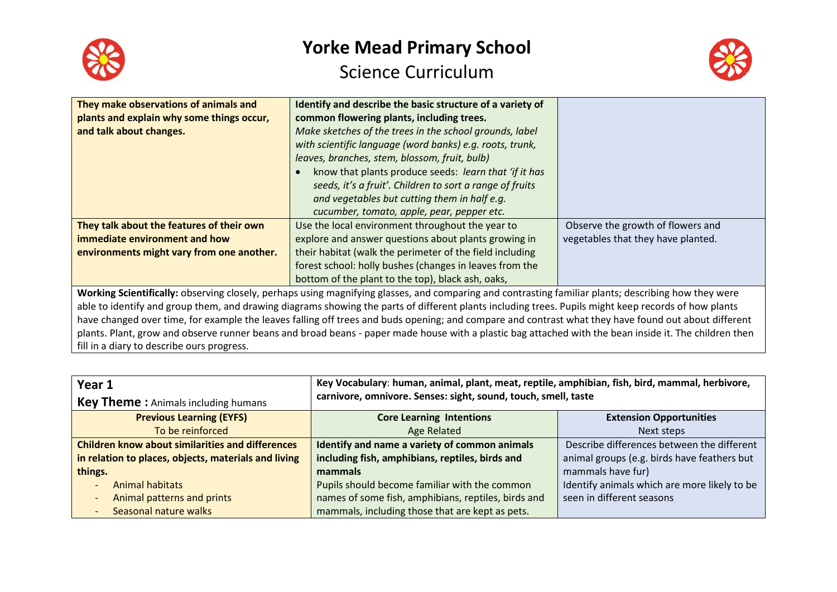



| They make observations of animals and                                                                                                                | Identify and describe the basic structure of a variety of |                                    |
|------------------------------------------------------------------------------------------------------------------------------------------------------|-----------------------------------------------------------|------------------------------------|
| plants and explain why some things occur,                                                                                                            | common flowering plants, including trees.                 |                                    |
| and talk about changes.                                                                                                                              | Make sketches of the trees in the school grounds, label   |                                    |
|                                                                                                                                                      | with scientific language (word banks) e.g. roots, trunk,  |                                    |
|                                                                                                                                                      | leaves, branches, stem, blossom, fruit, bulb)             |                                    |
|                                                                                                                                                      | know that plants produce seeds: learn that 'if it has     |                                    |
|                                                                                                                                                      | seeds, it's a fruit'. Children to sort a range of fruits  |                                    |
|                                                                                                                                                      | and vegetables but cutting them in half e.g.              |                                    |
|                                                                                                                                                      | cucumber, tomato, apple, pear, pepper etc.                |                                    |
| They talk about the features of their own                                                                                                            | Use the local environment throughout the year to          | Observe the growth of flowers and  |
| immediate environment and how                                                                                                                        | explore and answer questions about plants growing in      | vegetables that they have planted. |
| environments might vary from one another.                                                                                                            | their habitat (walk the perimeter of the field including  |                                    |
|                                                                                                                                                      | forest school: holly bushes (changes in leaves from the   |                                    |
|                                                                                                                                                      | bottom of the plant to the top), black ash, oaks,         |                                    |
| Working Scientifically: observing closely, perhaps using magnifying glasses, and comparing and contrasting familiar plants; describing how they were |                                                           |                                    |
| able to identify and group them, and drawing diagrams showing the parts of different plants including trees. Pupils might keep records of how plants |                                                           |                                    |
| have changed over time, for example the leaves falling off trees and buds opening; and compare and contrast what they have found out about different |                                                           |                                    |
|                                                                                                                                                      |                                                           |                                    |

plants. Plant, grow and observe runner beans and broad beans - paper made house with a plastic bag attached with the bean inside it. The children then fill in a diary to describe ours progress.

| Year 1                                                  | Key Vocabulary: human, animal, plant, meat, reptile, amphibian, fish, bird, mammal, herbivore,<br>carnivore, omnivore. Senses: sight, sound, touch, smell, taste |                                              |
|---------------------------------------------------------|------------------------------------------------------------------------------------------------------------------------------------------------------------------|----------------------------------------------|
| <b>Key Theme:</b> Animals including humans              |                                                                                                                                                                  |                                              |
| <b>Previous Learning (EYFS)</b>                         | <b>Core Learning Intentions</b>                                                                                                                                  | <b>Extension Opportunities</b>               |
| To be reinforced                                        | <b>Age Related</b>                                                                                                                                               | Next steps                                   |
| <b>Children know about similarities and differences</b> | Identify and name a variety of common animals                                                                                                                    | Describe differences between the different   |
| in relation to places, objects, materials and living    | including fish, amphibians, reptiles, birds and                                                                                                                  | animal groups (e.g. birds have feathers but  |
| things.                                                 | mammals                                                                                                                                                          | mammals have fur)                            |
| Animal habitats                                         | Pupils should become familiar with the common                                                                                                                    | Identify animals which are more likely to be |
| Animal patterns and prints                              | names of some fish, amphibians, reptiles, birds and                                                                                                              | seen in different seasons                    |
| Seasonal nature walks                                   | mammals, including those that are kept as pets.                                                                                                                  |                                              |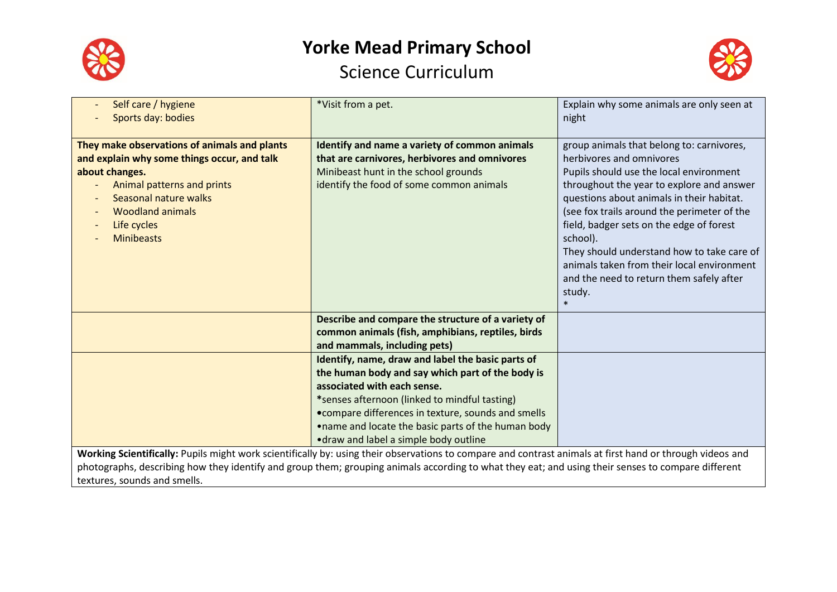



| Self care / hygiene<br>Sports day: bodies                                                                                                                                                                                                                       | *Visit from a pet.                                                                                                                                                                                                                                                                                                                           | Explain why some animals are only seen at<br>night                                                                                                                                                                                                                                                                                                                                                                                                                            |
|-----------------------------------------------------------------------------------------------------------------------------------------------------------------------------------------------------------------------------------------------------------------|----------------------------------------------------------------------------------------------------------------------------------------------------------------------------------------------------------------------------------------------------------------------------------------------------------------------------------------------|-------------------------------------------------------------------------------------------------------------------------------------------------------------------------------------------------------------------------------------------------------------------------------------------------------------------------------------------------------------------------------------------------------------------------------------------------------------------------------|
| They make observations of animals and plants<br>and explain why some things occur, and talk<br>about changes.<br>Animal patterns and prints<br>Seasonal nature walks<br><b>Woodland animals</b><br>Life cycles<br>$\overline{\phantom{0}}$<br><b>Minibeasts</b> | Identify and name a variety of common animals<br>that are carnivores, herbivores and omnivores<br>Minibeast hunt in the school grounds<br>identify the food of some common animals                                                                                                                                                           | group animals that belong to: carnivores,<br>herbivores and omnivores<br>Pupils should use the local environment<br>throughout the year to explore and answer<br>questions about animals in their habitat.<br>(see fox trails around the perimeter of the<br>field, badger sets on the edge of forest<br>school).<br>They should understand how to take care of<br>animals taken from their local environment<br>and the need to return them safely after<br>study.<br>$\ast$ |
|                                                                                                                                                                                                                                                                 | Describe and compare the structure of a variety of<br>common animals (fish, amphibians, reptiles, birds<br>and mammals, including pets)                                                                                                                                                                                                      |                                                                                                                                                                                                                                                                                                                                                                                                                                                                               |
|                                                                                                                                                                                                                                                                 | Identify, name, draw and label the basic parts of<br>the human body and say which part of the body is<br>associated with each sense.<br>*senses afternoon (linked to mindful tasting)<br>• compare differences in texture, sounds and smells<br>.name and locate the basic parts of the human body<br>• draw and label a simple body outline |                                                                                                                                                                                                                                                                                                                                                                                                                                                                               |
|                                                                                                                                                                                                                                                                 | Working Scientifically: Pupils might work scientifically by: using their observations to compare and contrast animals at first hand or through videos and<br>the contract of the contract of the contract of the contract of the contract of the contract of the contract of                                                                 |                                                                                                                                                                                                                                                                                                                                                                                                                                                                               |

photographs, describing how they identify and group them; grouping animals according to what they eat; and using their senses to compare different textures, sounds and smells.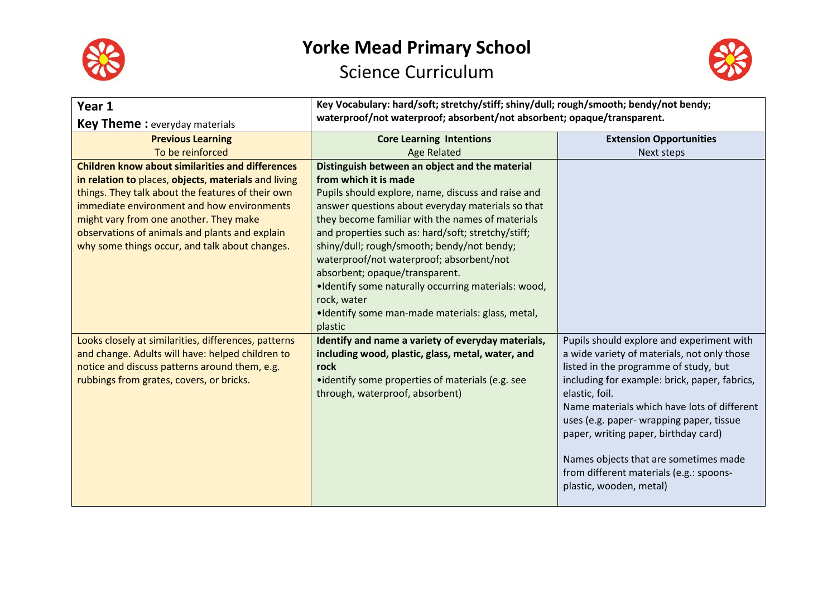



| Year 1<br><b>Key Theme:</b> everyday materials                                                                                                                                                                                                                                                                                                                   | Key Vocabulary: hard/soft; stretchy/stiff; shiny/dull; rough/smooth; bendy/not bendy;<br>waterproof/not waterproof; absorbent/not absorbent; opaque/transparent.                                                                                                                                                                                                                                                                                                                                                                                              |                                                                                                                                                                                                                                                                                                                                                                                                                                                        |
|------------------------------------------------------------------------------------------------------------------------------------------------------------------------------------------------------------------------------------------------------------------------------------------------------------------------------------------------------------------|---------------------------------------------------------------------------------------------------------------------------------------------------------------------------------------------------------------------------------------------------------------------------------------------------------------------------------------------------------------------------------------------------------------------------------------------------------------------------------------------------------------------------------------------------------------|--------------------------------------------------------------------------------------------------------------------------------------------------------------------------------------------------------------------------------------------------------------------------------------------------------------------------------------------------------------------------------------------------------------------------------------------------------|
| <b>Previous Learning</b>                                                                                                                                                                                                                                                                                                                                         | <b>Core Learning Intentions</b>                                                                                                                                                                                                                                                                                                                                                                                                                                                                                                                               | <b>Extension Opportunities</b>                                                                                                                                                                                                                                                                                                                                                                                                                         |
| To be reinforced                                                                                                                                                                                                                                                                                                                                                 | <b>Age Related</b>                                                                                                                                                                                                                                                                                                                                                                                                                                                                                                                                            | Next steps                                                                                                                                                                                                                                                                                                                                                                                                                                             |
| <b>Children know about similarities and differences</b><br>in relation to places, objects, materials and living<br>things. They talk about the features of their own<br>immediate environment and how environments<br>might vary from one another. They make<br>observations of animals and plants and explain<br>why some things occur, and talk about changes. | Distinguish between an object and the material<br>from which it is made<br>Pupils should explore, name, discuss and raise and<br>answer questions about everyday materials so that<br>they become familiar with the names of materials<br>and properties such as: hard/soft; stretchy/stiff;<br>shiny/dull; rough/smooth; bendy/not bendy;<br>waterproof/not waterproof; absorbent/not<br>absorbent; opaque/transparent.<br>.Identify some naturally occurring materials: wood,<br>rock, water<br>·Identify some man-made materials: glass, metal,<br>plastic |                                                                                                                                                                                                                                                                                                                                                                                                                                                        |
| Looks closely at similarities, differences, patterns<br>and change. Adults will have: helped children to<br>notice and discuss patterns around them, e.g.<br>rubbings from grates, covers, or bricks.                                                                                                                                                            | Identify and name a variety of everyday materials,<br>including wood, plastic, glass, metal, water, and<br>rock<br>• identify some properties of materials (e.g. see<br>through, waterproof, absorbent)                                                                                                                                                                                                                                                                                                                                                       | Pupils should explore and experiment with<br>a wide variety of materials, not only those<br>listed in the programme of study, but<br>including for example: brick, paper, fabrics,<br>elastic, foil.<br>Name materials which have lots of different<br>uses (e.g. paper- wrapping paper, tissue<br>paper, writing paper, birthday card)<br>Names objects that are sometimes made<br>from different materials (e.g.: spoons-<br>plastic, wooden, metal) |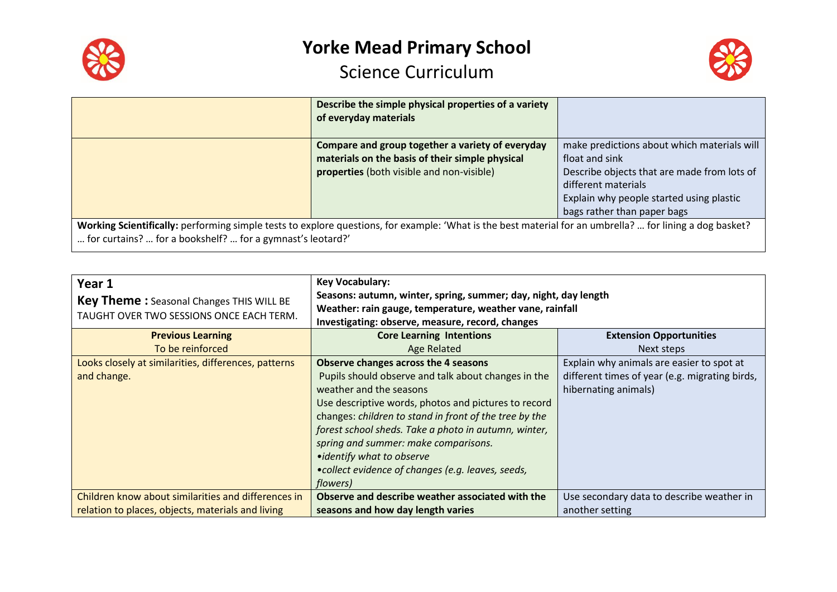



|                                                                                                                                                                                                                        | Describe the simple physical properties of a variety<br>of everyday materials                                                                    |                                                                                                                                                                                                                |
|------------------------------------------------------------------------------------------------------------------------------------------------------------------------------------------------------------------------|--------------------------------------------------------------------------------------------------------------------------------------------------|----------------------------------------------------------------------------------------------------------------------------------------------------------------------------------------------------------------|
|                                                                                                                                                                                                                        | Compare and group together a variety of everyday<br>materials on the basis of their simple physical<br>properties (both visible and non-visible) | make predictions about which materials will<br>float and sink<br>Describe objects that are made from lots of<br>different materials<br>Explain why people started using plastic<br>bags rather than paper bags |
| Working Scientifically: performing simple tests to explore questions, for example: 'What is the best material for an umbrella?  for lining a dog basket?<br>for curtains?  for a bookshelf?  for a gymnast's leotard?' |                                                                                                                                                  |                                                                                                                                                                                                                |

| Year 1<br><b>Key Theme:</b> Seasonal Changes THIS WILL BE<br>TAUGHT OVER TWO SESSIONS ONCE EACH TERM. | <b>Key Vocabulary:</b><br>Seasons: autumn, winter, spring, summer; day, night, day length<br>Weather: rain gauge, temperature, weather vane, rainfall<br>Investigating: observe, measure, record, changes                                                                                                                                                                                                                               |                                                                                                                     |
|-------------------------------------------------------------------------------------------------------|-----------------------------------------------------------------------------------------------------------------------------------------------------------------------------------------------------------------------------------------------------------------------------------------------------------------------------------------------------------------------------------------------------------------------------------------|---------------------------------------------------------------------------------------------------------------------|
| <b>Previous Learning</b>                                                                              | <b>Core Learning Intentions</b>                                                                                                                                                                                                                                                                                                                                                                                                         | <b>Extension Opportunities</b>                                                                                      |
| To be reinforced                                                                                      | Age Related                                                                                                                                                                                                                                                                                                                                                                                                                             | Next steps                                                                                                          |
| Looks closely at similarities, differences, patterns<br>and change.                                   | Observe changes across the 4 seasons<br>Pupils should observe and talk about changes in the<br>weather and the seasons<br>Use descriptive words, photos and pictures to record<br>changes: children to stand in front of the tree by the<br>forest school sheds. Take a photo in autumn, winter,<br>spring and summer: make comparisons.<br>• identify what to observe<br>•collect evidence of changes (e.g. leaves, seeds,<br>flowers) | Explain why animals are easier to spot at<br>different times of year (e.g. migrating birds,<br>hibernating animals) |
| Children know about similarities and differences in                                                   | Observe and describe weather associated with the                                                                                                                                                                                                                                                                                                                                                                                        | Use secondary data to describe weather in                                                                           |
| relation to places, objects, materials and living                                                     | seasons and how day length varies                                                                                                                                                                                                                                                                                                                                                                                                       | another setting                                                                                                     |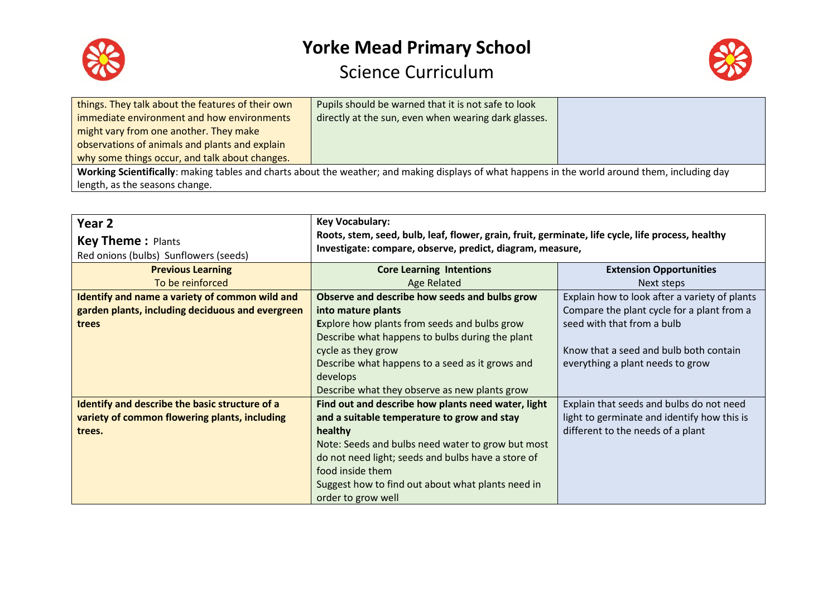



| things. They talk about the features of their own                                                                                               | Pupils should be warned that it is not safe to look  |  |  |
|-------------------------------------------------------------------------------------------------------------------------------------------------|------------------------------------------------------|--|--|
| immediate environment and how environments                                                                                                      | directly at the sun, even when wearing dark glasses. |  |  |
| might vary from one another. They make                                                                                                          |                                                      |  |  |
| observations of animals and plants and explain                                                                                                  |                                                      |  |  |
| why some things occur, and talk about changes.                                                                                                  |                                                      |  |  |
| Working Scientifically: making tables and charts about the weather; and making displays of what happens in the world around them, including day |                                                      |  |  |
| length, as the seasons change.                                                                                                                  |                                                      |  |  |

| Year <sub>2</sub>                                | <b>Key Vocabulary:</b>                                                                            |                                               |
|--------------------------------------------------|---------------------------------------------------------------------------------------------------|-----------------------------------------------|
| <b>Key Theme: Plants</b>                         | Roots, stem, seed, bulb, leaf, flower, grain, fruit, germinate, life cycle, life process, healthy |                                               |
| Red onions (bulbs) Sunflowers (seeds)            | Investigate: compare, observe, predict, diagram, measure,                                         |                                               |
| <b>Previous Learning</b>                         | <b>Core Learning Intentions</b>                                                                   | <b>Extension Opportunities</b>                |
| To be reinforced                                 | Age Related                                                                                       | Next steps                                    |
| Identify and name a variety of common wild and   | Observe and describe how seeds and bulbs grow                                                     | Explain how to look after a variety of plants |
| garden plants, including deciduous and evergreen | into mature plants                                                                                | Compare the plant cycle for a plant from a    |
| trees                                            | Explore how plants from seeds and bulbs grow                                                      | seed with that from a bulb                    |
|                                                  | Describe what happens to bulbs during the plant                                                   |                                               |
|                                                  | cycle as they grow                                                                                | Know that a seed and bulb both contain        |
|                                                  | Describe what happens to a seed as it grows and                                                   | everything a plant needs to grow              |
|                                                  | develops                                                                                          |                                               |
|                                                  | Describe what they observe as new plants grow                                                     |                                               |
| Identify and describe the basic structure of a   | Find out and describe how plants need water, light                                                | Explain that seeds and bulbs do not need      |
| variety of common flowering plants, including    | and a suitable temperature to grow and stay                                                       | light to germinate and identify how this is   |
| trees.                                           | healthy                                                                                           | different to the needs of a plant             |
|                                                  | Note: Seeds and bulbs need water to grow but most                                                 |                                               |
|                                                  | do not need light; seeds and bulbs have a store of                                                |                                               |
|                                                  | food inside them                                                                                  |                                               |
|                                                  | Suggest how to find out about what plants need in                                                 |                                               |
|                                                  | order to grow well                                                                                |                                               |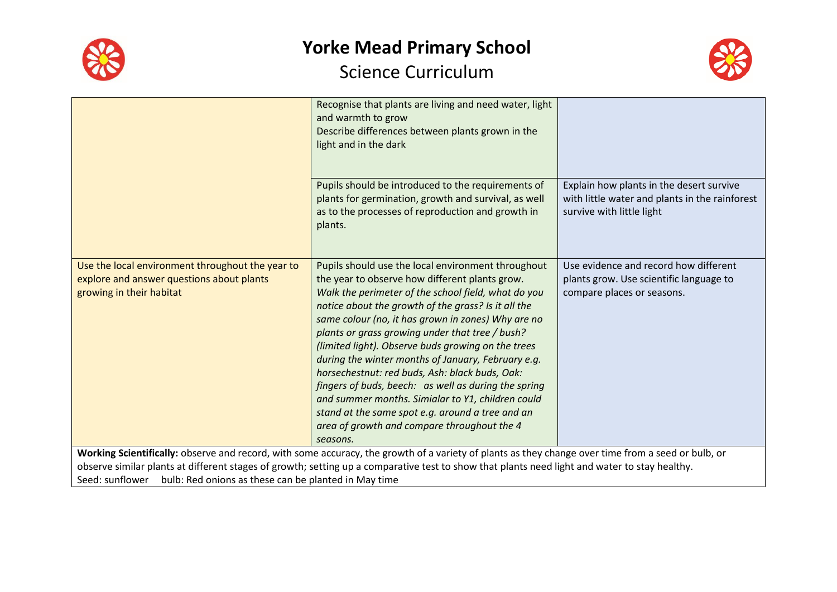



|                                                                                                                                                    | Recognise that plants are living and need water, light<br>and warmth to grow<br>Describe differences between plants grown in the<br>light and in the dark                                                                                                                                                                                                                                                                                                                                                                                                                                                                                                                                                             |                                                                                                                         |  |
|----------------------------------------------------------------------------------------------------------------------------------------------------|-----------------------------------------------------------------------------------------------------------------------------------------------------------------------------------------------------------------------------------------------------------------------------------------------------------------------------------------------------------------------------------------------------------------------------------------------------------------------------------------------------------------------------------------------------------------------------------------------------------------------------------------------------------------------------------------------------------------------|-------------------------------------------------------------------------------------------------------------------------|--|
|                                                                                                                                                    | Pupils should be introduced to the requirements of<br>plants for germination, growth and survival, as well<br>as to the processes of reproduction and growth in<br>plants.                                                                                                                                                                                                                                                                                                                                                                                                                                                                                                                                            | Explain how plants in the desert survive<br>with little water and plants in the rainforest<br>survive with little light |  |
| Use the local environment throughout the year to<br>explore and answer questions about plants<br>growing in their habitat                          | Pupils should use the local environment throughout<br>the year to observe how different plants grow.<br>Walk the perimeter of the school field, what do you<br>notice about the growth of the grass? Is it all the<br>same colour (no, it has grown in zones) Why are no<br>plants or grass growing under that tree / bush?<br>(limited light). Observe buds growing on the trees<br>during the winter months of January, February e.g.<br>horsechestnut: red buds, Ash: black buds, Oak:<br>fingers of buds, beech: as well as during the spring<br>and summer months. Simialar to Y1, children could<br>stand at the same spot e.g. around a tree and an<br>area of growth and compare throughout the 4<br>seasons. | Use evidence and record how different<br>plants grow. Use scientific language to<br>compare places or seasons.          |  |
| Working Scientifically: observe and record, with some accuracy, the growth of a variety of plants as they change over time from a seed or bulb, or |                                                                                                                                                                                                                                                                                                                                                                                                                                                                                                                                                                                                                                                                                                                       |                                                                                                                         |  |
| observe similar plants at different stages of growth; setting up a comparative test to show that plants need light and water to stay healthy.      |                                                                                                                                                                                                                                                                                                                                                                                                                                                                                                                                                                                                                                                                                                                       |                                                                                                                         |  |
| Seed: sunflower bulb: Red onions as these can be planted in May time                                                                               |                                                                                                                                                                                                                                                                                                                                                                                                                                                                                                                                                                                                                                                                                                                       |                                                                                                                         |  |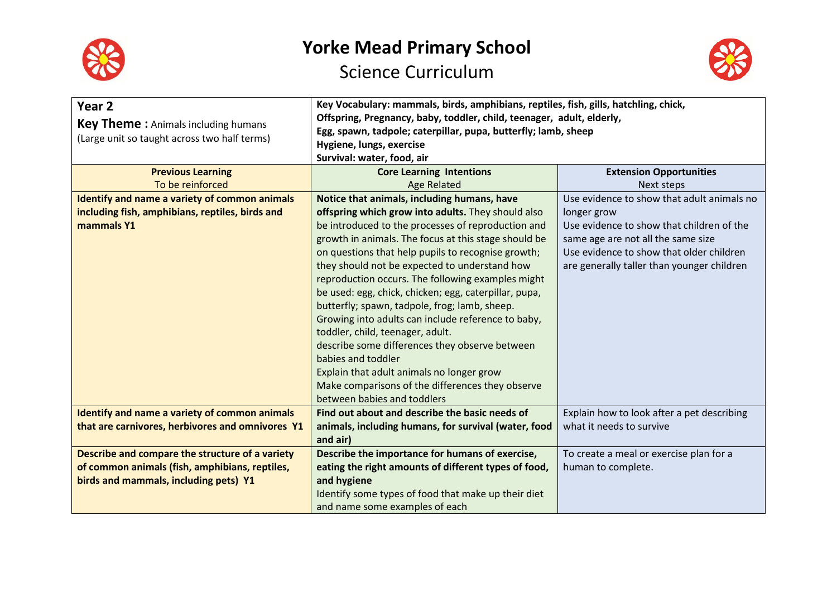



| Year <sub>2</sub><br><b>Key Theme:</b> Animals including humans<br>(Large unit so taught across two half terms) | Key Vocabulary: mammals, birds, amphibians, reptiles, fish, gills, hatchling, chick,<br>Offspring, Pregnancy, baby, toddler, child, teenager, adult, elderly,<br>Egg, spawn, tadpole; caterpillar, pupa, butterfly; lamb, sheep<br>Hygiene, lungs, exercise<br>Survival: water, food, air                                                                                                                                                                                                                                                                                                                                                           |                                                                                                                                                                           |  |
|-----------------------------------------------------------------------------------------------------------------|-----------------------------------------------------------------------------------------------------------------------------------------------------------------------------------------------------------------------------------------------------------------------------------------------------------------------------------------------------------------------------------------------------------------------------------------------------------------------------------------------------------------------------------------------------------------------------------------------------------------------------------------------------|---------------------------------------------------------------------------------------------------------------------------------------------------------------------------|--|
| <b>Previous Learning</b>                                                                                        | <b>Core Learning Intentions</b>                                                                                                                                                                                                                                                                                                                                                                                                                                                                                                                                                                                                                     | <b>Extension Opportunities</b>                                                                                                                                            |  |
| To be reinforced                                                                                                | <b>Age Related</b>                                                                                                                                                                                                                                                                                                                                                                                                                                                                                                                                                                                                                                  | Next steps                                                                                                                                                                |  |
| Identify and name a variety of common animals                                                                   | Notice that animals, including humans, have                                                                                                                                                                                                                                                                                                                                                                                                                                                                                                                                                                                                         | Use evidence to show that adult animals no                                                                                                                                |  |
| including fish, amphibians, reptiles, birds and                                                                 | offspring which grow into adults. They should also                                                                                                                                                                                                                                                                                                                                                                                                                                                                                                                                                                                                  | longer grow                                                                                                                                                               |  |
| mammals Y1                                                                                                      | be introduced to the processes of reproduction and<br>growth in animals. The focus at this stage should be<br>on questions that help pupils to recognise growth;<br>they should not be expected to understand how<br>reproduction occurs. The following examples might<br>be used: egg, chick, chicken; egg, caterpillar, pupa,<br>butterfly; spawn, tadpole, frog; lamb, sheep.<br>Growing into adults can include reference to baby,<br>toddler, child, teenager, adult.<br>describe some differences they observe between<br>babies and toddler<br>Explain that adult animals no longer grow<br>Make comparisons of the differences they observe | Use evidence to show that children of the<br>same age are not all the same size<br>Use evidence to show that older children<br>are generally taller than younger children |  |
|                                                                                                                 | between babies and toddlers                                                                                                                                                                                                                                                                                                                                                                                                                                                                                                                                                                                                                         |                                                                                                                                                                           |  |
| Identify and name a variety of common animals<br>that are carnivores, herbivores and omnivores Y1               | Find out about and describe the basic needs of<br>animals, including humans, for survival (water, food<br>and air)                                                                                                                                                                                                                                                                                                                                                                                                                                                                                                                                  | Explain how to look after a pet describing<br>what it needs to survive                                                                                                    |  |
| Describe and compare the structure of a variety                                                                 | Describe the importance for humans of exercise,                                                                                                                                                                                                                                                                                                                                                                                                                                                                                                                                                                                                     | To create a meal or exercise plan for a                                                                                                                                   |  |
| of common animals (fish, amphibians, reptiles,                                                                  | eating the right amounts of different types of food,                                                                                                                                                                                                                                                                                                                                                                                                                                                                                                                                                                                                | human to complete.                                                                                                                                                        |  |
| birds and mammals, including pets) Y1                                                                           | and hygiene                                                                                                                                                                                                                                                                                                                                                                                                                                                                                                                                                                                                                                         |                                                                                                                                                                           |  |
|                                                                                                                 | Identify some types of food that make up their diet                                                                                                                                                                                                                                                                                                                                                                                                                                                                                                                                                                                                 |                                                                                                                                                                           |  |
|                                                                                                                 | and name some examples of each                                                                                                                                                                                                                                                                                                                                                                                                                                                                                                                                                                                                                      |                                                                                                                                                                           |  |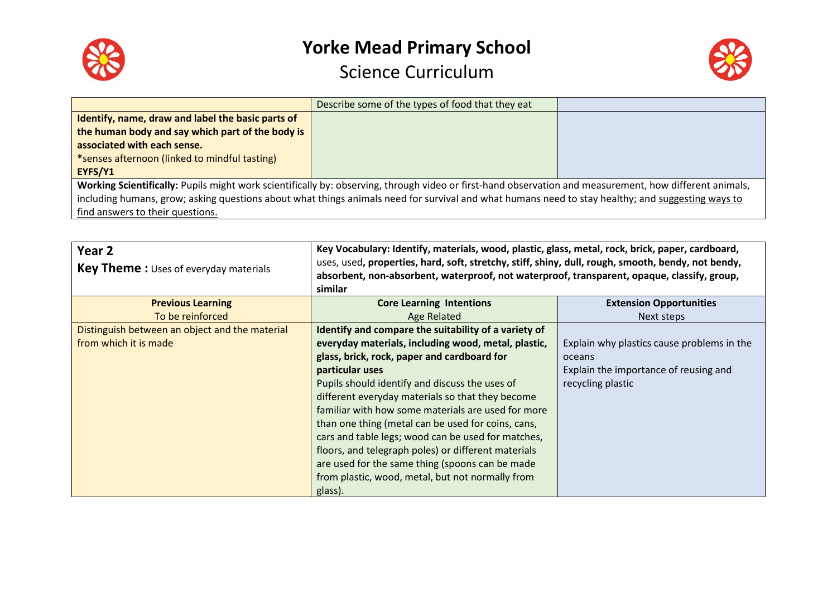



|                                                                                                                                                         | Describe some of the types of food that they eat |  |
|---------------------------------------------------------------------------------------------------------------------------------------------------------|--------------------------------------------------|--|
| Identify, name, draw and label the basic parts of                                                                                                       |                                                  |  |
| the human body and say which part of the body is                                                                                                        |                                                  |  |
| associated with each sense.                                                                                                                             |                                                  |  |
| *senses afternoon (linked to mindful tasting)                                                                                                           |                                                  |  |
| EYFS/Y1                                                                                                                                                 |                                                  |  |
| Working Scientifically: Pupils might work scientifically by: observing, through video or first-hand observation and measurement, how different animals, |                                                  |  |
| including humans, grow; asking questions about what things animals need for survival and what humans need to stay healthy; and suggesting ways to       |                                                  |  |
| find answers to their questions.                                                                                                                        |                                                  |  |

| Year <sub>2</sub><br>Key Theme: Uses of everyday materials | Key Vocabulary: Identify, materials, wood, plastic, glass, metal, rock, brick, paper, cardboard,<br>uses, used, properties, hard, soft, stretchy, stiff, shiny, dull, rough, smooth, bendy, not bendy,<br>absorbent, non-absorbent, waterproof, not waterproof, transparent, opaque, classify, group,<br>similar |                                            |
|------------------------------------------------------------|------------------------------------------------------------------------------------------------------------------------------------------------------------------------------------------------------------------------------------------------------------------------------------------------------------------|--------------------------------------------|
| <b>Previous Learning</b>                                   | <b>Core Learning Intentions</b>                                                                                                                                                                                                                                                                                  | <b>Extension Opportunities</b>             |
| To be reinforced                                           | Age Related                                                                                                                                                                                                                                                                                                      | Next steps                                 |
| Distinguish between an object and the material             | Identify and compare the suitability of a variety of                                                                                                                                                                                                                                                             |                                            |
| from which it is made                                      | everyday materials, including wood, metal, plastic,                                                                                                                                                                                                                                                              | Explain why plastics cause problems in the |
|                                                            | glass, brick, rock, paper and cardboard for                                                                                                                                                                                                                                                                      | oceans                                     |
|                                                            | particular uses                                                                                                                                                                                                                                                                                                  | Explain the importance of reusing and      |
|                                                            | Pupils should identify and discuss the uses of                                                                                                                                                                                                                                                                   | recycling plastic                          |
|                                                            | different everyday materials so that they become                                                                                                                                                                                                                                                                 |                                            |
|                                                            | familiar with how some materials are used for more                                                                                                                                                                                                                                                               |                                            |
|                                                            | than one thing (metal can be used for coins, cans,                                                                                                                                                                                                                                                               |                                            |
|                                                            | cars and table legs; wood can be used for matches,                                                                                                                                                                                                                                                               |                                            |
|                                                            | floors, and telegraph poles) or different materials                                                                                                                                                                                                                                                              |                                            |
|                                                            | are used for the same thing (spoons can be made                                                                                                                                                                                                                                                                  |                                            |
|                                                            | from plastic, wood, metal, but not normally from                                                                                                                                                                                                                                                                 |                                            |
|                                                            | glass).                                                                                                                                                                                                                                                                                                          |                                            |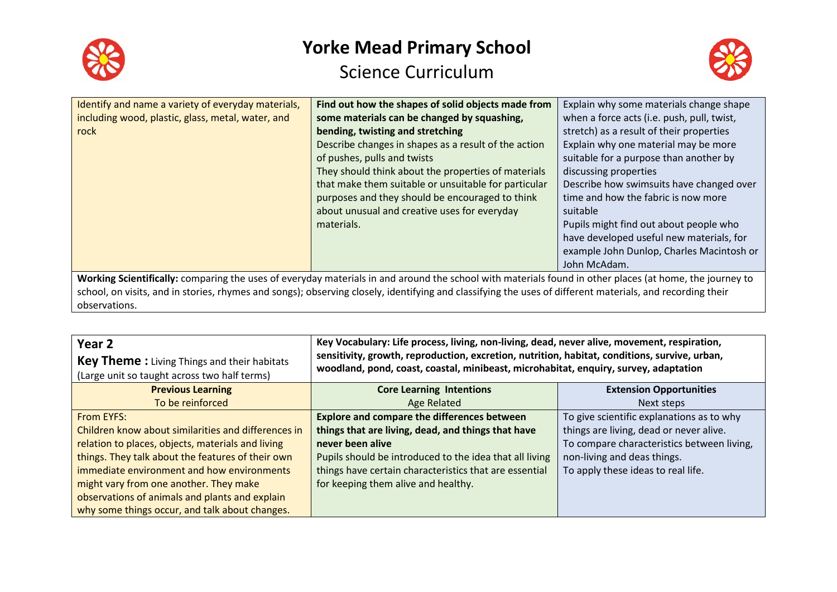



| Identify and name a variety of everyday materials,                                                                                                        | Find out how the shapes of solid objects made from   | Explain why some materials change shape    |
|-----------------------------------------------------------------------------------------------------------------------------------------------------------|------------------------------------------------------|--------------------------------------------|
| including wood, plastic, glass, metal, water, and                                                                                                         | some materials can be changed by squashing,          | when a force acts (i.e. push, pull, twist, |
| rock                                                                                                                                                      | bending, twisting and stretching                     | stretch) as a result of their properties   |
|                                                                                                                                                           | Describe changes in shapes as a result of the action | Explain why one material may be more       |
|                                                                                                                                                           | of pushes, pulls and twists                          | suitable for a purpose than another by     |
|                                                                                                                                                           | They should think about the properties of materials  | discussing properties                      |
|                                                                                                                                                           | that make them suitable or unsuitable for particular | Describe how swimsuits have changed over   |
|                                                                                                                                                           | purposes and they should be encouraged to think      | time and how the fabric is now more        |
|                                                                                                                                                           | about unusual and creative uses for everyday         | suitable                                   |
|                                                                                                                                                           | materials.                                           | Pupils might find out about people who     |
|                                                                                                                                                           |                                                      | have developed useful new materials, for   |
|                                                                                                                                                           |                                                      | example John Dunlop, Charles Macintosh or  |
|                                                                                                                                                           |                                                      | John McAdam.                               |
| Working Scientifically: comparing the uses of everyday materials in and around the school with materials found in other places (at home, the journey to   |                                                      |                                            |
| school, on visits, and in stories, rhymes and songs); observing closely, identifying and classifying the uses of different materials, and recording their |                                                      |                                            |

observations.

| Year 2<br><b>Key Theme:</b> Living Things and their habitats<br>(Large unit so taught across two half terms) | Key Vocabulary: Life process, living, non-living, dead, never alive, movement, respiration,<br>sensitivity, growth, reproduction, excretion, nutrition, habitat, conditions, survive, urban,<br>woodland, pond, coast, coastal, minibeast, microhabitat, enquiry, survey, adaptation |                                |
|--------------------------------------------------------------------------------------------------------------|--------------------------------------------------------------------------------------------------------------------------------------------------------------------------------------------------------------------------------------------------------------------------------------|--------------------------------|
| <b>Previous Learning</b>                                                                                     | <b>Core Learning Intentions</b>                                                                                                                                                                                                                                                      | <b>Extension Opportunities</b> |
| Talka sainfasaaal                                                                                            | Age Delated                                                                                                                                                                                                                                                                          | North shops                    |

|                                                     | $\sim$                                                  | $P_{\text{A}}$                             |
|-----------------------------------------------------|---------------------------------------------------------|--------------------------------------------|
| To be reinforced                                    | Age Related                                             | Next steps                                 |
| <b>From EYFS:</b>                                   | <b>Explore and compare the differences between</b>      | To give scientific explanations as to why  |
| Children know about similarities and differences in | things that are living, dead, and things that have      | things are living, dead or never alive.    |
| relation to places, objects, materials and living   | never been alive                                        | To compare characteristics between living, |
| things. They talk about the features of their own   | Pupils should be introduced to the idea that all living | non-living and deas things.                |
| immediate environment and how environments          | things have certain characteristics that are essential  | To apply these ideas to real life.         |
| might vary from one another. They make              | for keeping them alive and healthy.                     |                                            |
| observations of animals and plants and explain      |                                                         |                                            |
| why some things occur, and talk about changes.      |                                                         |                                            |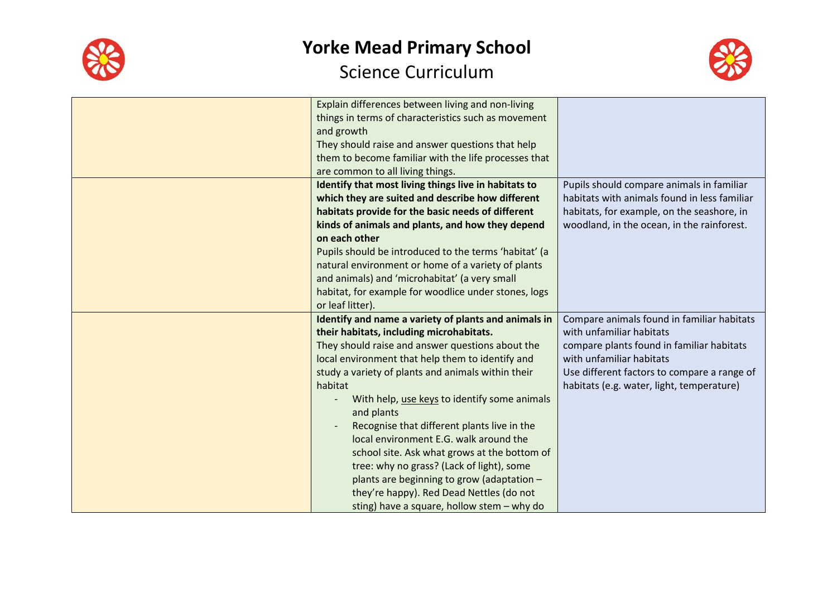



| Explain differences between living and non-living     |                                              |
|-------------------------------------------------------|----------------------------------------------|
| things in terms of characteristics such as movement   |                                              |
| and growth                                            |                                              |
| They should raise and answer questions that help      |                                              |
| them to become familiar with the life processes that  |                                              |
| are common to all living things.                      |                                              |
| Identify that most living things live in habitats to  | Pupils should compare animals in familiar    |
| which they are suited and describe how different      | habitats with animals found in less familiar |
| habitats provide for the basic needs of different     | habitats, for example, on the seashore, in   |
| kinds of animals and plants, and how they depend      | woodland, in the ocean, in the rainforest.   |
| on each other                                         |                                              |
| Pupils should be introduced to the terms 'habitat' (a |                                              |
| natural environment or home of a variety of plants    |                                              |
| and animals) and 'microhabitat' (a very small         |                                              |
| habitat, for example for woodlice under stones, logs  |                                              |
| or leaf litter).                                      |                                              |
| Identify and name a variety of plants and animals in  | Compare animals found in familiar habitats   |
| their habitats, including microhabitats.              | with unfamiliar habitats                     |
| They should raise and answer questions about the      | compare plants found in familiar habitats    |
| local environment that help them to identify and      | with unfamiliar habitats                     |
| study a variety of plants and animals within their    | Use different factors to compare a range of  |
| habitat                                               | habitats (e.g. water, light, temperature)    |
| With help, use keys to identify some animals          |                                              |
| and plants                                            |                                              |
| Recognise that different plants live in the           |                                              |
| local environment E.G. walk around the                |                                              |
| school site. Ask what grows at the bottom of          |                                              |
| tree: why no grass? (Lack of light), some             |                                              |
| plants are beginning to grow (adaptation -            |                                              |
| they're happy). Red Dead Nettles (do not              |                                              |
| sting) have a square, hollow stem - why do            |                                              |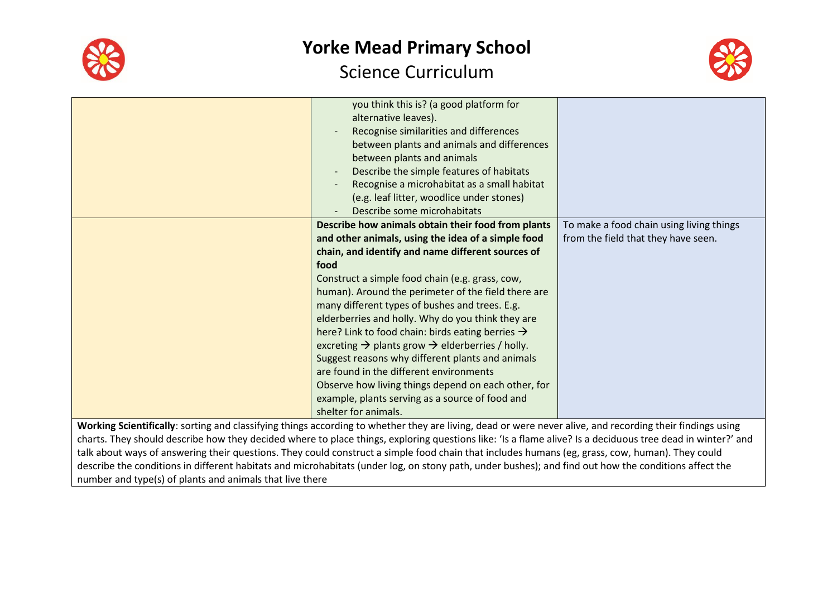



|                                                                                                                                                           | you think this is? (a good platform for                                 |                                          |
|-----------------------------------------------------------------------------------------------------------------------------------------------------------|-------------------------------------------------------------------------|------------------------------------------|
|                                                                                                                                                           | alternative leaves).                                                    |                                          |
|                                                                                                                                                           | Recognise similarities and differences                                  |                                          |
|                                                                                                                                                           | between plants and animals and differences                              |                                          |
|                                                                                                                                                           | between plants and animals                                              |                                          |
|                                                                                                                                                           | Describe the simple features of habitats                                |                                          |
|                                                                                                                                                           | Recognise a microhabitat as a small habitat                             |                                          |
|                                                                                                                                                           | (e.g. leaf litter, woodlice under stones)                               |                                          |
|                                                                                                                                                           | Describe some microhabitats                                             |                                          |
|                                                                                                                                                           | Describe how animals obtain their food from plants                      | To make a food chain using living things |
|                                                                                                                                                           | and other animals, using the idea of a simple food                      | from the field that they have seen.      |
|                                                                                                                                                           | chain, and identify and name different sources of                       |                                          |
|                                                                                                                                                           | food                                                                    |                                          |
|                                                                                                                                                           | Construct a simple food chain (e.g. grass, cow,                         |                                          |
|                                                                                                                                                           | human). Around the perimeter of the field there are                     |                                          |
|                                                                                                                                                           | many different types of bushes and trees. E.g.                          |                                          |
|                                                                                                                                                           | elderberries and holly. Why do you think they are                       |                                          |
|                                                                                                                                                           | here? Link to food chain: birds eating berries $\rightarrow$            |                                          |
|                                                                                                                                                           | excreting $\rightarrow$ plants grow $\rightarrow$ elderberries / holly. |                                          |
|                                                                                                                                                           | Suggest reasons why different plants and animals                        |                                          |
|                                                                                                                                                           | are found in the different environments                                 |                                          |
|                                                                                                                                                           | Observe how living things depend on each other, for                     |                                          |
|                                                                                                                                                           | example, plants serving as a source of food and                         |                                          |
|                                                                                                                                                           | shelter for animals.                                                    |                                          |
| Working Scientifically: sorting and classifying things according to whether they are living, dead or were never alive, and recording their findings using |                                                                         |                                          |

**Working Scientifically**: sorting and classifying things according to whether they are living, dead or were never alive, and recording their findings using charts. They should describe how they decided where to place things, exploring questions like: 'Is a flame alive? Is a deciduous tree dead in winter?' and talk about ways of answering their questions. They could construct a simple food chain that includes humans (eg, grass, cow, human). They could describe the conditions in different habitats and microhabitats (under log, on stony path, under bushes); and find out how the conditions affect the number and type(s) of plants and animals that live there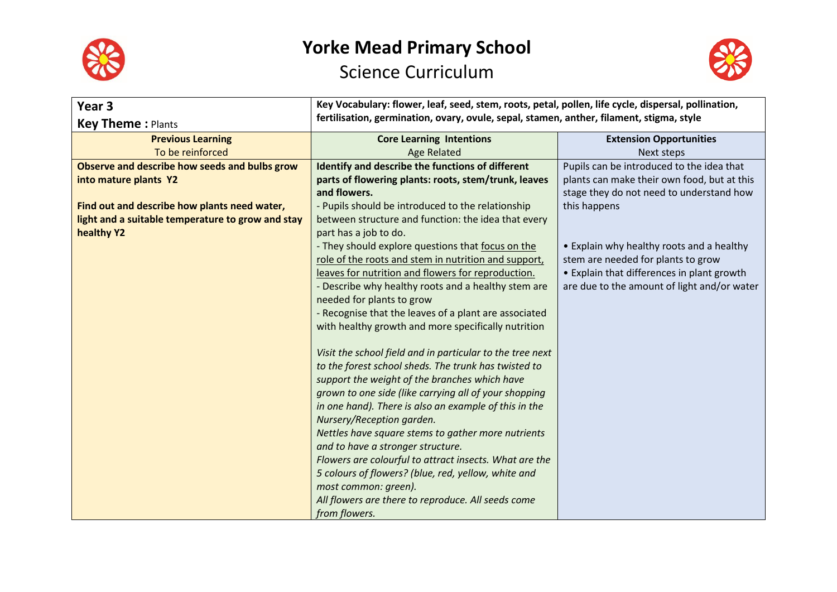



| Year 3                                            | Key Vocabulary: flower, leaf, seed, stem, roots, petal, pollen, life cycle, dispersal, pollination, |                                             |
|---------------------------------------------------|-----------------------------------------------------------------------------------------------------|---------------------------------------------|
| <b>Key Theme: Plants</b>                          | fertilisation, germination, ovary, ovule, sepal, stamen, anther, filament, stigma, style            |                                             |
| <b>Previous Learning</b>                          | <b>Core Learning Intentions</b>                                                                     | <b>Extension Opportunities</b>              |
| To be reinforced                                  | <b>Age Related</b>                                                                                  | Next steps                                  |
| Observe and describe how seeds and bulbs grow     | Identify and describe the functions of different                                                    | Pupils can be introduced to the idea that   |
| into mature plants Y2                             | parts of flowering plants: roots, stem/trunk, leaves                                                | plants can make their own food, but at this |
|                                                   | and flowers.                                                                                        | stage they do not need to understand how    |
| Find out and describe how plants need water,      | - Pupils should be introduced to the relationship                                                   | this happens                                |
| light and a suitable temperature to grow and stay | between structure and function: the idea that every                                                 |                                             |
| healthy Y2                                        | part has a job to do.                                                                               |                                             |
|                                                   | - They should explore questions that focus on the                                                   | • Explain why healthy roots and a healthy   |
|                                                   | role of the roots and stem in nutrition and support,                                                | stem are needed for plants to grow          |
|                                                   | leaves for nutrition and flowers for reproduction.                                                  | • Explain that differences in plant growth  |
|                                                   | - Describe why healthy roots and a healthy stem are                                                 | are due to the amount of light and/or water |
|                                                   | needed for plants to grow                                                                           |                                             |
|                                                   | - Recognise that the leaves of a plant are associated                                               |                                             |
|                                                   | with healthy growth and more specifically nutrition                                                 |                                             |
|                                                   |                                                                                                     |                                             |
|                                                   | Visit the school field and in particular to the tree next                                           |                                             |
|                                                   | to the forest school sheds. The trunk has twisted to                                                |                                             |
|                                                   | support the weight of the branches which have                                                       |                                             |
|                                                   | grown to one side (like carrying all of your shopping                                               |                                             |
|                                                   | in one hand). There is also an example of this in the                                               |                                             |
|                                                   | Nursery/Reception garden.                                                                           |                                             |
|                                                   | Nettles have square stems to gather more nutrients                                                  |                                             |
|                                                   | and to have a stronger structure.                                                                   |                                             |
|                                                   | Flowers are colourful to attract insects. What are the                                              |                                             |
|                                                   | 5 colours of flowers? (blue, red, yellow, white and                                                 |                                             |
|                                                   | most common: green).                                                                                |                                             |
|                                                   | All flowers are there to reproduce. All seeds come                                                  |                                             |
|                                                   | from flowers.                                                                                       |                                             |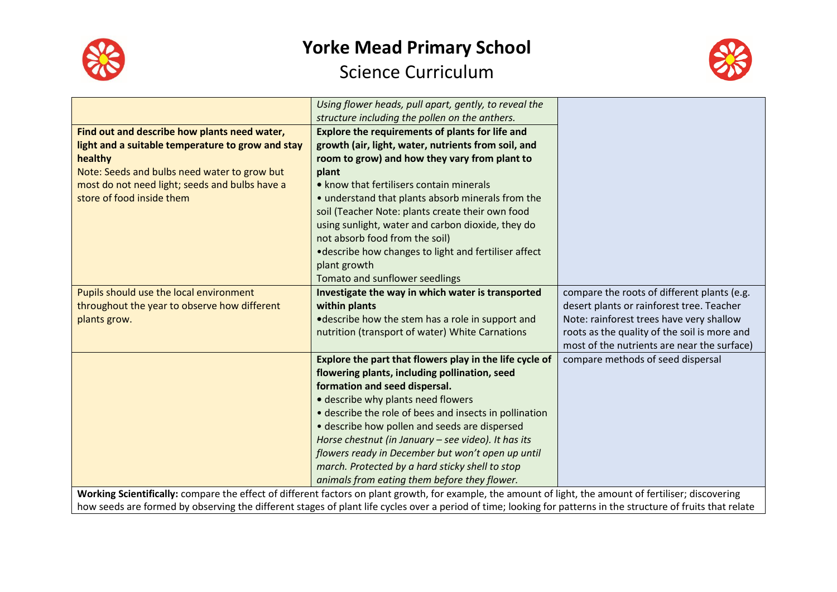



|                                                                                                                                                                | Using flower heads, pull apart, gently, to reveal the   |                                              |
|----------------------------------------------------------------------------------------------------------------------------------------------------------------|---------------------------------------------------------|----------------------------------------------|
|                                                                                                                                                                | structure including the pollen on the anthers.          |                                              |
| Find out and describe how plants need water,                                                                                                                   | <b>Explore the requirements of plants for life and</b>  |                                              |
| light and a suitable temperature to grow and stay                                                                                                              | growth (air, light, water, nutrients from soil, and     |                                              |
| healthy                                                                                                                                                        | room to grow) and how they vary from plant to           |                                              |
| Note: Seeds and bulbs need water to grow but                                                                                                                   | plant                                                   |                                              |
| most do not need light; seeds and bulbs have a                                                                                                                 | • know that fertilisers contain minerals                |                                              |
| store of food inside them                                                                                                                                      | • understand that plants absorb minerals from the       |                                              |
|                                                                                                                                                                | soil (Teacher Note: plants create their own food        |                                              |
|                                                                                                                                                                | using sunlight, water and carbon dioxide, they do       |                                              |
|                                                                                                                                                                | not absorb food from the soil)                          |                                              |
|                                                                                                                                                                | •describe how changes to light and fertiliser affect    |                                              |
|                                                                                                                                                                | plant growth                                            |                                              |
|                                                                                                                                                                | Tomato and sunflower seedlings                          |                                              |
| Pupils should use the local environment                                                                                                                        | Investigate the way in which water is transported       | compare the roots of different plants (e.g.  |
| throughout the year to observe how different                                                                                                                   | within plants                                           | desert plants or rainforest tree. Teacher    |
| plants grow.                                                                                                                                                   | •describe how the stem has a role in support and        | Note: rainforest trees have very shallow     |
|                                                                                                                                                                | nutrition (transport of water) White Carnations         | roots as the quality of the soil is more and |
|                                                                                                                                                                |                                                         | most of the nutrients are near the surface)  |
|                                                                                                                                                                | Explore the part that flowers play in the life cycle of | compare methods of seed dispersal            |
|                                                                                                                                                                | flowering plants, including pollination, seed           |                                              |
|                                                                                                                                                                | formation and seed dispersal.                           |                                              |
|                                                                                                                                                                | • describe why plants need flowers                      |                                              |
|                                                                                                                                                                | • describe the role of bees and insects in pollination  |                                              |
|                                                                                                                                                                | • describe how pollen and seeds are dispersed           |                                              |
|                                                                                                                                                                | Horse chestnut (in January - see video). It has its     |                                              |
|                                                                                                                                                                | flowers ready in December but won't open up until       |                                              |
|                                                                                                                                                                | march. Protected by a hard sticky shell to stop         |                                              |
|                                                                                                                                                                | animals from eating them before they flower.            |                                              |
| Working Scientifically: compare the effect of different factors on plant growth, for example, the amount of light, the amount of fertiliser; discovering       |                                                         |                                              |
| how seeds are formed by observing the different stages of plant life cycles over a period of time; looking for patterns in the structure of fruits that relate |                                                         |                                              |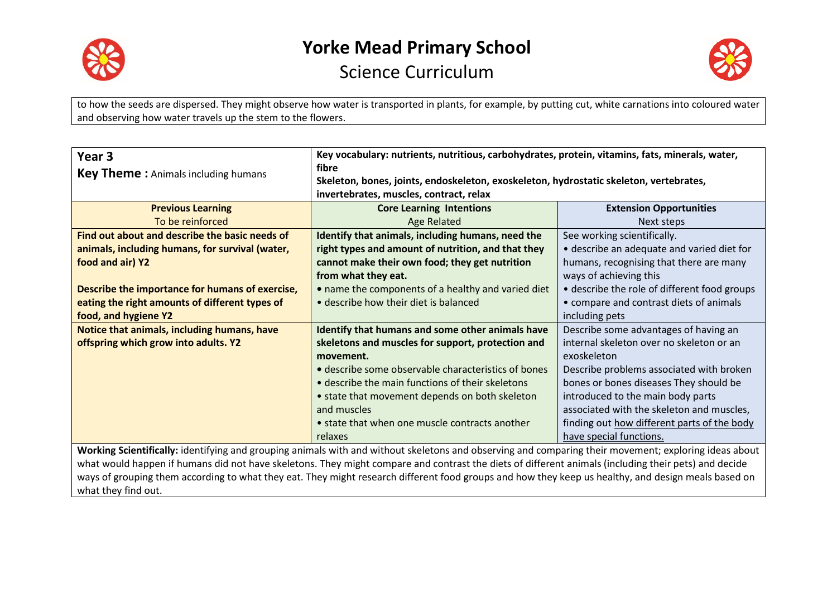

what they find out.

#### **Yorke Mead Primary School** Science Curriculum



to how the seeds are dispersed. They might observe how water is transported in plants, for example, by putting cut, white carnations into coloured water and observing how water travels up the stem to the flowers.

| Year 3                                                                                                                                                | Key vocabulary: nutrients, nutritious, carbohydrates, protein, vitamins, fats, minerals, water,                                                     |                                              |
|-------------------------------------------------------------------------------------------------------------------------------------------------------|-----------------------------------------------------------------------------------------------------------------------------------------------------|----------------------------------------------|
| <b>Key Theme:</b> Animals including humans                                                                                                            | fibre                                                                                                                                               |                                              |
|                                                                                                                                                       | Skeleton, bones, joints, endoskeleton, exoskeleton, hydrostatic skeleton, vertebrates,                                                              |                                              |
|                                                                                                                                                       | invertebrates, muscles, contract, relax                                                                                                             |                                              |
| <b>Previous Learning</b>                                                                                                                              | <b>Core Learning Intentions</b>                                                                                                                     | <b>Extension Opportunities</b>               |
| To be reinforced                                                                                                                                      | Age Related                                                                                                                                         | Next steps                                   |
| Find out about and describe the basic needs of                                                                                                        | Identify that animals, including humans, need the                                                                                                   | See working scientifically.                  |
| animals, including humans, for survival (water,                                                                                                       | right types and amount of nutrition, and that they                                                                                                  | • describe an adequate and varied diet for   |
| food and air) Y2                                                                                                                                      | cannot make their own food; they get nutrition                                                                                                      | humans, recognising that there are many      |
|                                                                                                                                                       | from what they eat.                                                                                                                                 | ways of achieving this                       |
| Describe the importance for humans of exercise,                                                                                                       | • name the components of a healthy and varied diet                                                                                                  | • describe the role of different food groups |
| eating the right amounts of different types of                                                                                                        | • describe how their diet is balanced                                                                                                               | • compare and contrast diets of animals      |
| food, and hygiene Y2                                                                                                                                  |                                                                                                                                                     | including pets                               |
| Notice that animals, including humans, have                                                                                                           | Identify that humans and some other animals have                                                                                                    | Describe some advantages of having an        |
| offspring which grow into adults. Y2                                                                                                                  | skeletons and muscles for support, protection and                                                                                                   | internal skeleton over no skeleton or an     |
|                                                                                                                                                       | movement.                                                                                                                                           | exoskeleton                                  |
|                                                                                                                                                       | • describe some observable characteristics of bones                                                                                                 | Describe problems associated with broken     |
|                                                                                                                                                       | • describe the main functions of their skeletons                                                                                                    | bones or bones diseases They should be       |
|                                                                                                                                                       | • state that movement depends on both skeleton                                                                                                      | introduced to the main body parts            |
|                                                                                                                                                       | and muscles                                                                                                                                         | associated with the skeleton and muscles,    |
|                                                                                                                                                       | • state that when one muscle contracts another                                                                                                      | finding out how different parts of the body  |
|                                                                                                                                                       | relaxes                                                                                                                                             | have special functions.                      |
| Working Scientifically: identifying and grouping animals with and without skeletons and observing and comparing their movement; exploring ideas about |                                                                                                                                                     |                                              |
| what would happen if humans did not have skeletons. They might compare and contrast the diets of different animals (including their pets) and decide  |                                                                                                                                                     |                                              |
|                                                                                                                                                       | ways of grouping them according to what they eat. They might research different food groups and how they keep us healthy, and design meals based on |                                              |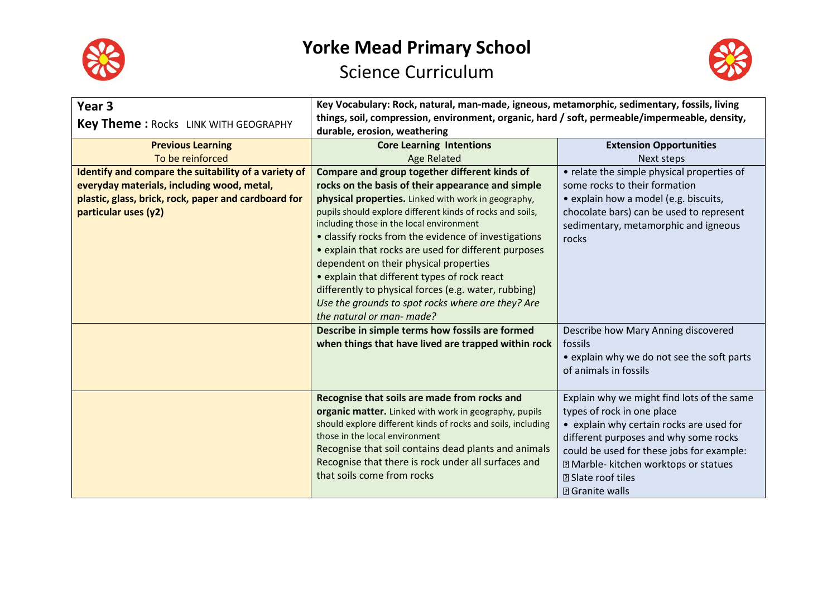



| Year <sub>3</sub><br><b>Key Theme: Rocks LINK WITH GEOGRAPHY</b>                                                                                                                   | Key Vocabulary: Rock, natural, man-made, igneous, metamorphic, sedimentary, fossils, living<br>things, soil, compression, environment, organic, hard / soft, permeable/impermeable, density,<br>durable, erosion, weathering                                                                                                                                                                                                                                                                                                                                                                                           |                                                                                                                                                                                                                                                                                                                                  |
|------------------------------------------------------------------------------------------------------------------------------------------------------------------------------------|------------------------------------------------------------------------------------------------------------------------------------------------------------------------------------------------------------------------------------------------------------------------------------------------------------------------------------------------------------------------------------------------------------------------------------------------------------------------------------------------------------------------------------------------------------------------------------------------------------------------|----------------------------------------------------------------------------------------------------------------------------------------------------------------------------------------------------------------------------------------------------------------------------------------------------------------------------------|
| <b>Previous Learning</b><br>To be reinforced                                                                                                                                       | <b>Core Learning Intentions</b><br><b>Age Related</b>                                                                                                                                                                                                                                                                                                                                                                                                                                                                                                                                                                  | <b>Extension Opportunities</b><br>Next steps                                                                                                                                                                                                                                                                                     |
| Identify and compare the suitability of a variety of<br>everyday materials, including wood, metal,<br>plastic, glass, brick, rock, paper and cardboard for<br>particular uses (y2) | Compare and group together different kinds of<br>rocks on the basis of their appearance and simple<br>physical properties. Linked with work in geography,<br>pupils should explore different kinds of rocks and soils,<br>including those in the local environment<br>• classify rocks from the evidence of investigations<br>• explain that rocks are used for different purposes<br>dependent on their physical properties<br>• explain that different types of rock react<br>differently to physical forces (e.g. water, rubbing)<br>Use the grounds to spot rocks where are they? Are<br>the natural or man- made? | • relate the simple physical properties of<br>some rocks to their formation<br>• explain how a model (e.g. biscuits,<br>chocolate bars) can be used to represent<br>sedimentary, metamorphic and igneous<br>rocks                                                                                                                |
|                                                                                                                                                                                    | Describe in simple terms how fossils are formed<br>when things that have lived are trapped within rock                                                                                                                                                                                                                                                                                                                                                                                                                                                                                                                 | Describe how Mary Anning discovered<br>fossils<br>• explain why we do not see the soft parts<br>of animals in fossils                                                                                                                                                                                                            |
|                                                                                                                                                                                    | Recognise that soils are made from rocks and<br>organic matter. Linked with work in geography, pupils<br>should explore different kinds of rocks and soils, including<br>those in the local environment<br>Recognise that soil contains dead plants and animals<br>Recognise that there is rock under all surfaces and<br>that soils come from rocks                                                                                                                                                                                                                                                                   | Explain why we might find lots of the same<br>types of rock in one place<br>• explain why certain rocks are used for<br>different purposes and why some rocks<br>could be used for these jobs for example:<br><b>Z</b> Marble- kitchen worktops or statues<br><b><b><b></b></b> 3 Slate roof tiles</b><br><b>2 Granite walls</b> |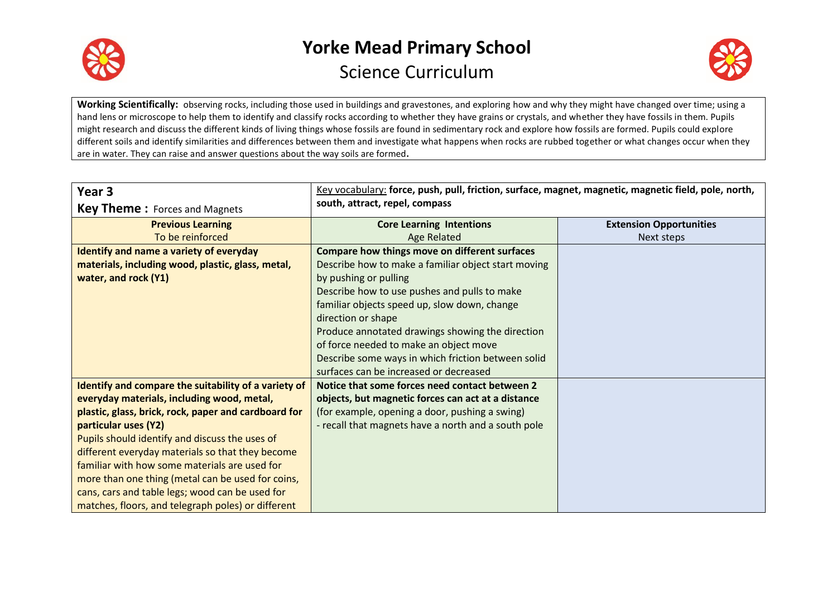



**Working Scientifically:** observing rocks, including those used in buildings and gravestones, and exploring how and why they might have changed over time; using a hand lens or microscope to help them to identify and classify rocks according to whether they have grains or crystals, and whether they have fossils in them. Pupils might research and discuss the different kinds of living things whose fossils are found in sedimentary rock and explore how fossils are formed. Pupils could explore different soils and identify similarities and differences between them and investigate what happens when rocks are rubbed together or what changes occur when they are in water. They can raise and answer questions about the way soils are formed**.**

| Year 3                                               | Key vocabulary: force, push, pull, friction, surface, magnet, magnetic, magnetic field, pole, north, |                                |
|------------------------------------------------------|------------------------------------------------------------------------------------------------------|--------------------------------|
| <b>Key Theme:</b> Forces and Magnets                 | south, attract, repel, compass                                                                       |                                |
| <b>Previous Learning</b>                             | <b>Core Learning Intentions</b>                                                                      | <b>Extension Opportunities</b> |
| To be reinforced                                     | <b>Age Related</b>                                                                                   | Next steps                     |
| Identify and name a variety of everyday              | Compare how things move on different surfaces                                                        |                                |
| materials, including wood, plastic, glass, metal,    | Describe how to make a familiar object start moving                                                  |                                |
| water, and rock (Y1)                                 | by pushing or pulling                                                                                |                                |
|                                                      | Describe how to use pushes and pulls to make                                                         |                                |
|                                                      | familiar objects speed up, slow down, change                                                         |                                |
|                                                      | direction or shape                                                                                   |                                |
|                                                      | Produce annotated drawings showing the direction                                                     |                                |
|                                                      | of force needed to make an object move                                                               |                                |
|                                                      | Describe some ways in which friction between solid                                                   |                                |
|                                                      | surfaces can be increased or decreased                                                               |                                |
| Identify and compare the suitability of a variety of | Notice that some forces need contact between 2                                                       |                                |
| everyday materials, including wood, metal,           | objects, but magnetic forces can act at a distance                                                   |                                |
| plastic, glass, brick, rock, paper and cardboard for | (for example, opening a door, pushing a swing)                                                       |                                |
| particular uses (Y2)                                 | - recall that magnets have a north and a south pole                                                  |                                |
| Pupils should identify and discuss the uses of       |                                                                                                      |                                |
| different everyday materials so that they become     |                                                                                                      |                                |
| familiar with how some materials are used for        |                                                                                                      |                                |
| more than one thing (metal can be used for coins,    |                                                                                                      |                                |
| cans, cars and table legs; wood can be used for      |                                                                                                      |                                |
| matches, floors, and telegraph poles) or different   |                                                                                                      |                                |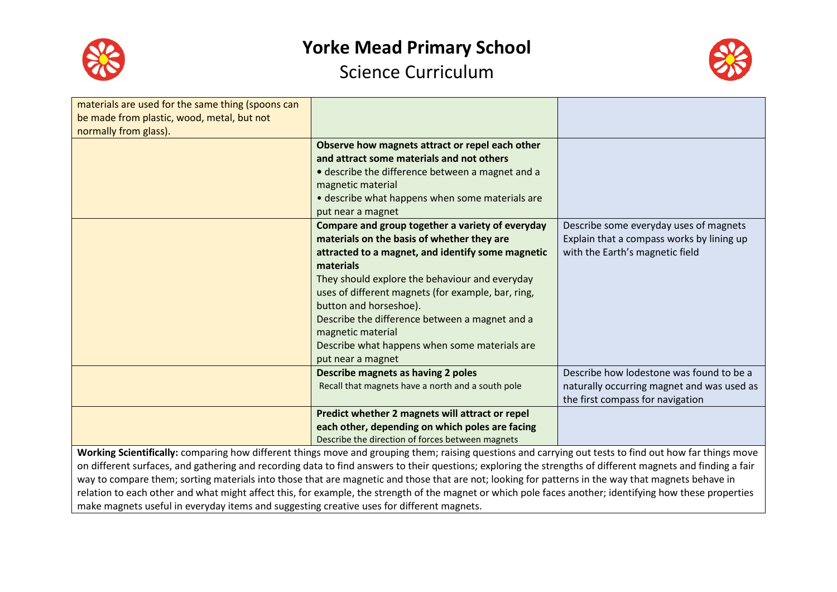



| materials are used for the same thing (spoons can<br>be made from plastic, wood, metal, but not                                                         |                                                    |                                            |
|---------------------------------------------------------------------------------------------------------------------------------------------------------|----------------------------------------------------|--------------------------------------------|
| normally from glass).                                                                                                                                   |                                                    |                                            |
|                                                                                                                                                         | Observe how magnets attract or repel each other    |                                            |
|                                                                                                                                                         | and attract some materials and not others          |                                            |
|                                                                                                                                                         | • describe the difference between a magnet and a   |                                            |
|                                                                                                                                                         | magnetic material                                  |                                            |
|                                                                                                                                                         | • describe what happens when some materials are    |                                            |
|                                                                                                                                                         | put near a magnet                                  |                                            |
|                                                                                                                                                         | Compare and group together a variety of everyday   | Describe some everyday uses of magnets     |
|                                                                                                                                                         | materials on the basis of whether they are         | Explain that a compass works by lining up  |
|                                                                                                                                                         | attracted to a magnet, and identify some magnetic  | with the Earth's magnetic field            |
|                                                                                                                                                         | materials                                          |                                            |
|                                                                                                                                                         | They should explore the behaviour and everyday     |                                            |
|                                                                                                                                                         | uses of different magnets (for example, bar, ring, |                                            |
|                                                                                                                                                         | button and horseshoe).                             |                                            |
|                                                                                                                                                         | Describe the difference between a magnet and a     |                                            |
|                                                                                                                                                         | magnetic material                                  |                                            |
|                                                                                                                                                         | Describe what happens when some materials are      |                                            |
|                                                                                                                                                         | put near a magnet                                  |                                            |
|                                                                                                                                                         | Describe magnets as having 2 poles                 | Describe how lodestone was found to be a   |
|                                                                                                                                                         | Recall that magnets have a north and a south pole  | naturally occurring magnet and was used as |
|                                                                                                                                                         |                                                    | the first compass for navigation           |
|                                                                                                                                                         | Predict whether 2 magnets will attract or repel    |                                            |
|                                                                                                                                                         | each other, depending on which poles are facing    |                                            |
|                                                                                                                                                         | Describe the direction of forces between magnets   |                                            |
| Working Scientifically: comparing how different things move and grouping them: raising questions and carrying out tests to find out how far things move |                                                    |                                            |

ow different things move and grouping them; raising questions and carrying out tests to find out how far things mo on different surfaces, and gathering and recording data to find answers to their questions; exploring the strengths of different magnets and finding a fair way to compare them; sorting materials into those that are magnetic and those that are not; looking for patterns in the way that magnets behave in relation to each other and what might affect this, for example, the strength of the magnet or which pole faces another; identifying how these properties make magnets useful in everyday items and suggesting creative uses for different magnets.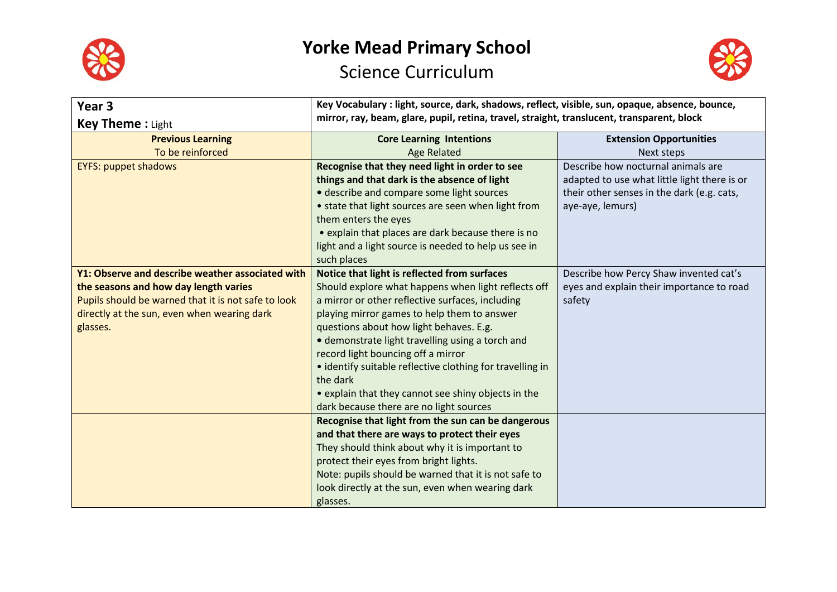



| Year <sub>3</sub>                                   | Key Vocabulary : light, source, dark, shadows, reflect, visible, sun, opaque, absence, bounce, |                                              |
|-----------------------------------------------------|------------------------------------------------------------------------------------------------|----------------------------------------------|
| <b>Key Theme: Light</b>                             | mirror, ray, beam, glare, pupil, retina, travel, straight, translucent, transparent, block     |                                              |
| <b>Previous Learning</b>                            | <b>Core Learning Intentions</b>                                                                | <b>Extension Opportunities</b>               |
| To be reinforced                                    | <b>Age Related</b>                                                                             | Next steps                                   |
| <b>EYFS: puppet shadows</b>                         | Recognise that they need light in order to see                                                 | Describe how nocturnal animals are           |
|                                                     | things and that dark is the absence of light                                                   | adapted to use what little light there is or |
|                                                     | • describe and compare some light sources                                                      | their other senses in the dark (e.g. cats,   |
|                                                     | • state that light sources are seen when light from                                            | aye-aye, lemurs)                             |
|                                                     | them enters the eyes                                                                           |                                              |
|                                                     | • explain that places are dark because there is no                                             |                                              |
|                                                     | light and a light source is needed to help us see in                                           |                                              |
|                                                     | such places                                                                                    |                                              |
| Y1: Observe and describe weather associated with    | Notice that light is reflected from surfaces                                                   | Describe how Percy Shaw invented cat's       |
| the seasons and how day length varies               | Should explore what happens when light reflects off                                            | eyes and explain their importance to road    |
| Pupils should be warned that it is not safe to look | a mirror or other reflective surfaces, including                                               | safety                                       |
| directly at the sun, even when wearing dark         | playing mirror games to help them to answer                                                    |                                              |
| glasses.                                            | questions about how light behaves. E.g.                                                        |                                              |
|                                                     | • demonstrate light travelling using a torch and                                               |                                              |
|                                                     | record light bouncing off a mirror                                                             |                                              |
|                                                     | • identify suitable reflective clothing for travelling in                                      |                                              |
|                                                     | the dark                                                                                       |                                              |
|                                                     | • explain that they cannot see shiny objects in the                                            |                                              |
|                                                     | dark because there are no light sources                                                        |                                              |
|                                                     | Recognise that light from the sun can be dangerous                                             |                                              |
|                                                     | and that there are ways to protect their eyes                                                  |                                              |
|                                                     | They should think about why it is important to                                                 |                                              |
|                                                     | protect their eyes from bright lights.                                                         |                                              |
|                                                     | Note: pupils should be warned that it is not safe to                                           |                                              |
|                                                     | look directly at the sun, even when wearing dark                                               |                                              |
|                                                     | glasses.                                                                                       |                                              |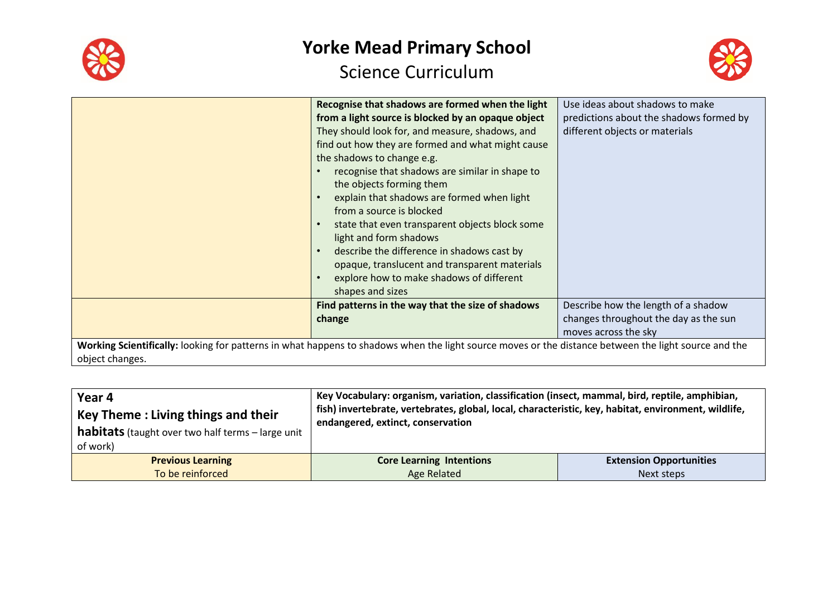



|                 | Recognise that shadows are formed when the light                                                                                                     | Use ideas about shadows to make         |
|-----------------|------------------------------------------------------------------------------------------------------------------------------------------------------|-----------------------------------------|
|                 | from a light source is blocked by an opaque object                                                                                                   | predictions about the shadows formed by |
|                 | They should look for, and measure, shadows, and                                                                                                      | different objects or materials          |
|                 | find out how they are formed and what might cause                                                                                                    |                                         |
|                 | the shadows to change e.g.                                                                                                                           |                                         |
|                 | recognise that shadows are similar in shape to                                                                                                       |                                         |
|                 | the objects forming them                                                                                                                             |                                         |
|                 | explain that shadows are formed when light<br>$\bullet$                                                                                              |                                         |
|                 | from a source is blocked                                                                                                                             |                                         |
|                 | state that even transparent objects block some<br>$\bullet$                                                                                          |                                         |
|                 | light and form shadows                                                                                                                               |                                         |
|                 | describe the difference in shadows cast by<br>$\bullet$                                                                                              |                                         |
|                 | opaque, translucent and transparent materials                                                                                                        |                                         |
|                 | explore how to make shadows of different<br>$\bullet$                                                                                                |                                         |
|                 | shapes and sizes                                                                                                                                     |                                         |
|                 | Find patterns in the way that the size of shadows                                                                                                    | Describe how the length of a shadow     |
|                 | change                                                                                                                                               | changes throughout the day as the sun   |
|                 |                                                                                                                                                      | moves across the sky                    |
|                 | Working Scientifically: looking for patterns in what happens to shadows when the light source moves or the distance between the light source and the |                                         |
| object changes. |                                                                                                                                                      |                                         |

| Year 4                                                   | Key Vocabulary: organism, variation, classification (insect, mammal, bird, reptile, amphibian,                                            |                                |
|----------------------------------------------------------|-------------------------------------------------------------------------------------------------------------------------------------------|--------------------------------|
| Key Theme: Living things and their                       | fish) invertebrate, vertebrates, global, local, characteristic, key, habitat, environment, wildlife,<br>endangered, extinct, conservation |                                |
| <b>habitats</b> (taught over two half terms - large unit |                                                                                                                                           |                                |
| of work)                                                 |                                                                                                                                           |                                |
| <b>Previous Learning</b>                                 | <b>Core Learning Intentions</b>                                                                                                           | <b>Extension Opportunities</b> |
| To be reinforced                                         | <b>Age Related</b>                                                                                                                        | Next steps                     |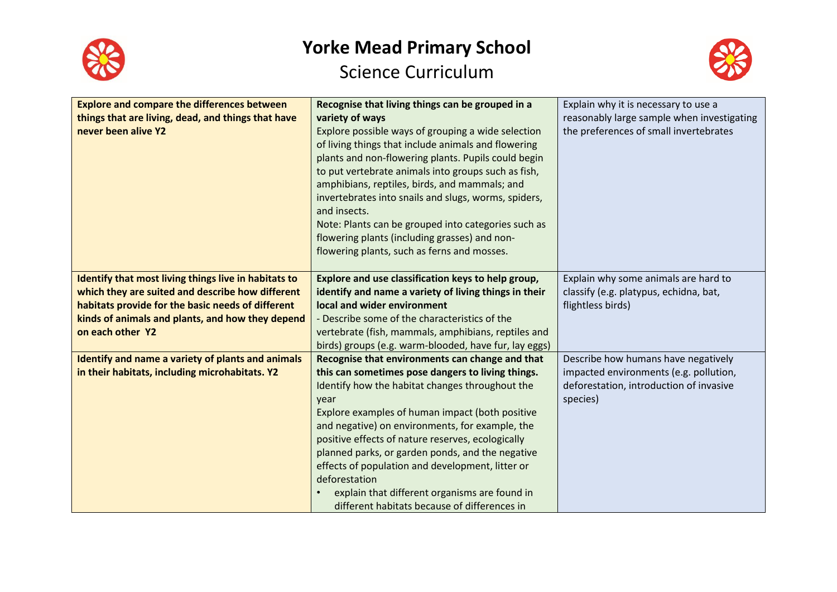



| <b>Explore and compare the differences between</b><br>things that are living, dead, and things that have<br>never been alive Y2                                                                                                       | Recognise that living things can be grouped in a<br>variety of ways<br>Explore possible ways of grouping a wide selection<br>of living things that include animals and flowering<br>plants and non-flowering plants. Pupils could begin<br>to put vertebrate animals into groups such as fish,<br>amphibians, reptiles, birds, and mammals; and<br>invertebrates into snails and slugs, worms, spiders,<br>and insects.<br>Note: Plants can be grouped into categories such as<br>flowering plants (including grasses) and non-                      | Explain why it is necessary to use a<br>reasonably large sample when investigating<br>the preferences of small invertebrates         |
|---------------------------------------------------------------------------------------------------------------------------------------------------------------------------------------------------------------------------------------|------------------------------------------------------------------------------------------------------------------------------------------------------------------------------------------------------------------------------------------------------------------------------------------------------------------------------------------------------------------------------------------------------------------------------------------------------------------------------------------------------------------------------------------------------|--------------------------------------------------------------------------------------------------------------------------------------|
|                                                                                                                                                                                                                                       | flowering plants, such as ferns and mosses.                                                                                                                                                                                                                                                                                                                                                                                                                                                                                                          |                                                                                                                                      |
| Identify that most living things live in habitats to<br>which they are suited and describe how different<br>habitats provide for the basic needs of different<br>kinds of animals and plants, and how they depend<br>on each other Y2 | Explore and use classification keys to help group,<br>identify and name a variety of living things in their<br>local and wider environment<br>- Describe some of the characteristics of the<br>vertebrate (fish, mammals, amphibians, reptiles and<br>birds) groups (e.g. warm-blooded, have fur, lay eggs)                                                                                                                                                                                                                                          | Explain why some animals are hard to<br>classify (e.g. platypus, echidna, bat,<br>flightless birds)                                  |
| <b>Identify and name a variety of plants and animals</b><br>in their habitats, including microhabitats. Y2                                                                                                                            | Recognise that environments can change and that<br>this can sometimes pose dangers to living things.<br>Identify how the habitat changes throughout the<br>year<br>Explore examples of human impact (both positive<br>and negative) on environments, for example, the<br>positive effects of nature reserves, ecologically<br>planned parks, or garden ponds, and the negative<br>effects of population and development, litter or<br>deforestation<br>explain that different organisms are found in<br>different habitats because of differences in | Describe how humans have negatively<br>impacted environments (e.g. pollution,<br>deforestation, introduction of invasive<br>species) |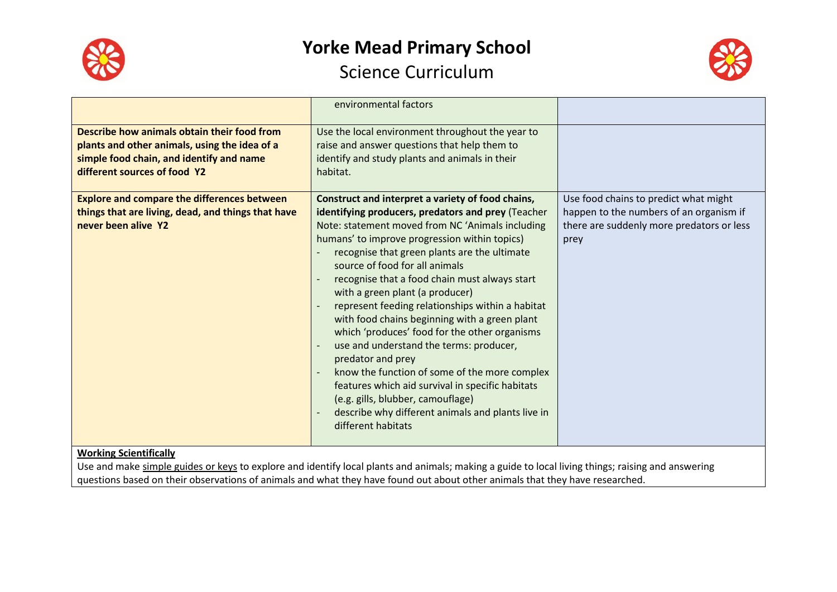



|                                                                                                                                                                          | environmental factors                                                                                                                                                                                                                                                                                                                                                                                                                                                                                                                                                                                                                                                                                                                                                                                                         |                                                                                                                                       |
|--------------------------------------------------------------------------------------------------------------------------------------------------------------------------|-------------------------------------------------------------------------------------------------------------------------------------------------------------------------------------------------------------------------------------------------------------------------------------------------------------------------------------------------------------------------------------------------------------------------------------------------------------------------------------------------------------------------------------------------------------------------------------------------------------------------------------------------------------------------------------------------------------------------------------------------------------------------------------------------------------------------------|---------------------------------------------------------------------------------------------------------------------------------------|
| Describe how animals obtain their food from<br>plants and other animals, using the idea of a<br>simple food chain, and identify and name<br>different sources of food Y2 | Use the local environment throughout the year to<br>raise and answer questions that help them to<br>identify and study plants and animals in their<br>habitat.                                                                                                                                                                                                                                                                                                                                                                                                                                                                                                                                                                                                                                                                |                                                                                                                                       |
| <b>Explore and compare the differences between</b><br>things that are living, dead, and things that have<br>never been alive Y2                                          | Construct and interpret a variety of food chains,<br>identifying producers, predators and prey (Teacher<br>Note: statement moved from NC 'Animals including<br>humans' to improve progression within topics)<br>recognise that green plants are the ultimate<br>source of food for all animals<br>recognise that a food chain must always start<br>with a green plant (a producer)<br>represent feeding relationships within a habitat<br>with food chains beginning with a green plant<br>which 'produces' food for the other organisms<br>use and understand the terms: producer,<br>predator and prey<br>know the function of some of the more complex<br>features which aid survival in specific habitats<br>(e.g. gills, blubber, camouflage)<br>describe why different animals and plants live in<br>different habitats | Use food chains to predict what might<br>happen to the numbers of an organism if<br>there are suddenly more predators or less<br>prey |
| <b>Working Scientifically</b>                                                                                                                                            | Llse and make simple quides or keys to explore and identify local plants and animals; making a quide to local living things; raising and answering                                                                                                                                                                                                                                                                                                                                                                                                                                                                                                                                                                                                                                                                            |                                                                                                                                       |

Use and make <u>simple guides or keys</u> to explore and identify local plants and animals; making a guide to local living things; raising and answering questions based on their observations of animals and what they have found out about other animals that they have researched.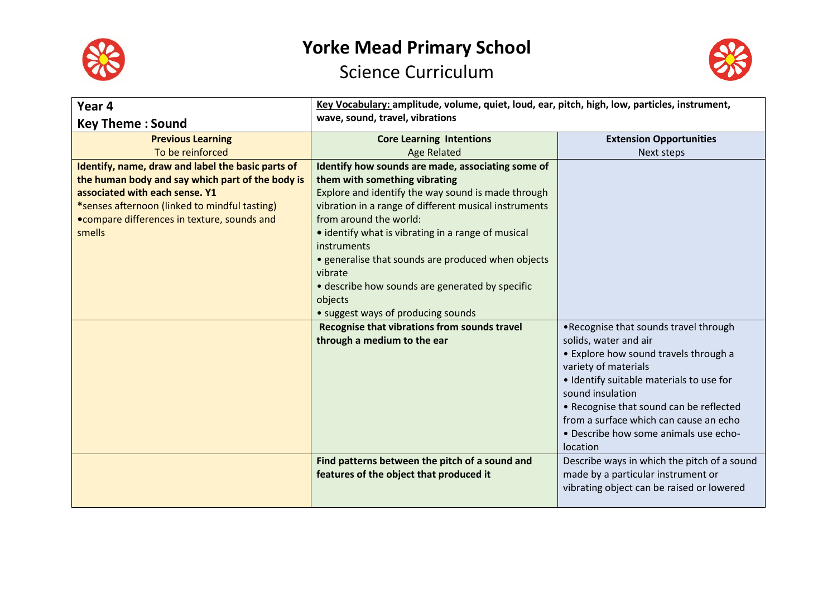



| Year 4                                            | Key Vocabulary: amplitude, volume, quiet, loud, ear, pitch, high, low, particles, instrument, |                                             |
|---------------------------------------------------|-----------------------------------------------------------------------------------------------|---------------------------------------------|
| <b>Key Theme: Sound</b>                           | wave, sound, travel, vibrations                                                               |                                             |
| <b>Previous Learning</b>                          | <b>Core Learning Intentions</b>                                                               | <b>Extension Opportunities</b>              |
| To be reinforced                                  | <b>Age Related</b>                                                                            | Next steps                                  |
| Identify, name, draw and label the basic parts of | Identify how sounds are made, associating some of                                             |                                             |
| the human body and say which part of the body is  | them with something vibrating                                                                 |                                             |
| associated with each sense. Y1                    | Explore and identify the way sound is made through                                            |                                             |
| *senses afternoon (linked to mindful tasting)     | vibration in a range of different musical instruments                                         |                                             |
| • compare differences in texture, sounds and      | from around the world:                                                                        |                                             |
| smells                                            | • identify what is vibrating in a range of musical                                            |                                             |
|                                                   | instruments                                                                                   |                                             |
|                                                   | • generalise that sounds are produced when objects<br>vibrate                                 |                                             |
|                                                   | • describe how sounds are generated by specific                                               |                                             |
|                                                   | objects                                                                                       |                                             |
|                                                   | • suggest ways of producing sounds                                                            |                                             |
|                                                   | Recognise that vibrations from sounds travel                                                  | .Recognise that sounds travel through       |
|                                                   | through a medium to the ear                                                                   | solids, water and air                       |
|                                                   |                                                                                               | • Explore how sound travels through a       |
|                                                   |                                                                                               | variety of materials                        |
|                                                   |                                                                                               | · Identify suitable materials to use for    |
|                                                   |                                                                                               | sound insulation                            |
|                                                   |                                                                                               | • Recognise that sound can be reflected     |
|                                                   |                                                                                               | from a surface which can cause an echo      |
|                                                   |                                                                                               | . Describe how some animals use echo-       |
|                                                   |                                                                                               | location                                    |
|                                                   | Find patterns between the pitch of a sound and                                                | Describe ways in which the pitch of a sound |
|                                                   | features of the object that produced it                                                       | made by a particular instrument or          |
|                                                   |                                                                                               | vibrating object can be raised or lowered   |
|                                                   |                                                                                               |                                             |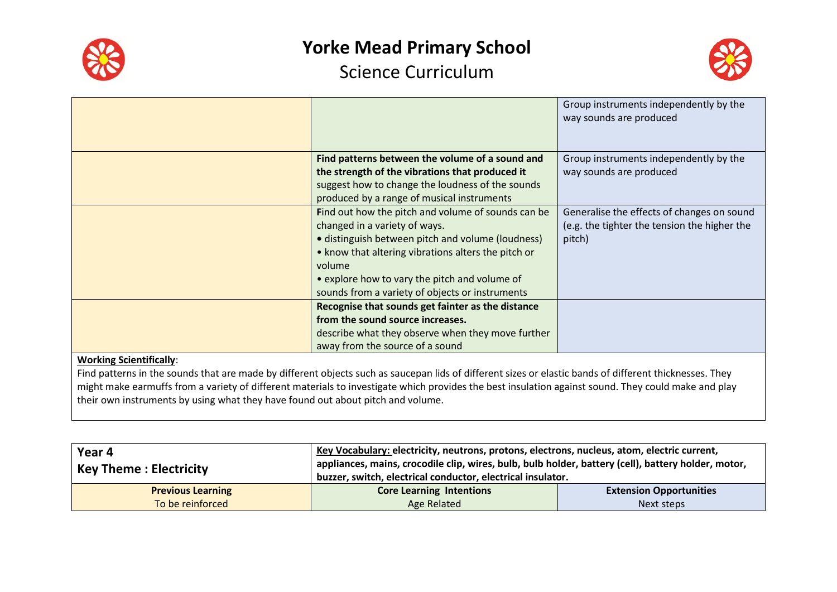



|                                |                                                     | Group instruments independently by the<br>way sounds are produced |
|--------------------------------|-----------------------------------------------------|-------------------------------------------------------------------|
|                                | Find patterns between the volume of a sound and     | Group instruments independently by the                            |
|                                | the strength of the vibrations that produced it     | way sounds are produced                                           |
|                                | suggest how to change the loudness of the sounds    |                                                                   |
|                                | produced by a range of musical instruments          |                                                                   |
|                                | Find out how the pitch and volume of sounds can be  | Generalise the effects of changes on sound                        |
|                                | changed in a variety of ways.                       | (e.g. the tighter the tension the higher the                      |
|                                | • distinguish between pitch and volume (loudness)   | pitch)                                                            |
|                                | • know that altering vibrations alters the pitch or |                                                                   |
|                                | volume                                              |                                                                   |
|                                | • explore how to vary the pitch and volume of       |                                                                   |
|                                | sounds from a variety of objects or instruments     |                                                                   |
|                                | Recognise that sounds get fainter as the distance   |                                                                   |
|                                | from the sound source increases.                    |                                                                   |
|                                | describe what they observe when they move further   |                                                                   |
|                                | away from the source of a sound                     |                                                                   |
| <b>Working Scientifically:</b> |                                                     |                                                                   |

Find patterns in the sounds that are made by different objects such as saucepan lids of different sizes or elastic bands of different thicknesses. They might make earmuffs from a variety of different materials to investigate which provides the best insulation against sound. They could make and play their own instruments by using what they have found out about pitch and volume.

| Year 4<br>  Key Theme : Electricity | Key Vocabulary: electricity, neutrons, protons, electrons, nucleus, atom, electric current,<br>appliances, mains, crocodile clip, wires, bulb, bulb holder, battery (cell), battery holder, motor,<br>buzzer, switch, electrical conductor, electrical insulator. |                                |
|-------------------------------------|-------------------------------------------------------------------------------------------------------------------------------------------------------------------------------------------------------------------------------------------------------------------|--------------------------------|
| <b>Previous Learning</b>            | <b>Core Learning Intentions</b>                                                                                                                                                                                                                                   | <b>Extension Opportunities</b> |
| To be reinforced                    | Age Related                                                                                                                                                                                                                                                       | Next steps                     |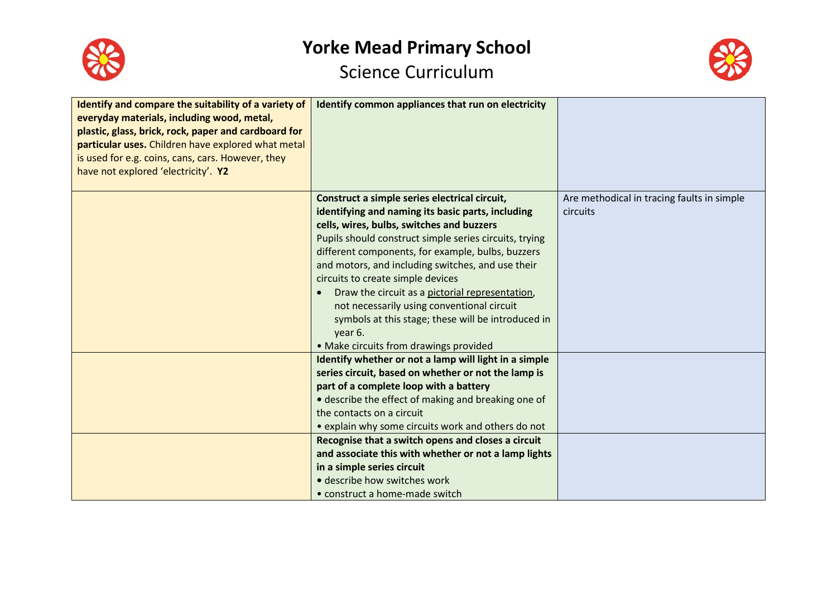



| Identify and compare the suitability of a variety of<br>everyday materials, including wood, metal,<br>plastic, glass, brick, rock, paper and cardboard for<br>particular uses. Children have explored what metal<br>is used for e.g. coins, cans, cars. However, they<br>have not explored 'electricity'. Y2 | Identify common appliances that run on electricity                                                                                                                                                                                                                                                                                                                                                                                                                                                                                                                                |                                                        |
|--------------------------------------------------------------------------------------------------------------------------------------------------------------------------------------------------------------------------------------------------------------------------------------------------------------|-----------------------------------------------------------------------------------------------------------------------------------------------------------------------------------------------------------------------------------------------------------------------------------------------------------------------------------------------------------------------------------------------------------------------------------------------------------------------------------------------------------------------------------------------------------------------------------|--------------------------------------------------------|
|                                                                                                                                                                                                                                                                                                              | Construct a simple series electrical circuit,<br>identifying and naming its basic parts, including<br>cells, wires, bulbs, switches and buzzers<br>Pupils should construct simple series circuits, trying<br>different components, for example, bulbs, buzzers<br>and motors, and including switches, and use their<br>circuits to create simple devices<br>Draw the circuit as a pictorial representation,<br>$\bullet$<br>not necessarily using conventional circuit<br>symbols at this stage; these will be introduced in<br>year 6.<br>• Make circuits from drawings provided | Are methodical in tracing faults in simple<br>circuits |
|                                                                                                                                                                                                                                                                                                              | Identify whether or not a lamp will light in a simple<br>series circuit, based on whether or not the lamp is<br>part of a complete loop with a battery<br>• describe the effect of making and breaking one of<br>the contacts on a circuit<br>• explain why some circuits work and others do not<br>Recognise that a switch opens and closes a circuit<br>and associate this with whether or not a lamp lights<br>in a simple series circuit<br>· describe how switches work<br>• construct a home-made switch                                                                    |                                                        |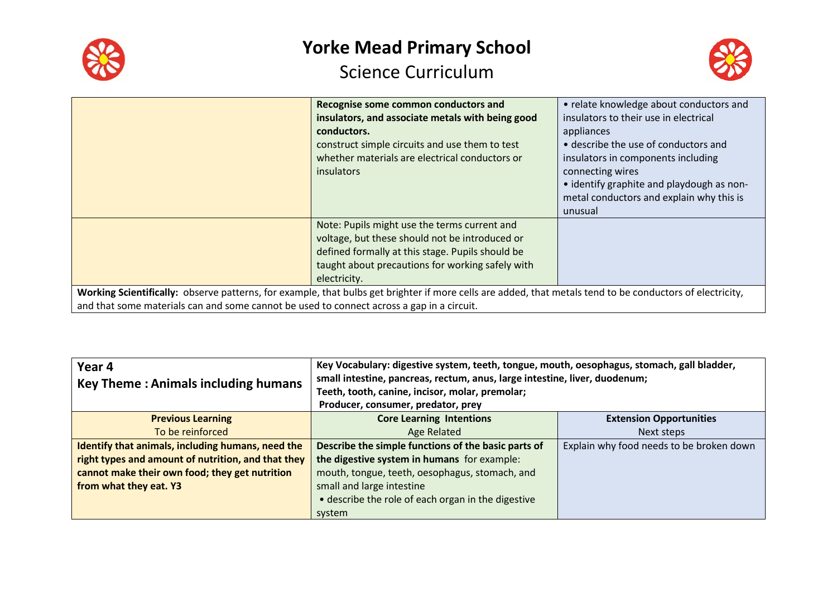



|                                                                                                                                                           | Recognise some common conductors and             | • relate knowledge about conductors and   |
|-----------------------------------------------------------------------------------------------------------------------------------------------------------|--------------------------------------------------|-------------------------------------------|
|                                                                                                                                                           | insulators, and associate metals with being good | insulators to their use in electrical     |
|                                                                                                                                                           | conductors.                                      | appliances                                |
|                                                                                                                                                           | construct simple circuits and use them to test   | • describe the use of conductors and      |
|                                                                                                                                                           | whether materials are electrical conductors or   | insulators in components including        |
|                                                                                                                                                           | insulators                                       | connecting wires                          |
|                                                                                                                                                           |                                                  | • identify graphite and playdough as non- |
|                                                                                                                                                           |                                                  | metal conductors and explain why this is  |
|                                                                                                                                                           |                                                  | unusual                                   |
|                                                                                                                                                           | Note: Pupils might use the terms current and     |                                           |
|                                                                                                                                                           | voltage, but these should not be introduced or   |                                           |
|                                                                                                                                                           | defined formally at this stage. Pupils should be |                                           |
|                                                                                                                                                           | taught about precautions for working safely with |                                           |
|                                                                                                                                                           | electricity.                                     |                                           |
| Working Scientifically: observe patterns, for example, that bulbs get brighter if more cells are added, that metals tend to be conductors of electricity, |                                                  |                                           |
| and that some materials can and some cannot be used to connect across a gap in a circuit.                                                                 |                                                  |                                           |

| Year 4<br><b>Key Theme: Animals including humans</b> | Key Vocabulary: digestive system, teeth, tongue, mouth, oesophagus, stomach, gall bladder,<br>small intestine, pancreas, rectum, anus, large intestine, liver, duodenum;<br>Teeth, tooth, canine, incisor, molar, premolar;<br>Producer, consumer, predator, prey |                                          |
|------------------------------------------------------|-------------------------------------------------------------------------------------------------------------------------------------------------------------------------------------------------------------------------------------------------------------------|------------------------------------------|
| <b>Previous Learning</b>                             | <b>Core Learning Intentions</b>                                                                                                                                                                                                                                   | <b>Extension Opportunities</b>           |
| To be reinforced                                     | Age Related                                                                                                                                                                                                                                                       | Next steps                               |
| Identify that animals, including humans, need the    | Describe the simple functions of the basic parts of                                                                                                                                                                                                               | Explain why food needs to be broken down |
| right types and amount of nutrition, and that they   | the digestive system in humans for example:                                                                                                                                                                                                                       |                                          |
| cannot make their own food; they get nutrition       | mouth, tongue, teeth, oesophagus, stomach, and                                                                                                                                                                                                                    |                                          |
| from what they eat. Y3                               | small and large intestine                                                                                                                                                                                                                                         |                                          |
|                                                      | • describe the role of each organ in the digestive                                                                                                                                                                                                                |                                          |
|                                                      | system                                                                                                                                                                                                                                                            |                                          |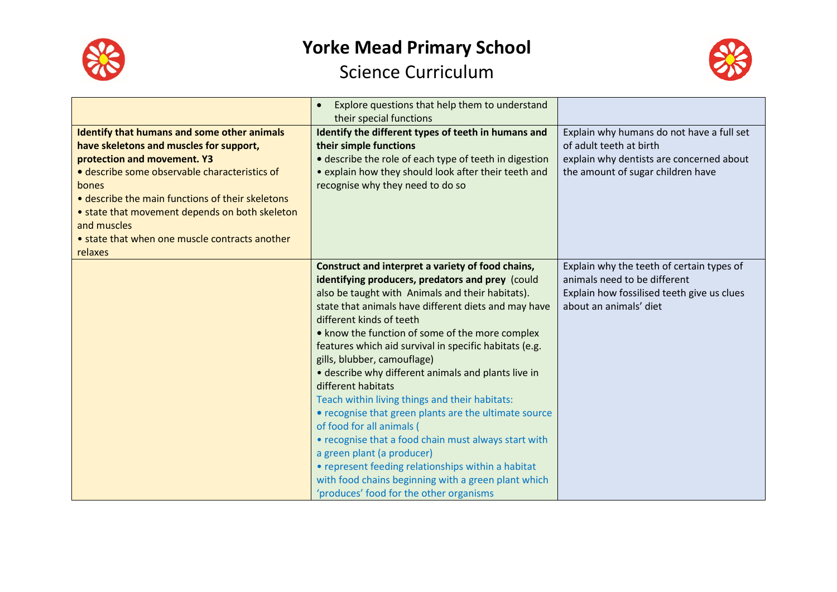



|                                                                                                                                                                                                                                                                                                                                                                          | Explore questions that help them to understand<br>$\bullet$<br>their special functions                                                                                                                                                                                                                                                                                                                                                                                                                                                                                                                                                                                                                                                                                                                                                                       |                                                                                                                                                       |
|--------------------------------------------------------------------------------------------------------------------------------------------------------------------------------------------------------------------------------------------------------------------------------------------------------------------------------------------------------------------------|--------------------------------------------------------------------------------------------------------------------------------------------------------------------------------------------------------------------------------------------------------------------------------------------------------------------------------------------------------------------------------------------------------------------------------------------------------------------------------------------------------------------------------------------------------------------------------------------------------------------------------------------------------------------------------------------------------------------------------------------------------------------------------------------------------------------------------------------------------------|-------------------------------------------------------------------------------------------------------------------------------------------------------|
| <b>Identify that humans and some other animals</b><br>have skeletons and muscles for support,<br>protection and movement. Y3<br>· describe some observable characteristics of<br>bones<br>• describe the main functions of their skeletons<br>• state that movement depends on both skeleton<br>and muscles<br>• state that when one muscle contracts another<br>relaxes | Identify the different types of teeth in humans and<br>their simple functions<br>· describe the role of each type of teeth in digestion<br>• explain how they should look after their teeth and<br>recognise why they need to do so                                                                                                                                                                                                                                                                                                                                                                                                                                                                                                                                                                                                                          | Explain why humans do not have a full set<br>of adult teeth at birth<br>explain why dentists are concerned about<br>the amount of sugar children have |
|                                                                                                                                                                                                                                                                                                                                                                          | Construct and interpret a variety of food chains,<br>identifying producers, predators and prey (could<br>also be taught with Animals and their habitats).<br>state that animals have different diets and may have<br>different kinds of teeth<br>• know the function of some of the more complex<br>features which aid survival in specific habitats (e.g.<br>gills, blubber, camouflage)<br>• describe why different animals and plants live in<br>different habitats<br>Teach within living things and their habitats:<br>• recognise that green plants are the ultimate source<br>of food for all animals (<br>• recognise that a food chain must always start with<br>a green plant (a producer)<br>• represent feeding relationships within a habitat<br>with food chains beginning with a green plant which<br>'produces' food for the other organisms | Explain why the teeth of certain types of<br>animals need to be different<br>Explain how fossilised teeth give us clues<br>about an animals' diet     |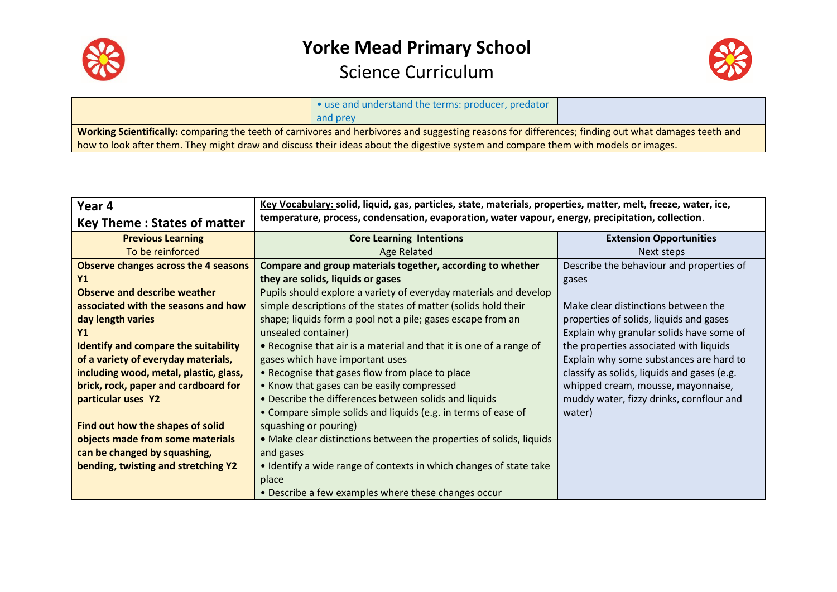



|                                                                                                                                                     | • use and understand the terms: producer, predator |  |
|-----------------------------------------------------------------------------------------------------------------------------------------------------|----------------------------------------------------|--|
|                                                                                                                                                     | and prey                                           |  |
| Working Scientifically: comparing the teeth of carnivores and herbivores and suggesting reasons for differences; finding out what damages teeth and |                                                    |  |
| how to look after them. They might draw and discuss their ideas about the digestive system and compare them with models or images.                  |                                                    |  |

| Year 4                                      | Key Vocabulary: solid, liquid, gas, particles, state, materials, properties, matter, melt, freeze, water, ice, |                                             |
|---------------------------------------------|----------------------------------------------------------------------------------------------------------------|---------------------------------------------|
| <b>Key Theme: States of matter</b>          | temperature, process, condensation, evaporation, water vapour, energy, precipitation, collection.              |                                             |
| <b>Previous Learning</b>                    | <b>Core Learning Intentions</b>                                                                                | <b>Extension Opportunities</b>              |
| To be reinforced                            | <b>Age Related</b>                                                                                             | Next steps                                  |
| <b>Observe changes across the 4 seasons</b> | Compare and group materials together, according to whether                                                     | Describe the behaviour and properties of    |
| Υ1                                          | they are solids, liquids or gases                                                                              | gases                                       |
| <b>Observe and describe weather</b>         | Pupils should explore a variety of everyday materials and develop                                              |                                             |
| associated with the seasons and how         | simple descriptions of the states of matter (solids hold their                                                 | Make clear distinctions between the         |
| day length varies                           | shape; liquids form a pool not a pile; gases escape from an                                                    | properties of solids, liquids and gases     |
| Υ1                                          | unsealed container)                                                                                            | Explain why granular solids have some of    |
| <b>Identify and compare the suitability</b> | • Recognise that air is a material and that it is one of a range of                                            | the properties associated with liquids      |
| of a variety of everyday materials,         | gases which have important uses                                                                                | Explain why some substances are hard to     |
| including wood, metal, plastic, glass,      | • Recognise that gases flow from place to place                                                                | classify as solids, liquids and gases (e.g. |
| brick, rock, paper and cardboard for        | • Know that gases can be easily compressed                                                                     | whipped cream, mousse, mayonnaise,          |
| particular uses Y2                          | • Describe the differences between solids and liquids                                                          | muddy water, fizzy drinks, cornflour and    |
|                                             | • Compare simple solids and liquids (e.g. in terms of ease of                                                  | water)                                      |
| Find out how the shapes of solid            | squashing or pouring)                                                                                          |                                             |
| objects made from some materials            | . Make clear distinctions between the properties of solids, liquids                                            |                                             |
| can be changed by squashing,                | and gases                                                                                                      |                                             |
| bending, twisting and stretching Y2         | • Identify a wide range of contexts in which changes of state take                                             |                                             |
|                                             | place                                                                                                          |                                             |
|                                             | • Describe a few examples where these changes occur                                                            |                                             |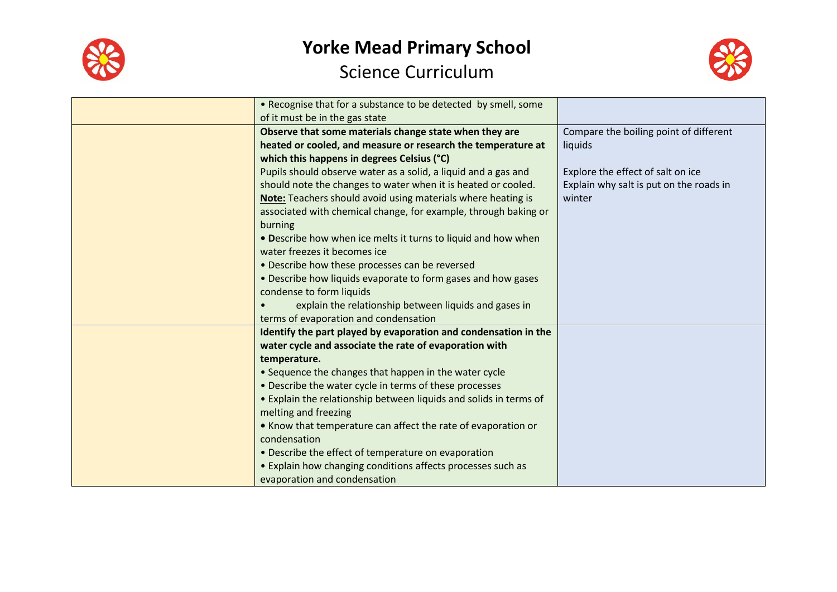



| • Recognise that for a substance to be detected by smell, some    |                                         |
|-------------------------------------------------------------------|-----------------------------------------|
| of it must be in the gas state                                    |                                         |
| Observe that some materials change state when they are            | Compare the boiling point of different  |
| heated or cooled, and measure or research the temperature at      | liquids                                 |
| which this happens in degrees Celsius (°C)                        |                                         |
| Pupils should observe water as a solid, a liquid and a gas and    | Explore the effect of salt on ice       |
| should note the changes to water when it is heated or cooled.     | Explain why salt is put on the roads in |
| Note: Teachers should avoid using materials where heating is      | winter                                  |
| associated with chemical change, for example, through baking or   |                                         |
| burning                                                           |                                         |
| • Describe how when ice melts it turns to liquid and how when     |                                         |
| water freezes it becomes ice                                      |                                         |
| • Describe how these processes can be reversed                    |                                         |
| • Describe how liquids evaporate to form gases and how gases      |                                         |
| condense to form liquids                                          |                                         |
| explain the relationship between liquids and gases in             |                                         |
| terms of evaporation and condensation                             |                                         |
| Identify the part played by evaporation and condensation in the   |                                         |
| water cycle and associate the rate of evaporation with            |                                         |
| temperature.                                                      |                                         |
| • Sequence the changes that happen in the water cycle             |                                         |
| • Describe the water cycle in terms of these processes            |                                         |
| • Explain the relationship between liquids and solids in terms of |                                         |
| melting and freezing                                              |                                         |
| • Know that temperature can affect the rate of evaporation or     |                                         |
| condensation                                                      |                                         |
| • Describe the effect of temperature on evaporation               |                                         |
| • Explain how changing conditions affects processes such as       |                                         |
| evaporation and condensation                                      |                                         |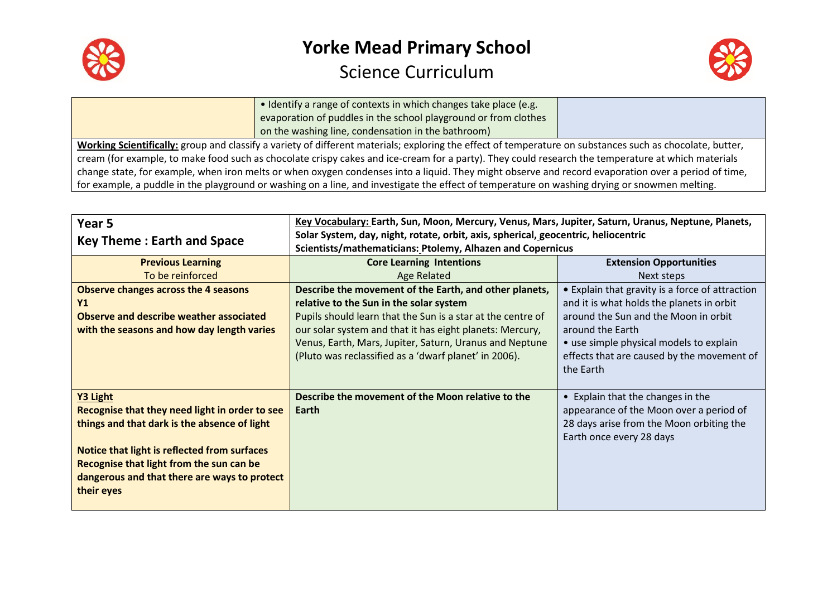



| • Identify a range of contexts in which changes take place (e.g.                                                                                          |  |
|-----------------------------------------------------------------------------------------------------------------------------------------------------------|--|
| evaporation of puddles in the school playground or from clothes                                                                                           |  |
| on the washing line, condensation in the bathroom)                                                                                                        |  |
| Working Scientifically: group and classify a variety of different materials; exploring the effect of temperature on substances such as chocolate, butter, |  |
| cream (for example, to make food such as chocolate crispy cakes and ice-cream for a party). They could research the temperature at which materials        |  |
| change state, for example, when iron melts or when oxygen condenses into a liquid. They might observe and record evaporation over a period of time,       |  |
| for example, a puddle in the playground or washing on a line, and investigate the effect of temperature on washing drying or snowmen melting.             |  |

| Year 5                                         | Key Vocabulary: Earth, Sun, Moon, Mercury, Venus, Mars, Jupiter, Saturn, Uranus, Neptune, Planets, |                                                 |
|------------------------------------------------|----------------------------------------------------------------------------------------------------|-------------------------------------------------|
| <b>Key Theme: Earth and Space</b>              | Solar System, day, night, rotate, orbit, axis, spherical, geocentric, heliocentric                 |                                                 |
|                                                | Scientists/mathematicians: Ptolemy, Alhazen and Copernicus                                         |                                                 |
| <b>Previous Learning</b>                       | <b>Core Learning Intentions</b>                                                                    | <b>Extension Opportunities</b>                  |
| To be reinforced                               | Age Related                                                                                        | Next steps                                      |
| <b>Observe changes across the 4 seasons</b>    | Describe the movement of the Earth, and other planets,                                             | • Explain that gravity is a force of attraction |
| Y <sub>1</sub>                                 | relative to the Sun in the solar system                                                            | and it is what holds the planets in orbit       |
| Observe and describe weather associated        | Pupils should learn that the Sun is a star at the centre of                                        | around the Sun and the Moon in orbit            |
| with the seasons and how day length varies     | our solar system and that it has eight planets: Mercury,                                           | around the Earth                                |
|                                                | Venus, Earth, Mars, Jupiter, Saturn, Uranus and Neptune                                            | • use simple physical models to explain         |
|                                                | (Pluto was reclassified as a 'dwarf planet' in 2006).                                              | effects that are caused by the movement of      |
|                                                |                                                                                                    | the Earth                                       |
|                                                |                                                                                                    |                                                 |
| Y3 Light                                       | Describe the movement of the Moon relative to the                                                  | • Explain that the changes in the               |
| Recognise that they need light in order to see | Earth                                                                                              | appearance of the Moon over a period of         |
| things and that dark is the absence of light   |                                                                                                    | 28 days arise from the Moon orbiting the        |
|                                                |                                                                                                    | Earth once every 28 days                        |
| Notice that light is reflected from surfaces   |                                                                                                    |                                                 |
| Recognise that light from the sun can be       |                                                                                                    |                                                 |
| dangerous and that there are ways to protect   |                                                                                                    |                                                 |
| their eyes                                     |                                                                                                    |                                                 |
|                                                |                                                                                                    |                                                 |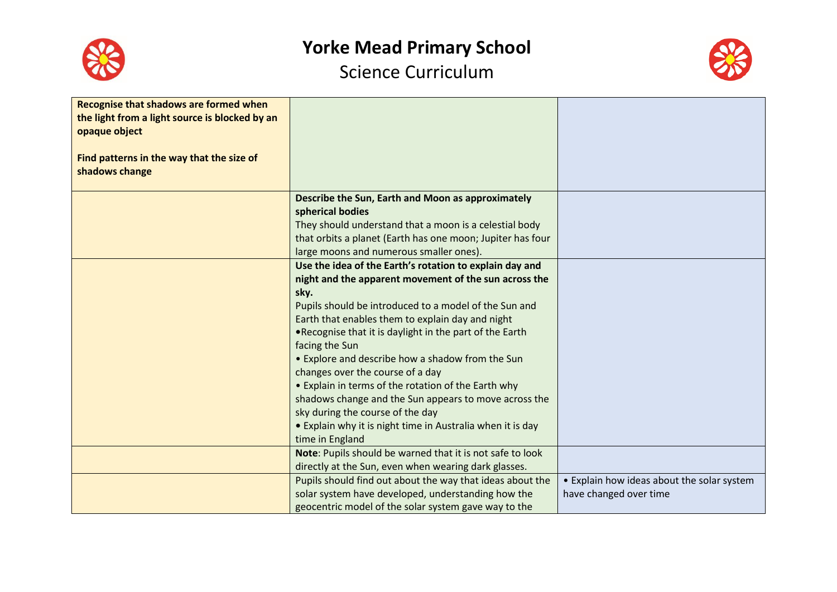



| <b>Recognise that shadows are formed when</b><br>the light from a light source is blocked by an<br>opaque object |                                                                               |                                            |
|------------------------------------------------------------------------------------------------------------------|-------------------------------------------------------------------------------|--------------------------------------------|
| Find patterns in the way that the size of<br>shadows change                                                      |                                                                               |                                            |
|                                                                                                                  | Describe the Sun, Earth and Moon as approximately<br>spherical bodies         |                                            |
|                                                                                                                  | They should understand that a moon is a celestial body                        |                                            |
|                                                                                                                  | that orbits a planet (Earth has one moon; Jupiter has four                    |                                            |
|                                                                                                                  | large moons and numerous smaller ones).                                       |                                            |
|                                                                                                                  | Use the idea of the Earth's rotation to explain day and                       |                                            |
|                                                                                                                  | night and the apparent movement of the sun across the                         |                                            |
|                                                                                                                  | sky.<br>Pupils should be introduced to a model of the Sun and                 |                                            |
|                                                                                                                  | Earth that enables them to explain day and night                              |                                            |
|                                                                                                                  | .Recognise that it is daylight in the part of the Earth                       |                                            |
|                                                                                                                  | facing the Sun                                                                |                                            |
|                                                                                                                  | • Explore and describe how a shadow from the Sun                              |                                            |
|                                                                                                                  | changes over the course of a day                                              |                                            |
|                                                                                                                  | • Explain in terms of the rotation of the Earth why                           |                                            |
|                                                                                                                  | shadows change and the Sun appears to move across the                         |                                            |
|                                                                                                                  | sky during the course of the day                                              |                                            |
|                                                                                                                  | • Explain why it is night time in Australia when it is day<br>time in England |                                            |
|                                                                                                                  | Note: Pupils should be warned that it is not safe to look                     |                                            |
|                                                                                                                  | directly at the Sun, even when wearing dark glasses.                          |                                            |
|                                                                                                                  | Pupils should find out about the way that ideas about the                     | • Explain how ideas about the solar system |
|                                                                                                                  | solar system have developed, understanding how the                            | have changed over time                     |
|                                                                                                                  | geocentric model of the solar system gave way to the                          |                                            |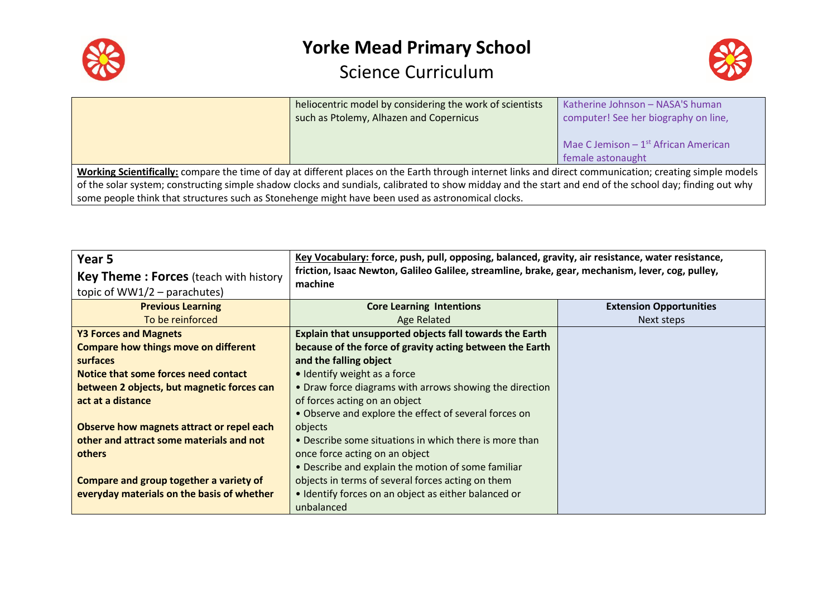



|                                                                                                   | heliocentric model by considering the work of scientists                                                                                                 | Katherine Johnson - NASA'S human                  |
|---------------------------------------------------------------------------------------------------|----------------------------------------------------------------------------------------------------------------------------------------------------------|---------------------------------------------------|
|                                                                                                   | such as Ptolemy, Alhazen and Copernicus                                                                                                                  | computer! See her biography on line,              |
|                                                                                                   |                                                                                                                                                          |                                                   |
|                                                                                                   |                                                                                                                                                          | Mae C Jemison $-1$ <sup>st</sup> African American |
|                                                                                                   |                                                                                                                                                          | female astonaught                                 |
|                                                                                                   | Working Scientifically: compare the time of day at different places on the Earth through internet links and direct communication; creating simple models |                                                   |
|                                                                                                   | of the solar system; constructing simple shadow clocks and sundials, calibrated to show midday and the start and end of the school day; finding out why  |                                                   |
| some people think that structures such as Stonehenge might have been used as astronomical clocks. |                                                                                                                                                          |                                                   |

| Year 5<br><b>Key Theme: Forces</b> (teach with history<br>topic of $WW1/2$ – parachutes) | Key Vocabulary: force, push, pull, opposing, balanced, gravity, air resistance, water resistance,<br>friction, Isaac Newton, Galileo Galilee, streamline, brake, gear, mechanism, lever, cog, pulley,<br>machine |                                |
|------------------------------------------------------------------------------------------|------------------------------------------------------------------------------------------------------------------------------------------------------------------------------------------------------------------|--------------------------------|
| <b>Previous Learning</b>                                                                 | <b>Core Learning Intentions</b>                                                                                                                                                                                  | <b>Extension Opportunities</b> |
| To be reinforced                                                                         | Age Related                                                                                                                                                                                                      | Next steps                     |
| <b>Y3 Forces and Magnets</b>                                                             | Explain that unsupported objects fall towards the Earth                                                                                                                                                          |                                |
| <b>Compare how things move on different</b>                                              | because of the force of gravity acting between the Earth                                                                                                                                                         |                                |
| surfaces                                                                                 | and the falling object                                                                                                                                                                                           |                                |
| Notice that some forces need contact                                                     | • Identify weight as a force                                                                                                                                                                                     |                                |
| between 2 objects, but magnetic forces can                                               | • Draw force diagrams with arrows showing the direction                                                                                                                                                          |                                |
| act at a distance                                                                        | of forces acting on an object                                                                                                                                                                                    |                                |
|                                                                                          | • Observe and explore the effect of several forces on                                                                                                                                                            |                                |
| Observe how magnets attract or repel each                                                | objects                                                                                                                                                                                                          |                                |
| other and attract some materials and not                                                 | • Describe some situations in which there is more than                                                                                                                                                           |                                |
| others                                                                                   | once force acting on an object                                                                                                                                                                                   |                                |
|                                                                                          | • Describe and explain the motion of some familiar                                                                                                                                                               |                                |
| Compare and group together a variety of                                                  | objects in terms of several forces acting on them                                                                                                                                                                |                                |
| everyday materials on the basis of whether                                               | • Identify forces on an object as either balanced or                                                                                                                                                             |                                |
|                                                                                          | unbalanced                                                                                                                                                                                                       |                                |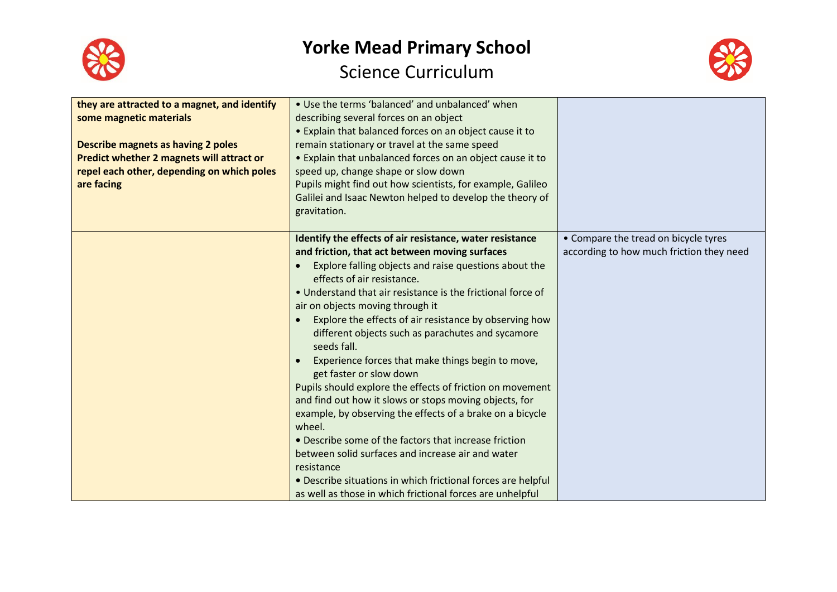



| they are attracted to a magnet, and identify<br>some magnetic materials<br>Describe magnets as having 2 poles<br><b>Predict whether 2 magnets will attract or</b><br>repel each other, depending on which poles<br>are facing | • Use the terms 'balanced' and unbalanced' when<br>describing several forces on an object<br>• Explain that balanced forces on an object cause it to<br>remain stationary or travel at the same speed<br>• Explain that unbalanced forces on an object cause it to<br>speed up, change shape or slow down<br>Pupils might find out how scientists, for example, Galileo<br>Galilei and Isaac Newton helped to develop the theory of<br>gravitation.                                                                                                                                                                                                                                                                                                                                                                                                                                                                                                                       |                                                                                  |
|-------------------------------------------------------------------------------------------------------------------------------------------------------------------------------------------------------------------------------|---------------------------------------------------------------------------------------------------------------------------------------------------------------------------------------------------------------------------------------------------------------------------------------------------------------------------------------------------------------------------------------------------------------------------------------------------------------------------------------------------------------------------------------------------------------------------------------------------------------------------------------------------------------------------------------------------------------------------------------------------------------------------------------------------------------------------------------------------------------------------------------------------------------------------------------------------------------------------|----------------------------------------------------------------------------------|
|                                                                                                                                                                                                                               | Identify the effects of air resistance, water resistance<br>and friction, that act between moving surfaces<br>Explore falling objects and raise questions about the<br>effects of air resistance.<br>• Understand that air resistance is the frictional force of<br>air on objects moving through it<br>Explore the effects of air resistance by observing how<br>different objects such as parachutes and sycamore<br>seeds fall.<br>Experience forces that make things begin to move,<br>get faster or slow down<br>Pupils should explore the effects of friction on movement<br>and find out how it slows or stops moving objects, for<br>example, by observing the effects of a brake on a bicycle<br>wheel.<br>• Describe some of the factors that increase friction<br>between solid surfaces and increase air and water<br>resistance<br>• Describe situations in which frictional forces are helpful<br>as well as those in which frictional forces are unhelpful | • Compare the tread on bicycle tyres<br>according to how much friction they need |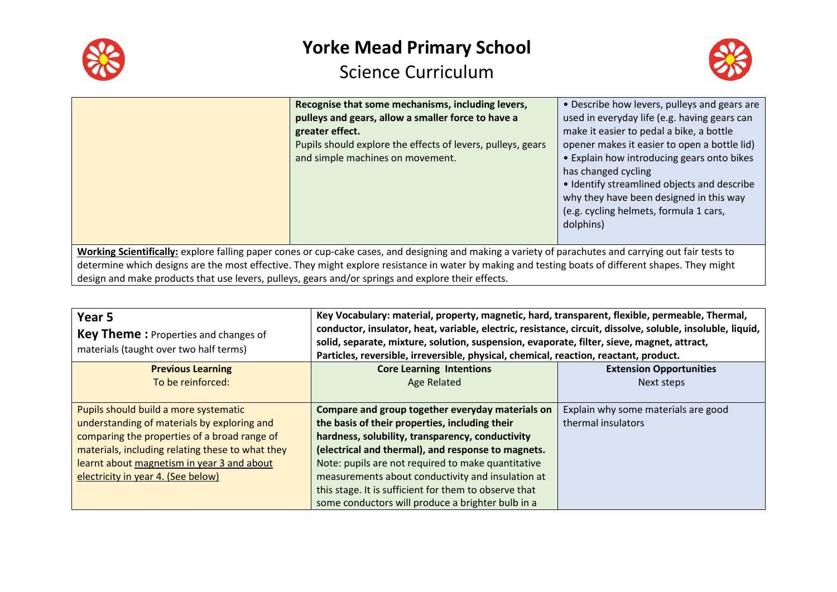



|                                                                                                                                                                                                                                                                                                                                                                                                                    | Recognise that some mechanisms, including levers,<br>pulleys and gears, allow a smaller force to have a<br>greater effect.<br>Pupils should explore the effects of levers, pulleys, gears<br>and simple machines on movement. | • Describe how levers, pulleys and gears are<br>used in everyday life (e.g. having gears can<br>make it easier to pedal a bike, a bottle<br>opener makes it easier to open a bottle lid)<br>• Explain how introducing gears onto bikes<br>has changed cycling<br>• Identify streamlined objects and describe<br>why they have been designed in this way<br>(e.g. cycling helmets, formula 1 cars,<br>dolphins) |
|--------------------------------------------------------------------------------------------------------------------------------------------------------------------------------------------------------------------------------------------------------------------------------------------------------------------------------------------------------------------------------------------------------------------|-------------------------------------------------------------------------------------------------------------------------------------------------------------------------------------------------------------------------------|----------------------------------------------------------------------------------------------------------------------------------------------------------------------------------------------------------------------------------------------------------------------------------------------------------------------------------------------------------------------------------------------------------------|
| Working Scientifically: explore falling paper cones or cup-cake cases, and designing and making a variety of parachutes and carrying out fair tests to<br>determine which designs are the most effective. They might explore resistance in water by making and testing boats of different shapes. They might<br>design and make products that use levers, pulleys, gears and/or springs and explore their effects. |                                                                                                                                                                                                                               |                                                                                                                                                                                                                                                                                                                                                                                                                |

| Year <sub>5</sub><br><b>Key Theme:</b> Properties and changes of<br>materials (taught over two half terms) | Key Vocabulary: material, property, magnetic, hard, transparent, flexible, permeable, Thermal,<br>conductor, insulator, heat, variable, electric, resistance, circuit, dissolve, soluble, insoluble, liquid,<br>solid, separate, mixture, solution, suspension, evaporate, filter, sieve, magnet, attract,<br>Particles, reversible, irreversible, physical, chemical, reaction, reactant, product. |                                     |
|------------------------------------------------------------------------------------------------------------|-----------------------------------------------------------------------------------------------------------------------------------------------------------------------------------------------------------------------------------------------------------------------------------------------------------------------------------------------------------------------------------------------------|-------------------------------------|
| <b>Previous Learning</b>                                                                                   | <b>Core Learning Intentions</b><br><b>Extension Opportunities</b>                                                                                                                                                                                                                                                                                                                                   |                                     |
| To be reinforced:                                                                                          | <b>Age Related</b>                                                                                                                                                                                                                                                                                                                                                                                  | Next steps                          |
| Pupils should build a more systematic                                                                      | Compare and group together everyday materials on                                                                                                                                                                                                                                                                                                                                                    | Explain why some materials are good |
| understanding of materials by exploring and                                                                | the basis of their properties, including their                                                                                                                                                                                                                                                                                                                                                      | thermal insulators                  |
| comparing the properties of a broad range of                                                               | hardness, solubility, transparency, conductivity                                                                                                                                                                                                                                                                                                                                                    |                                     |
| materials, including relating these to what they                                                           | (electrical and thermal), and response to magnets.                                                                                                                                                                                                                                                                                                                                                  |                                     |
| learnt about magnetism in year 3 and about                                                                 | Note: pupils are not required to make quantitative                                                                                                                                                                                                                                                                                                                                                  |                                     |
| electricity in year 4. (See below)                                                                         | measurements about conductivity and insulation at                                                                                                                                                                                                                                                                                                                                                   |                                     |
|                                                                                                            | this stage. It is sufficient for them to observe that                                                                                                                                                                                                                                                                                                                                               |                                     |
|                                                                                                            | some conductors will produce a brighter bulb in a                                                                                                                                                                                                                                                                                                                                                   |                                     |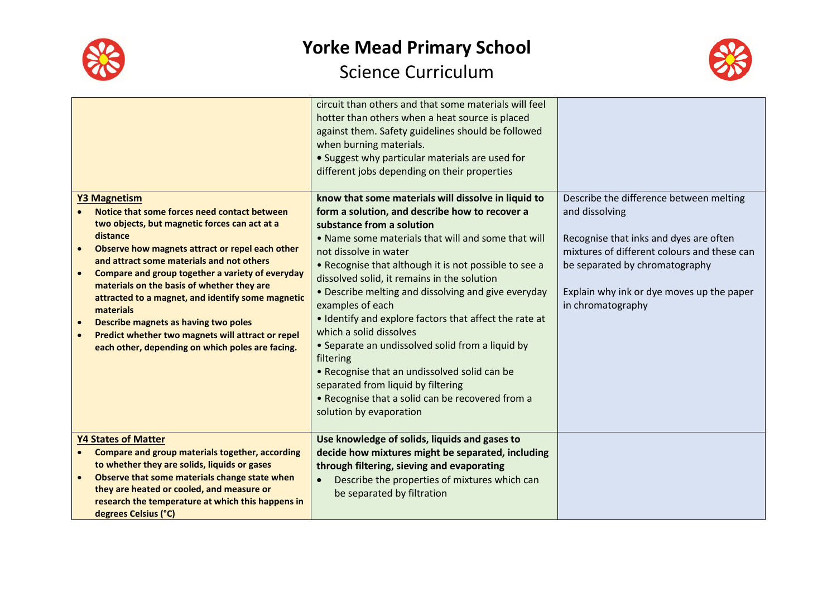



|                                                                                                                                                                                                                                                                                                                                                                                                                                                                                                                                                                                                           | circuit than others and that some materials will feel<br>hotter than others when a heat source is placed<br>against them. Safety guidelines should be followed<br>when burning materials.<br>• Suggest why particular materials are used for<br>different jobs depending on their properties                                                                                                                                                                                                                                                                                                                                                                                                                                    |                                                                                                                                                                                                                                                        |
|-----------------------------------------------------------------------------------------------------------------------------------------------------------------------------------------------------------------------------------------------------------------------------------------------------------------------------------------------------------------------------------------------------------------------------------------------------------------------------------------------------------------------------------------------------------------------------------------------------------|---------------------------------------------------------------------------------------------------------------------------------------------------------------------------------------------------------------------------------------------------------------------------------------------------------------------------------------------------------------------------------------------------------------------------------------------------------------------------------------------------------------------------------------------------------------------------------------------------------------------------------------------------------------------------------------------------------------------------------|--------------------------------------------------------------------------------------------------------------------------------------------------------------------------------------------------------------------------------------------------------|
| <b>Y3 Magnetism</b><br>Notice that some forces need contact between<br>two objects, but magnetic forces can act at a<br>distance<br>Observe how magnets attract or repel each other<br>$\bullet$<br>and attract some materials and not others<br>Compare and group together a variety of everyday<br>$\bullet$<br>materials on the basis of whether they are<br>attracted to a magnet, and identify some magnetic<br>materials<br>Describe magnets as having two poles<br>$\bullet$<br>Predict whether two magnets will attract or repel<br>$\bullet$<br>each other, depending on which poles are facing. | know that some materials will dissolve in liquid to<br>form a solution, and describe how to recover a<br>substance from a solution<br>• Name some materials that will and some that will<br>not dissolve in water<br>• Recognise that although it is not possible to see a<br>dissolved solid, it remains in the solution<br>• Describe melting and dissolving and give everyday<br>examples of each<br>• Identify and explore factors that affect the rate at<br>which a solid dissolves<br>• Separate an undissolved solid from a liquid by<br>filtering<br>• Recognise that an undissolved solid can be<br>separated from liquid by filtering<br>• Recognise that a solid can be recovered from a<br>solution by evaporation | Describe the difference between melting<br>and dissolving<br>Recognise that inks and dyes are often<br>mixtures of different colours and these can<br>be separated by chromatography<br>Explain why ink or dye moves up the paper<br>in chromatography |
| <b>Y4 States of Matter</b><br><b>Compare and group materials together, according</b><br>to whether they are solids, liquids or gases<br>Observe that some materials change state when<br>$\bullet$<br>they are heated or cooled, and measure or<br>research the temperature at which this happens in<br>degrees Celsius (°C)                                                                                                                                                                                                                                                                              | Use knowledge of solids, liquids and gases to<br>decide how mixtures might be separated, including<br>through filtering, sieving and evaporating<br>Describe the properties of mixtures which can<br>$\bullet$<br>be separated by filtration                                                                                                                                                                                                                                                                                                                                                                                                                                                                                    |                                                                                                                                                                                                                                                        |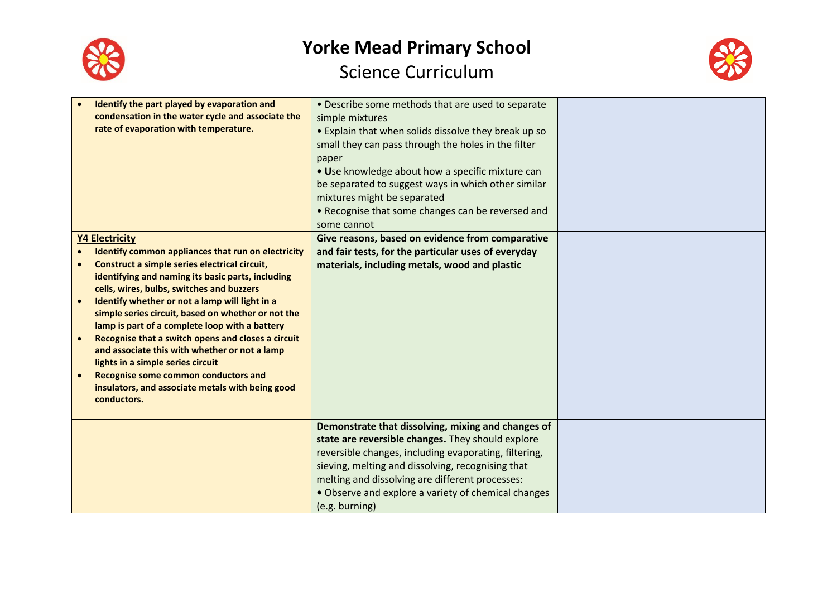



| Identify the part played by evaporation and<br>condensation in the water cycle and associate the<br>rate of evaporation with temperature.                                                                                                                                                                                                                                                                                                                                                                                                                                                                                                       | • Describe some methods that are used to separate<br>simple mixtures<br>• Explain that when solids dissolve they break up so<br>small they can pass through the holes in the filter<br>paper<br>• Use knowledge about how a specific mixture can<br>be separated to suggest ways in which other similar<br>mixtures might be separated<br>• Recognise that some changes can be reversed and<br>some cannot |  |
|-------------------------------------------------------------------------------------------------------------------------------------------------------------------------------------------------------------------------------------------------------------------------------------------------------------------------------------------------------------------------------------------------------------------------------------------------------------------------------------------------------------------------------------------------------------------------------------------------------------------------------------------------|------------------------------------------------------------------------------------------------------------------------------------------------------------------------------------------------------------------------------------------------------------------------------------------------------------------------------------------------------------------------------------------------------------|--|
| <b>Y4 Electricity</b><br>Identify common appliances that run on electricity<br>Construct a simple series electrical circuit,<br>identifying and naming its basic parts, including<br>cells, wires, bulbs, switches and buzzers<br>Identify whether or not a lamp will light in a<br>simple series circuit, based on whether or not the<br>lamp is part of a complete loop with a battery<br>Recognise that a switch opens and closes a circuit<br>and associate this with whether or not a lamp<br>lights in a simple series circuit<br>Recognise some common conductors and<br>insulators, and associate metals with being good<br>conductors. | Give reasons, based on evidence from comparative<br>and fair tests, for the particular uses of everyday<br>materials, including metals, wood and plastic                                                                                                                                                                                                                                                   |  |
|                                                                                                                                                                                                                                                                                                                                                                                                                                                                                                                                                                                                                                                 | Demonstrate that dissolving, mixing and changes of<br>state are reversible changes. They should explore<br>reversible changes, including evaporating, filtering,<br>sieving, melting and dissolving, recognising that<br>melting and dissolving are different processes:<br>• Observe and explore a variety of chemical changes<br>(e.g. burning)                                                          |  |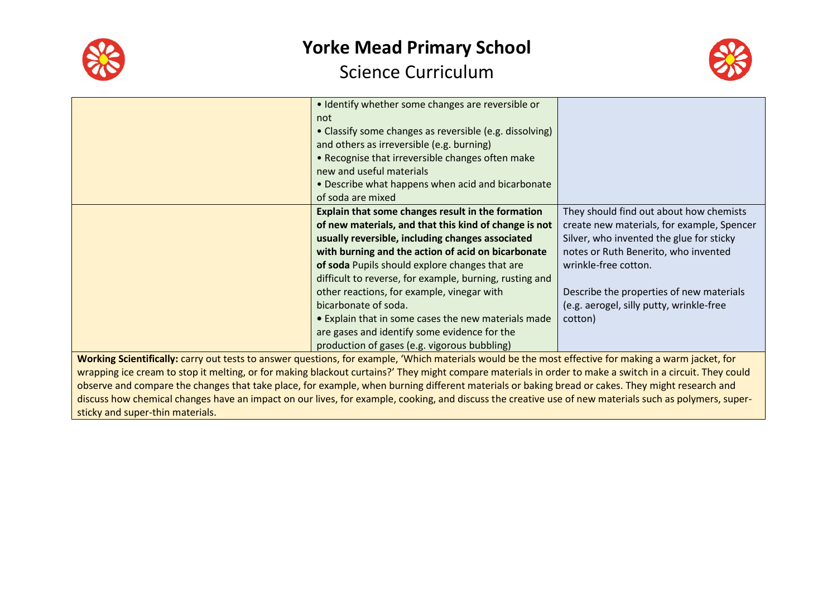



|                                                                                                                                                          | • Identify whether some changes are reversible or<br>not                                                                                               |                                            |
|----------------------------------------------------------------------------------------------------------------------------------------------------------|--------------------------------------------------------------------------------------------------------------------------------------------------------|--------------------------------------------|
|                                                                                                                                                          | • Classify some changes as reversible (e.g. dissolving)                                                                                                |                                            |
|                                                                                                                                                          | and others as irreversible (e.g. burning)                                                                                                              |                                            |
|                                                                                                                                                          | • Recognise that irreversible changes often make                                                                                                       |                                            |
|                                                                                                                                                          | new and useful materials                                                                                                                               |                                            |
|                                                                                                                                                          | • Describe what happens when acid and bicarbonate                                                                                                      |                                            |
|                                                                                                                                                          | of soda are mixed                                                                                                                                      |                                            |
|                                                                                                                                                          | Explain that some changes result in the formation                                                                                                      | They should find out about how chemists    |
|                                                                                                                                                          | of new materials, and that this kind of change is not                                                                                                  | create new materials, for example, Spencer |
|                                                                                                                                                          | usually reversible, including changes associated                                                                                                       | Silver, who invented the glue for sticky   |
|                                                                                                                                                          | with burning and the action of acid on bicarbonate                                                                                                     | notes or Ruth Benerito, who invented       |
|                                                                                                                                                          | of soda Pupils should explore changes that are                                                                                                         | wrinkle-free cotton.                       |
|                                                                                                                                                          | difficult to reverse, for example, burning, rusting and                                                                                                |                                            |
|                                                                                                                                                          | other reactions, for example, vinegar with                                                                                                             | Describe the properties of new materials   |
|                                                                                                                                                          | bicarbonate of soda.                                                                                                                                   | (e.g. aerogel, silly putty, wrinkle-free   |
|                                                                                                                                                          | • Explain that in some cases the new materials made                                                                                                    | cotton)                                    |
|                                                                                                                                                          | are gases and identify some evidence for the                                                                                                           |                                            |
|                                                                                                                                                          | production of gases (e.g. vigorous bubbling)                                                                                                           |                                            |
| Working Scientifically: carry out tests to answer questions, for example, 'Which materials would be the most effective for making a warm jacket, for     |                                                                                                                                                        |                                            |
| wrapping ice cream to stop it melting, or for making blackout curtains?' They might compare materials in order to make a switch in a circuit. They could |                                                                                                                                                        |                                            |
| observe and compare the changes that take place, for example, when burning different materials or baking bread or cakes. They might research and         |                                                                                                                                                        |                                            |
|                                                                                                                                                          | discuss how chemical changes have an impact on our lives, for example, cooking, and discuss the creative use of new materials such as polymers, super- |                                            |
| sticky and super-thin materials.                                                                                                                         |                                                                                                                                                        |                                            |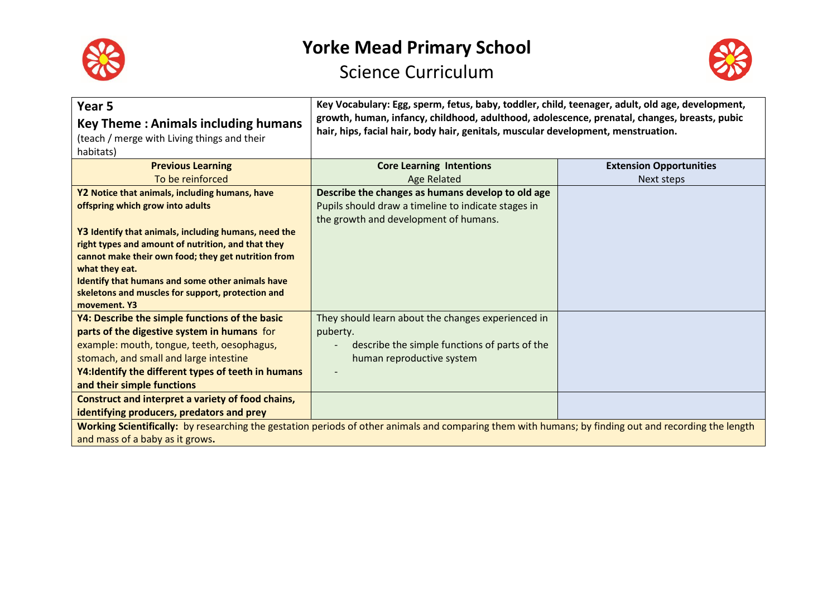



| Year <sub>5</sub><br><b>Key Theme: Animals including humans</b><br>(teach / merge with Living things and their<br>habitats) | Key Vocabulary: Egg, sperm, fetus, baby, toddler, child, teenager, adult, old age, development,<br>growth, human, infancy, childhood, adulthood, adolescence, prenatal, changes, breasts, pubic<br>hair, hips, facial hair, body hair, genitals, muscular development, menstruation. |                                |
|-----------------------------------------------------------------------------------------------------------------------------|--------------------------------------------------------------------------------------------------------------------------------------------------------------------------------------------------------------------------------------------------------------------------------------|--------------------------------|
| <b>Previous Learning</b>                                                                                                    | <b>Core Learning Intentions</b>                                                                                                                                                                                                                                                      | <b>Extension Opportunities</b> |
| To be reinforced                                                                                                            | <b>Age Related</b>                                                                                                                                                                                                                                                                   | Next steps                     |
| Y2 Notice that animals, including humans, have                                                                              | Describe the changes as humans develop to old age                                                                                                                                                                                                                                    |                                |
| offspring which grow into adults                                                                                            | Pupils should draw a timeline to indicate stages in                                                                                                                                                                                                                                  |                                |
|                                                                                                                             | the growth and development of humans.                                                                                                                                                                                                                                                |                                |
| Y3 Identify that animals, including humans, need the                                                                        |                                                                                                                                                                                                                                                                                      |                                |
| right types and amount of nutrition, and that they<br>cannot make their own food; they get nutrition from                   |                                                                                                                                                                                                                                                                                      |                                |
| what they eat.                                                                                                              |                                                                                                                                                                                                                                                                                      |                                |
| Identify that humans and some other animals have                                                                            |                                                                                                                                                                                                                                                                                      |                                |
| skeletons and muscles for support, protection and                                                                           |                                                                                                                                                                                                                                                                                      |                                |
| movement. Y3                                                                                                                |                                                                                                                                                                                                                                                                                      |                                |
| Y4: Describe the simple functions of the basic                                                                              | They should learn about the changes experienced in                                                                                                                                                                                                                                   |                                |
| parts of the digestive system in humans for                                                                                 | puberty.                                                                                                                                                                                                                                                                             |                                |
| example: mouth, tongue, teeth, oesophagus,                                                                                  | describe the simple functions of parts of the                                                                                                                                                                                                                                        |                                |
| stomach, and small and large intestine                                                                                      | human reproductive system                                                                                                                                                                                                                                                            |                                |
| Y4: Identify the different types of teeth in humans                                                                         |                                                                                                                                                                                                                                                                                      |                                |
| and their simple functions                                                                                                  |                                                                                                                                                                                                                                                                                      |                                |
| Construct and interpret a variety of food chains,                                                                           |                                                                                                                                                                                                                                                                                      |                                |
| identifying producers, predators and prey                                                                                   |                                                                                                                                                                                                                                                                                      |                                |
|                                                                                                                             | Working Scientifically: by researching the gestation periods of other animals and comparing them with humans; by finding out and recording the length                                                                                                                                |                                |
| and mass of a baby as it grows.                                                                                             |                                                                                                                                                                                                                                                                                      |                                |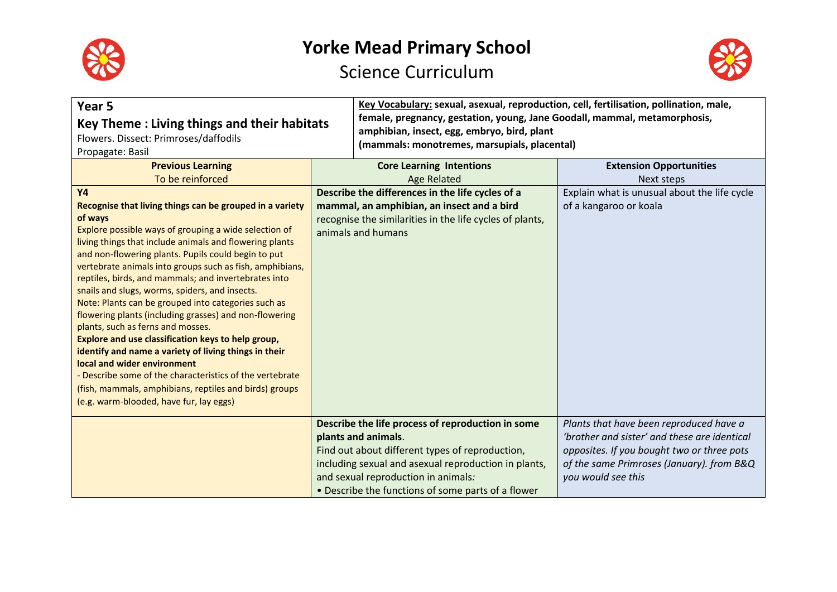



| Year 5<br>Key Theme: Living things and their habitats<br>Flowers. Dissect: Primroses/daffodils<br>Propagate: Basil |                                                                                | Key Vocabulary: sexual, asexual, reproduction, cell, fertilisation, pollination, male,<br>female, pregnancy, gestation, young, Jane Goodall, mammal, metamorphosis,<br>amphibian, insect, egg, embryo, bird, plant<br>(mammals: monotremes, marsupials, placental) |                                              |
|--------------------------------------------------------------------------------------------------------------------|--------------------------------------------------------------------------------|--------------------------------------------------------------------------------------------------------------------------------------------------------------------------------------------------------------------------------------------------------------------|----------------------------------------------|
| <b>Previous Learning</b>                                                                                           | <b>Core Learning Intentions</b>                                                |                                                                                                                                                                                                                                                                    | <b>Extension Opportunities</b>               |
| To be reinforced                                                                                                   |                                                                                | <b>Age Related</b>                                                                                                                                                                                                                                                 | <b>Next steps</b>                            |
| <b>Y4</b>                                                                                                          | Describe the differences in the life cycles of a                               |                                                                                                                                                                                                                                                                    | Explain what is unusual about the life cycle |
| Recognise that living things can be grouped in a variety                                                           | mammal, an amphibian, an insect and a bird                                     |                                                                                                                                                                                                                                                                    | of a kangaroo or koala                       |
| of ways<br>Explore possible ways of grouping a wide selection of                                                   | recognise the similarities in the life cycles of plants,<br>animals and humans |                                                                                                                                                                                                                                                                    |                                              |
| living things that include animals and flowering plants<br>and non-flowering plants. Pupils could begin to put     |                                                                                |                                                                                                                                                                                                                                                                    |                                              |
| vertebrate animals into groups such as fish, amphibians,                                                           |                                                                                |                                                                                                                                                                                                                                                                    |                                              |
| reptiles, birds, and mammals; and invertebrates into                                                               |                                                                                |                                                                                                                                                                                                                                                                    |                                              |
| snails and slugs, worms, spiders, and insects.                                                                     |                                                                                |                                                                                                                                                                                                                                                                    |                                              |
| Note: Plants can be grouped into categories such as                                                                |                                                                                |                                                                                                                                                                                                                                                                    |                                              |
| flowering plants (including grasses) and non-flowering<br>plants, such as ferns and mosses.                        |                                                                                |                                                                                                                                                                                                                                                                    |                                              |
| Explore and use classification keys to help group,                                                                 |                                                                                |                                                                                                                                                                                                                                                                    |                                              |
| identify and name a variety of living things in their                                                              |                                                                                |                                                                                                                                                                                                                                                                    |                                              |
| local and wider environment                                                                                        |                                                                                |                                                                                                                                                                                                                                                                    |                                              |
| Describe some of the characteristics of the vertebrate                                                             |                                                                                |                                                                                                                                                                                                                                                                    |                                              |
| (fish, mammals, amphibians, reptiles and birds) groups                                                             |                                                                                |                                                                                                                                                                                                                                                                    |                                              |
| (e.g. warm-blooded, have fur, lay eggs)                                                                            |                                                                                |                                                                                                                                                                                                                                                                    |                                              |
|                                                                                                                    | Describe the life process of reproduction in some                              |                                                                                                                                                                                                                                                                    | Plants that have been reproduced have a      |
|                                                                                                                    | plants and animals.                                                            |                                                                                                                                                                                                                                                                    | 'brother and sister' and these are identical |
|                                                                                                                    | Find out about different types of reproduction,                                |                                                                                                                                                                                                                                                                    | opposites. If you bought two or three pots   |
|                                                                                                                    | including sexual and asexual reproduction in plants,                           |                                                                                                                                                                                                                                                                    | of the same Primroses (January). from B&Q    |
|                                                                                                                    | and sexual reproduction in animals:                                            |                                                                                                                                                                                                                                                                    | you would see this                           |
|                                                                                                                    | • Describe the functions of some parts of a flower                             |                                                                                                                                                                                                                                                                    |                                              |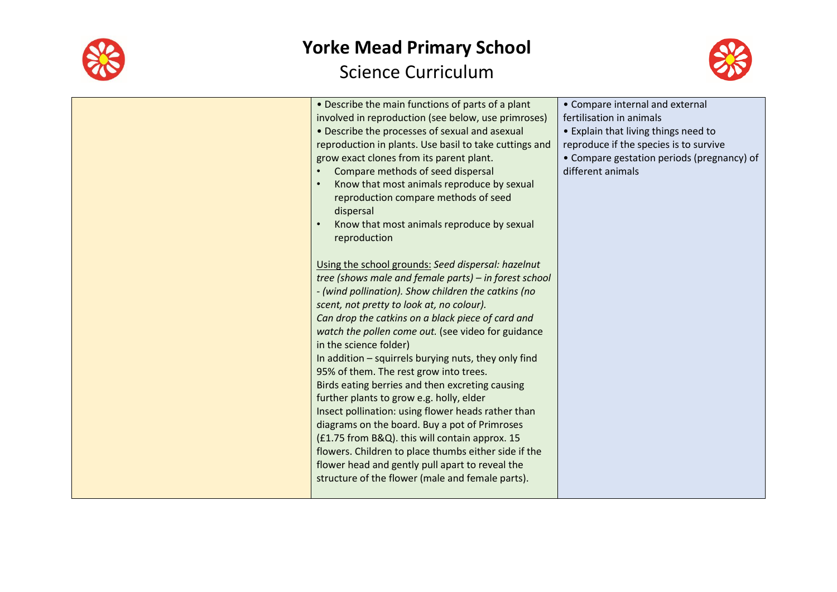

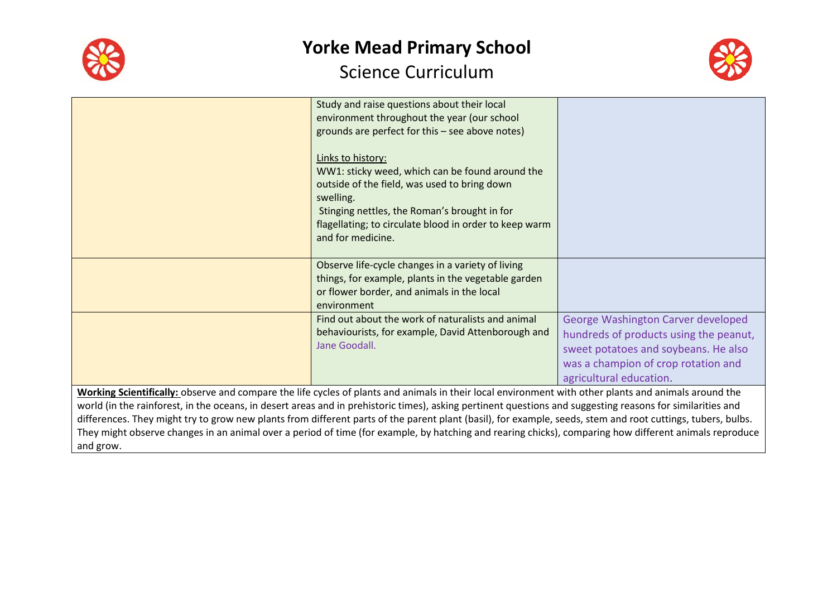



|                                                                                                                                                             | Study and raise questions about their local<br>environment throughout the year (our school                                                                                                                                                                       |                                        |
|-------------------------------------------------------------------------------------------------------------------------------------------------------------|------------------------------------------------------------------------------------------------------------------------------------------------------------------------------------------------------------------------------------------------------------------|----------------------------------------|
|                                                                                                                                                             | grounds are perfect for this - see above notes)                                                                                                                                                                                                                  |                                        |
|                                                                                                                                                             | Links to history:<br>WW1: sticky weed, which can be found around the<br>outside of the field, was used to bring down<br>swelling.<br>Stinging nettles, the Roman's brought in for<br>flagellating; to circulate blood in order to keep warm<br>and for medicine. |                                        |
|                                                                                                                                                             |                                                                                                                                                                                                                                                                  |                                        |
|                                                                                                                                                             | Observe life-cycle changes in a variety of living<br>things, for example, plants in the vegetable garden                                                                                                                                                         |                                        |
|                                                                                                                                                             | or flower border, and animals in the local                                                                                                                                                                                                                       |                                        |
|                                                                                                                                                             | environment                                                                                                                                                                                                                                                      |                                        |
|                                                                                                                                                             | Find out about the work of naturalists and animal                                                                                                                                                                                                                | George Washington Carver developed     |
|                                                                                                                                                             | behaviourists, for example, David Attenborough and                                                                                                                                                                                                               | hundreds of products using the peanut, |
|                                                                                                                                                             | Jane Goodall.                                                                                                                                                                                                                                                    | sweet potatoes and soybeans. He also   |
|                                                                                                                                                             |                                                                                                                                                                                                                                                                  | was a champion of crop rotation and    |
|                                                                                                                                                             |                                                                                                                                                                                                                                                                  | agricultural education.                |
| Working Scientifically: observe and compare the life cycles of plants and animals in their local environment with other plants and animals around the       |                                                                                                                                                                                                                                                                  |                                        |
| world (in the rainforest, in the oceans, in desert areas and in prehistoric times), asking pertinent questions and suggesting reasons for similarities and  |                                                                                                                                                                                                                                                                  |                                        |
| differences. They might try to grow new plants from different parts of the parent plant (basil), for example, seeds, stem and root cuttings, tubers, bulbs. |                                                                                                                                                                                                                                                                  |                                        |

They might observe changes in an animal over a period of time (for example, by hatching and rearing chicks), comparing how different animals reproduce and grow.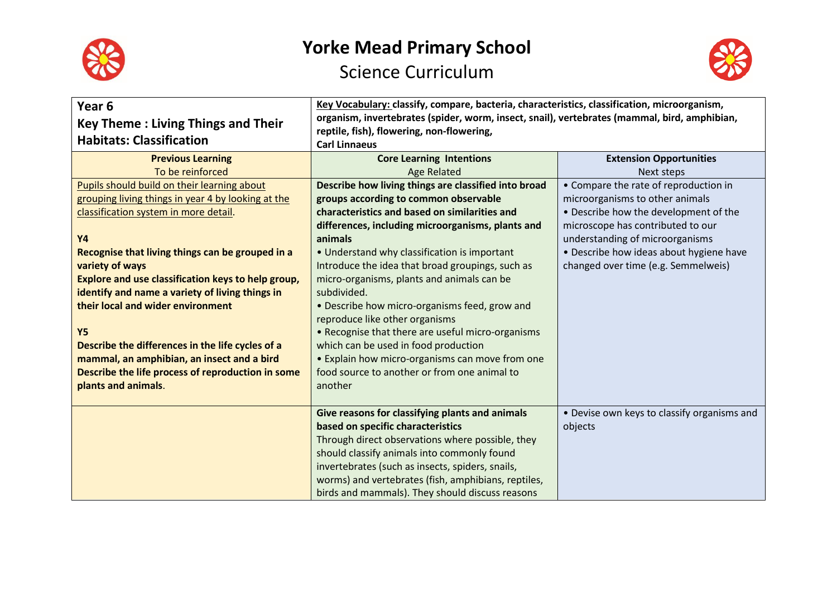



| Year 6<br><b>Key Theme: Living Things and Their</b><br><b>Habitats: Classification</b>                                                                                                                                                                                                                                                                                                                                    | Key Vocabulary: classify, compare, bacteria, characteristics, classification, microorganism,<br>organism, invertebrates (spider, worm, insect, snail), vertebrates (mammal, bird, amphibian,<br>reptile, fish), flowering, non-flowering,<br><b>Carl Linnaeus</b>                                                                                                                                                                                                                                                           |                                                                                                                                                        |
|---------------------------------------------------------------------------------------------------------------------------------------------------------------------------------------------------------------------------------------------------------------------------------------------------------------------------------------------------------------------------------------------------------------------------|-----------------------------------------------------------------------------------------------------------------------------------------------------------------------------------------------------------------------------------------------------------------------------------------------------------------------------------------------------------------------------------------------------------------------------------------------------------------------------------------------------------------------------|--------------------------------------------------------------------------------------------------------------------------------------------------------|
| <b>Previous Learning</b>                                                                                                                                                                                                                                                                                                                                                                                                  | <b>Core Learning Intentions</b>                                                                                                                                                                                                                                                                                                                                                                                                                                                                                             | <b>Extension Opportunities</b>                                                                                                                         |
| To be reinforced                                                                                                                                                                                                                                                                                                                                                                                                          | <b>Age Related</b>                                                                                                                                                                                                                                                                                                                                                                                                                                                                                                          | Next steps                                                                                                                                             |
| Pupils should build on their learning about                                                                                                                                                                                                                                                                                                                                                                               | Describe how living things are classified into broad                                                                                                                                                                                                                                                                                                                                                                                                                                                                        | • Compare the rate of reproduction in                                                                                                                  |
| grouping living things in year 4 by looking at the                                                                                                                                                                                                                                                                                                                                                                        | groups according to common observable                                                                                                                                                                                                                                                                                                                                                                                                                                                                                       | microorganisms to other animals                                                                                                                        |
| classification system in more detail.                                                                                                                                                                                                                                                                                                                                                                                     | characteristics and based on similarities and                                                                                                                                                                                                                                                                                                                                                                                                                                                                               | • Describe how the development of the                                                                                                                  |
| <b>Y4</b><br>Recognise that living things can be grouped in a<br>variety of ways<br>Explore and use classification keys to help group,<br>identify and name a variety of living things in<br>their local and wider environment<br><b>Y5</b><br>Describe the differences in the life cycles of a<br>mammal, an amphibian, an insect and a bird<br>Describe the life process of reproduction in some<br>plants and animals. | differences, including microorganisms, plants and<br>animals<br>• Understand why classification is important<br>Introduce the idea that broad groupings, such as<br>micro-organisms, plants and animals can be<br>subdivided.<br>• Describe how micro-organisms feed, grow and<br>reproduce like other organisms<br>• Recognise that there are useful micro-organisms<br>which can be used in food production<br>• Explain how micro-organisms can move from one<br>food source to another or from one animal to<br>another | microscope has contributed to our<br>understanding of microorganisms<br>• Describe how ideas about hygiene have<br>changed over time (e.g. Semmelweis) |
|                                                                                                                                                                                                                                                                                                                                                                                                                           | Give reasons for classifying plants and animals<br>based on specific characteristics<br>Through direct observations where possible, they<br>should classify animals into commonly found<br>invertebrates (such as insects, spiders, snails,<br>worms) and vertebrates (fish, amphibians, reptiles,<br>birds and mammals). They should discuss reasons                                                                                                                                                                       | • Devise own keys to classify organisms and<br>objects                                                                                                 |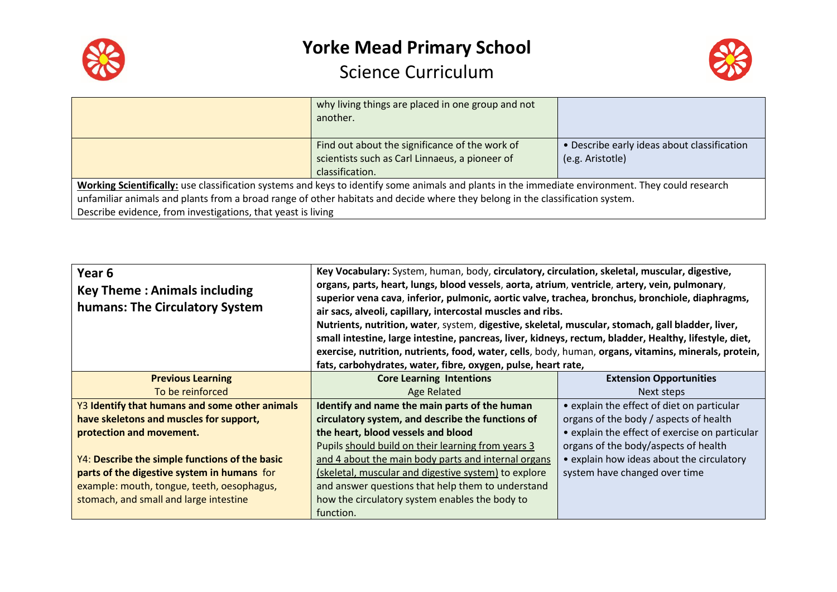



|                                                                                                                                                   | why living things are placed in one group and not |                                             |
|---------------------------------------------------------------------------------------------------------------------------------------------------|---------------------------------------------------|---------------------------------------------|
|                                                                                                                                                   | another.                                          |                                             |
|                                                                                                                                                   |                                                   |                                             |
|                                                                                                                                                   | Find out about the significance of the work of    | • Describe early ideas about classification |
|                                                                                                                                                   | scientists such as Carl Linnaeus, a pioneer of    | (e.g. Aristotle)                            |
|                                                                                                                                                   | classification.                                   |                                             |
| Working Scientifically: use classification systems and keys to identify some animals and plants in the immediate environment. They could research |                                                   |                                             |
| unfamiliar animals and plants from a broad range of other habitats and decide where they belong in the classification system.                     |                                                   |                                             |
| Describe evidence, from investigations, that yeast is living                                                                                      |                                                   |                                             |

| Year <sub>6</sub><br><b>Key Theme: Animals including</b><br>humans: The Circulatory System | Key Vocabulary: System, human, body, circulatory, circulation, skeletal, muscular, digestive,<br>organs, parts, heart, lungs, blood vessels, aorta, atrium, ventricle, artery, vein, pulmonary,<br>superior vena cava, inferior, pulmonic, aortic valve, trachea, bronchus, bronchiole, diaphragms,<br>air sacs, alveoli, capillary, intercostal muscles and ribs.<br>Nutrients, nutrition, water, system, digestive, skeletal, muscular, stomach, gall bladder, liver,<br>small intestine, large intestine, pancreas, liver, kidneys, rectum, bladder, Healthy, lifestyle, diet,<br>exercise, nutrition, nutrients, food, water, cells, body, human, organs, vitamins, minerals, protein,<br>fats, carbohydrates, water, fibre, oxygen, pulse, heart rate, |                                                |
|--------------------------------------------------------------------------------------------|-------------------------------------------------------------------------------------------------------------------------------------------------------------------------------------------------------------------------------------------------------------------------------------------------------------------------------------------------------------------------------------------------------------------------------------------------------------------------------------------------------------------------------------------------------------------------------------------------------------------------------------------------------------------------------------------------------------------------------------------------------------|------------------------------------------------|
| <b>Previous Learning</b>                                                                   | <b>Core Learning Intentions</b>                                                                                                                                                                                                                                                                                                                                                                                                                                                                                                                                                                                                                                                                                                                             | <b>Extension Opportunities</b>                 |
| To be reinforced                                                                           | Age Related                                                                                                                                                                                                                                                                                                                                                                                                                                                                                                                                                                                                                                                                                                                                                 | Next steps                                     |
| Y3 Identify that humans and some other animals                                             | Identify and name the main parts of the human                                                                                                                                                                                                                                                                                                                                                                                                                                                                                                                                                                                                                                                                                                               | • explain the effect of diet on particular     |
| have skeletons and muscles for support,                                                    | circulatory system, and describe the functions of                                                                                                                                                                                                                                                                                                                                                                                                                                                                                                                                                                                                                                                                                                           | organs of the body / aspects of health         |
| protection and movement.                                                                   | the heart, blood vessels and blood                                                                                                                                                                                                                                                                                                                                                                                                                                                                                                                                                                                                                                                                                                                          | • explain the effect of exercise on particular |
|                                                                                            | Pupils should build on their learning from years 3                                                                                                                                                                                                                                                                                                                                                                                                                                                                                                                                                                                                                                                                                                          | organs of the body/aspects of health           |
| Y4: Describe the simple functions of the basic                                             | and 4 about the main body parts and internal organs                                                                                                                                                                                                                                                                                                                                                                                                                                                                                                                                                                                                                                                                                                         | • explain how ideas about the circulatory      |
| parts of the digestive system in humans for                                                | (skeletal, muscular and digestive system) to explore                                                                                                                                                                                                                                                                                                                                                                                                                                                                                                                                                                                                                                                                                                        | system have changed over time                  |
| example: mouth, tongue, teeth, oesophagus,                                                 | and answer questions that help them to understand                                                                                                                                                                                                                                                                                                                                                                                                                                                                                                                                                                                                                                                                                                           |                                                |
| stomach, and small and large intestine                                                     | how the circulatory system enables the body to                                                                                                                                                                                                                                                                                                                                                                                                                                                                                                                                                                                                                                                                                                              |                                                |
|                                                                                            | function.                                                                                                                                                                                                                                                                                                                                                                                                                                                                                                                                                                                                                                                                                                                                                   |                                                |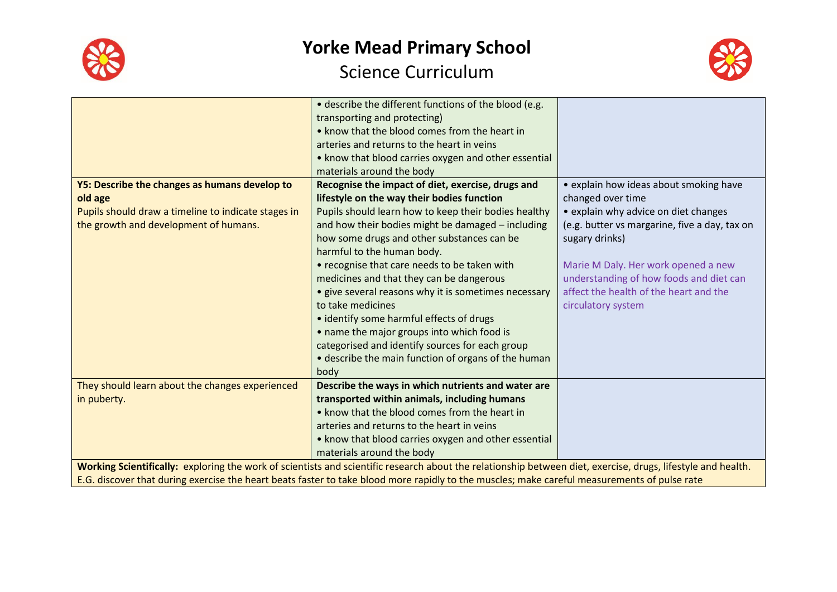



|                                                                                                                                                              | • describe the different functions of the blood (e.g. |                                               |
|--------------------------------------------------------------------------------------------------------------------------------------------------------------|-------------------------------------------------------|-----------------------------------------------|
|                                                                                                                                                              | transporting and protecting)                          |                                               |
|                                                                                                                                                              | • know that the blood comes from the heart in         |                                               |
|                                                                                                                                                              | arteries and returns to the heart in veins            |                                               |
|                                                                                                                                                              | • know that blood carries oxygen and other essential  |                                               |
|                                                                                                                                                              | materials around the body                             |                                               |
| Y5: Describe the changes as humans develop to                                                                                                                | Recognise the impact of diet, exercise, drugs and     | • explain how ideas about smoking have        |
| old age                                                                                                                                                      | lifestyle on the way their bodies function            | changed over time                             |
| Pupils should draw a timeline to indicate stages in                                                                                                          | Pupils should learn how to keep their bodies healthy  | • explain why advice on diet changes          |
| the growth and development of humans.                                                                                                                        | and how their bodies might be damaged - including     | (e.g. butter vs margarine, five a day, tax on |
|                                                                                                                                                              | how some drugs and other substances can be            | sugary drinks)                                |
|                                                                                                                                                              | harmful to the human body.                            |                                               |
|                                                                                                                                                              | • recognise that care needs to be taken with          | Marie M Daly. Her work opened a new           |
|                                                                                                                                                              | medicines and that they can be dangerous              | understanding of how foods and diet can       |
|                                                                                                                                                              | • give several reasons why it is sometimes necessary  | affect the health of the heart and the        |
|                                                                                                                                                              | to take medicines                                     | circulatory system                            |
|                                                                                                                                                              | • identify some harmful effects of drugs              |                                               |
|                                                                                                                                                              | • name the major groups into which food is            |                                               |
|                                                                                                                                                              | categorised and identify sources for each group       |                                               |
|                                                                                                                                                              | • describe the main function of organs of the human   |                                               |
|                                                                                                                                                              | body                                                  |                                               |
| They should learn about the changes experienced                                                                                                              | Describe the ways in which nutrients and water are    |                                               |
| in puberty.                                                                                                                                                  | transported within animals, including humans          |                                               |
|                                                                                                                                                              | • know that the blood comes from the heart in         |                                               |
|                                                                                                                                                              | arteries and returns to the heart in veins            |                                               |
|                                                                                                                                                              | . know that blood carries oxygen and other essential  |                                               |
|                                                                                                                                                              | materials around the body                             |                                               |
| Working Scientifically: exploring the work of scientists and scientific research about the relationship between diet, exercise, drugs, lifestyle and health. |                                                       |                                               |
| E.G. discover that during exercise the heart beats faster to take blood more rapidly to the muscles; make careful measurements of pulse rate                 |                                                       |                                               |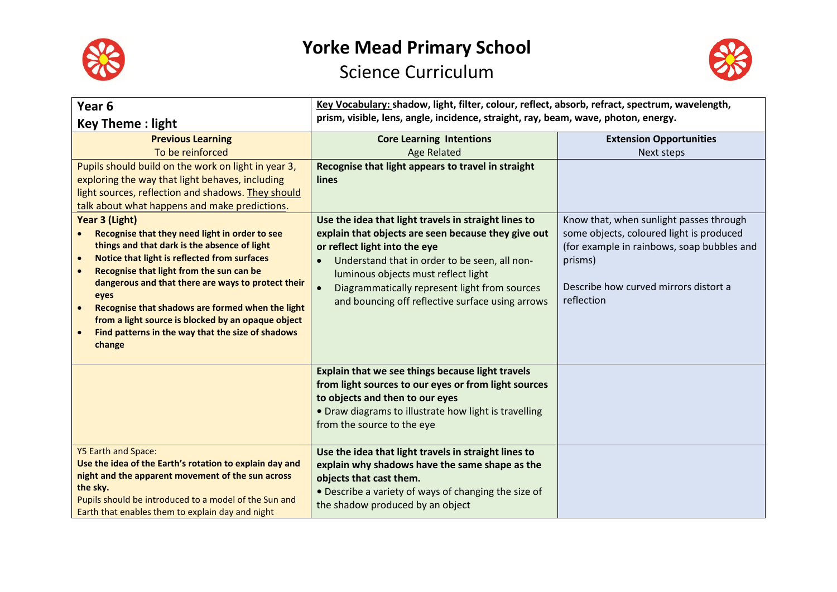



| Year <sub>6</sub>                                                                                                                                                                                                                                                                                                                                                                                                                                                                          | Key Vocabulary: shadow, light, filter, colour, reflect, absorb, refract, spectrum, wavelength,                                                                                                                                                                                                                                            |                                                                                                                                                                                                     |
|--------------------------------------------------------------------------------------------------------------------------------------------------------------------------------------------------------------------------------------------------------------------------------------------------------------------------------------------------------------------------------------------------------------------------------------------------------------------------------------------|-------------------------------------------------------------------------------------------------------------------------------------------------------------------------------------------------------------------------------------------------------------------------------------------------------------------------------------------|-----------------------------------------------------------------------------------------------------------------------------------------------------------------------------------------------------|
| <b>Key Theme: light</b>                                                                                                                                                                                                                                                                                                                                                                                                                                                                    | prism, visible, lens, angle, incidence, straight, ray, beam, wave, photon, energy.                                                                                                                                                                                                                                                        |                                                                                                                                                                                                     |
| <b>Previous Learning</b>                                                                                                                                                                                                                                                                                                                                                                                                                                                                   | <b>Core Learning Intentions</b>                                                                                                                                                                                                                                                                                                           | <b>Extension Opportunities</b>                                                                                                                                                                      |
| To be reinforced                                                                                                                                                                                                                                                                                                                                                                                                                                                                           | <b>Age Related</b>                                                                                                                                                                                                                                                                                                                        | Next steps                                                                                                                                                                                          |
| Pupils should build on the work on light in year 3,                                                                                                                                                                                                                                                                                                                                                                                                                                        | Recognise that light appears to travel in straight                                                                                                                                                                                                                                                                                        |                                                                                                                                                                                                     |
| exploring the way that light behaves, including                                                                                                                                                                                                                                                                                                                                                                                                                                            | <b>lines</b>                                                                                                                                                                                                                                                                                                                              |                                                                                                                                                                                                     |
| light sources, reflection and shadows. They should                                                                                                                                                                                                                                                                                                                                                                                                                                         |                                                                                                                                                                                                                                                                                                                                           |                                                                                                                                                                                                     |
| talk about what happens and make predictions.                                                                                                                                                                                                                                                                                                                                                                                                                                              |                                                                                                                                                                                                                                                                                                                                           |                                                                                                                                                                                                     |
| Year 3 (Light)<br>Recognise that they need light in order to see<br>things and that dark is the absence of light<br>Notice that light is reflected from surfaces<br>$\bullet$<br>Recognise that light from the sun can be<br>$\bullet$<br>dangerous and that there are ways to protect their<br>eyes<br>Recognise that shadows are formed when the light<br>$\bullet$<br>from a light source is blocked by an opaque object<br>Find patterns in the way that the size of shadows<br>change | Use the idea that light travels in straight lines to<br>explain that objects are seen because they give out<br>or reflect light into the eye<br>Understand that in order to be seen, all non-<br>luminous objects must reflect light<br>Diagrammatically represent light from sources<br>and bouncing off reflective surface using arrows | Know that, when sunlight passes through<br>some objects, coloured light is produced<br>(for example in rainbows, soap bubbles and<br>prisms)<br>Describe how curved mirrors distort a<br>reflection |
| <b>Y5 Earth and Space:</b>                                                                                                                                                                                                                                                                                                                                                                                                                                                                 | Explain that we see things because light travels<br>from light sources to our eyes or from light sources<br>to objects and then to our eyes<br>• Draw diagrams to illustrate how light is travelling<br>from the source to the eye                                                                                                        |                                                                                                                                                                                                     |
| Use the idea of the Earth's rotation to explain day and<br>night and the apparent movement of the sun across<br>the sky.<br>Pupils should be introduced to a model of the Sun and<br>Earth that enables them to explain day and night                                                                                                                                                                                                                                                      | Use the idea that light travels in straight lines to<br>explain why shadows have the same shape as the<br>objects that cast them.<br>• Describe a variety of ways of changing the size of<br>the shadow produced by an object                                                                                                             |                                                                                                                                                                                                     |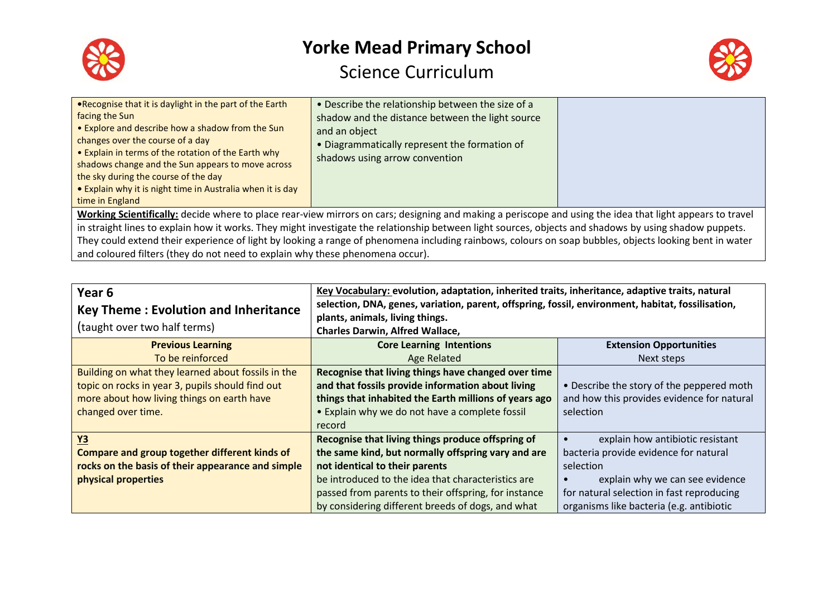



| . Recognise that it is daylight in the part of the Earth<br>facing the Sun<br>• Explore and describe how a shadow from the Sun<br>changes over the course of a day<br>• Explain in terms of the rotation of the Earth why<br>shadows change and the Sun appears to move across<br>the sky during the course of the day<br>• Explain why it is night time in Australia when it is day<br>time in England | • Describe the relationship between the size of a<br>shadow and the distance between the light source<br>and an object<br>. Diagrammatically represent the formation of<br>shadows using arrow convention |  |
|---------------------------------------------------------------------------------------------------------------------------------------------------------------------------------------------------------------------------------------------------------------------------------------------------------------------------------------------------------------------------------------------------------|-----------------------------------------------------------------------------------------------------------------------------------------------------------------------------------------------------------|--|
|                                                                                                                                                                                                                                                                                                                                                                                                         |                                                                                                                                                                                                           |  |
| Working Scientifically: decide where to place rear-view mirrors on cars; designing and making a periscope and using the idea that light appears to travel                                                                                                                                                                                                                                               |                                                                                                                                                                                                           |  |
| in straight lines to explain how it works. They might investigate the relationship between light sources, objects and shadows by using shadow puppets.                                                                                                                                                                                                                                                  |                                                                                                                                                                                                           |  |
|                                                                                                                                                                                                                                                                                                                                                                                                         | They could extend their experience of light by looking a range of phenomena including rainbows, colours on soap bubbles, objects looking bent in water                                                    |  |
| and coloured filters (they do not need to explain why these phenomena occur).                                                                                                                                                                                                                                                                                                                           |                                                                                                                                                                                                           |  |

| Year <sub>6</sub><br><b>Key Theme: Evolution and Inheritance</b> | Key Vocabulary: evolution, adaptation, inherited traits, inheritance, adaptive traits, natural<br>selection, DNA, genes, variation, parent, offspring, fossil, environment, habitat, fossilisation,<br>plants, animals, living things.<br><b>Charles Darwin, Alfred Wallace,</b> |                                               |  |
|------------------------------------------------------------------|----------------------------------------------------------------------------------------------------------------------------------------------------------------------------------------------------------------------------------------------------------------------------------|-----------------------------------------------|--|
| (taught over two half terms)                                     |                                                                                                                                                                                                                                                                                  |                                               |  |
| <b>Previous Learning</b>                                         | <b>Core Learning Intentions</b>                                                                                                                                                                                                                                                  | <b>Extension Opportunities</b>                |  |
| To be reinforced                                                 | Age Related                                                                                                                                                                                                                                                                      | Next steps                                    |  |
| Building on what they learned about fossils in the               | Recognise that living things have changed over time                                                                                                                                                                                                                              |                                               |  |
| topic on rocks in year 3, pupils should find out                 | and that fossils provide information about living                                                                                                                                                                                                                                | • Describe the story of the peppered moth     |  |
| more about how living things on earth have                       | things that inhabited the Earth millions of years ago                                                                                                                                                                                                                            | and how this provides evidence for natural    |  |
| changed over time.                                               | • Explain why we do not have a complete fossil                                                                                                                                                                                                                                   | selection                                     |  |
|                                                                  | record                                                                                                                                                                                                                                                                           |                                               |  |
| <b>Y3</b>                                                        | Recognise that living things produce offspring of                                                                                                                                                                                                                                | explain how antibiotic resistant<br>$\bullet$ |  |
| <b>Compare and group together different kinds of</b>             | the same kind, but normally offspring vary and are                                                                                                                                                                                                                               | bacteria provide evidence for natural         |  |
| rocks on the basis of their appearance and simple                | not identical to their parents                                                                                                                                                                                                                                                   | selection                                     |  |
| physical properties                                              | be introduced to the idea that characteristics are                                                                                                                                                                                                                               | explain why we can see evidence               |  |
|                                                                  | passed from parents to their offspring, for instance                                                                                                                                                                                                                             | for natural selection in fast reproducing     |  |
|                                                                  | by considering different breeds of dogs, and what                                                                                                                                                                                                                                | organisms like bacteria (e.g. antibiotic      |  |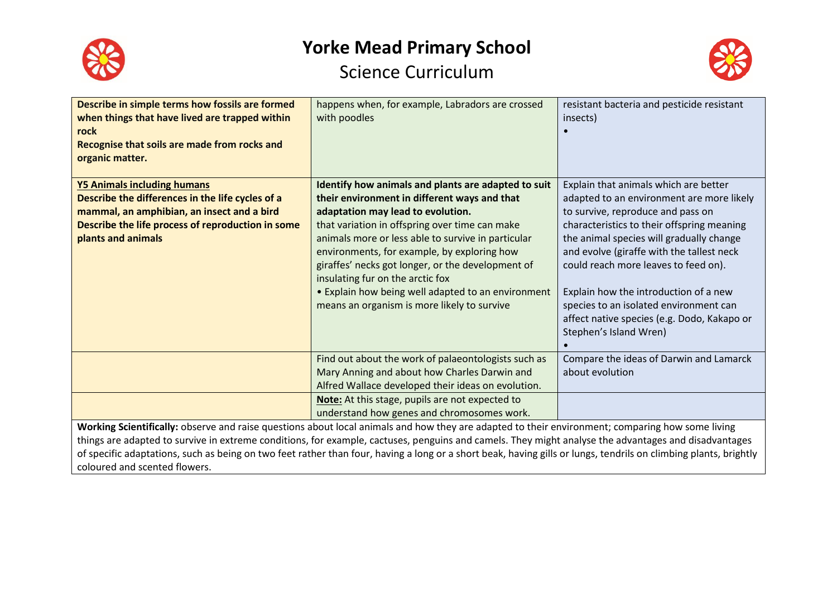



| Describe in simple terms how fossils are formed<br>when things that have lived are trapped within<br>rock<br>Recognise that soils are made from rocks and<br>organic matter.                                                                                                                                                                                                                                                                                                                                  | happens when, for example, Labradors are crossed<br>with poodles                                                                                                                                                                                                                                                                                                                                                                                                                              | resistant bacteria and pesticide resistant<br>insects)                                                                                                                                                                                                                                                                                                                                                                                                             |  |
|---------------------------------------------------------------------------------------------------------------------------------------------------------------------------------------------------------------------------------------------------------------------------------------------------------------------------------------------------------------------------------------------------------------------------------------------------------------------------------------------------------------|-----------------------------------------------------------------------------------------------------------------------------------------------------------------------------------------------------------------------------------------------------------------------------------------------------------------------------------------------------------------------------------------------------------------------------------------------------------------------------------------------|--------------------------------------------------------------------------------------------------------------------------------------------------------------------------------------------------------------------------------------------------------------------------------------------------------------------------------------------------------------------------------------------------------------------------------------------------------------------|--|
| <b>Y5 Animals including humans</b><br>Describe the differences in the life cycles of a<br>mammal, an amphibian, an insect and a bird<br>Describe the life process of reproduction in some<br>plants and animals                                                                                                                                                                                                                                                                                               | Identify how animals and plants are adapted to suit<br>their environment in different ways and that<br>adaptation may lead to evolution.<br>that variation in offspring over time can make<br>animals more or less able to survive in particular<br>environments, for example, by exploring how<br>giraffes' necks got longer, or the development of<br>insulating fur on the arctic fox<br>• Explain how being well adapted to an environment<br>means an organism is more likely to survive | Explain that animals which are better<br>adapted to an environment are more likely<br>to survive, reproduce and pass on<br>characteristics to their offspring meaning<br>the animal species will gradually change<br>and evolve (giraffe with the tallest neck<br>could reach more leaves to feed on).<br>Explain how the introduction of a new<br>species to an isolated environment can<br>affect native species (e.g. Dodo, Kakapo or<br>Stephen's Island Wren) |  |
|                                                                                                                                                                                                                                                                                                                                                                                                                                                                                                               | Find out about the work of palaeontologists such as<br>Mary Anning and about how Charles Darwin and<br>Alfred Wallace developed their ideas on evolution.<br>Note: At this stage, pupils are not expected to<br>understand how genes and chromosomes work.                                                                                                                                                                                                                                    | Compare the ideas of Darwin and Lamarck<br>about evolution                                                                                                                                                                                                                                                                                                                                                                                                         |  |
| Working Scientifically: observe and raise questions about local animals and how they are adapted to their environment; comparing how some living<br>things are adapted to survive in extreme conditions, for example, cactuses, penguins and camels. They might analyse the advantages and disadvantages<br>of specific adaptations, such as being on two feet rather than four, having a long or a short beak, having gills or lungs, tendrils on climbing plants, brightly<br>coloured and scented flowers. |                                                                                                                                                                                                                                                                                                                                                                                                                                                                                               |                                                                                                                                                                                                                                                                                                                                                                                                                                                                    |  |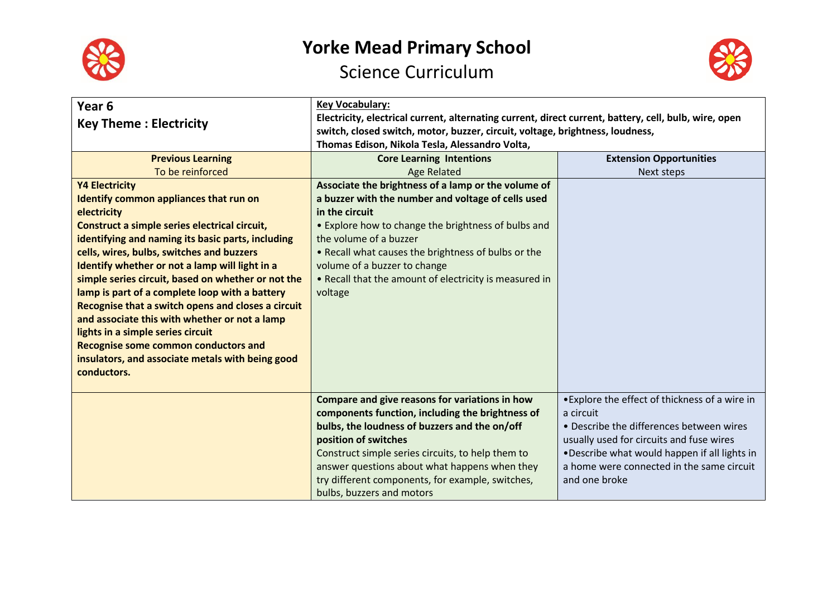



| Year <sub>6</sub><br><b>Key Theme: Electricity</b> | <b>Key Vocabulary:</b><br>Electricity, electrical current, alternating current, direct current, battery, cell, bulb, wire, open<br>switch, closed switch, motor, buzzer, circuit, voltage, brightness, loudness, |                                                |  |
|----------------------------------------------------|------------------------------------------------------------------------------------------------------------------------------------------------------------------------------------------------------------------|------------------------------------------------|--|
|                                                    | Thomas Edison, Nikola Tesla, Alessandro Volta,                                                                                                                                                                   |                                                |  |
| <b>Previous Learning</b>                           | <b>Core Learning Intentions</b>                                                                                                                                                                                  | <b>Extension Opportunities</b>                 |  |
| To be reinforced                                   | <b>Age Related</b>                                                                                                                                                                                               | Next steps                                     |  |
| <b>Y4 Electricity</b>                              | Associate the brightness of a lamp or the volume of                                                                                                                                                              |                                                |  |
| Identify common appliances that run on             | a buzzer with the number and voltage of cells used                                                                                                                                                               |                                                |  |
| electricity                                        | in the circuit                                                                                                                                                                                                   |                                                |  |
| Construct a simple series electrical circuit,      | • Explore how to change the brightness of bulbs and                                                                                                                                                              |                                                |  |
| identifying and naming its basic parts, including  | the volume of a buzzer                                                                                                                                                                                           |                                                |  |
| cells, wires, bulbs, switches and buzzers          | . Recall what causes the brightness of bulbs or the                                                                                                                                                              |                                                |  |
| Identify whether or not a lamp will light in a     | volume of a buzzer to change                                                                                                                                                                                     |                                                |  |
| simple series circuit, based on whether or not the | • Recall that the amount of electricity is measured in                                                                                                                                                           |                                                |  |
| lamp is part of a complete loop with a battery     | voltage                                                                                                                                                                                                          |                                                |  |
| Recognise that a switch opens and closes a circuit |                                                                                                                                                                                                                  |                                                |  |
| and associate this with whether or not a lamp      |                                                                                                                                                                                                                  |                                                |  |
| lights in a simple series circuit                  |                                                                                                                                                                                                                  |                                                |  |
| <b>Recognise some common conductors and</b>        |                                                                                                                                                                                                                  |                                                |  |
| insulators, and associate metals with being good   |                                                                                                                                                                                                                  |                                                |  |
| conductors.                                        |                                                                                                                                                                                                                  |                                                |  |
|                                                    |                                                                                                                                                                                                                  |                                                |  |
|                                                    | Compare and give reasons for variations in how                                                                                                                                                                   | • Explore the effect of thickness of a wire in |  |
|                                                    | components function, including the brightness of                                                                                                                                                                 | a circuit                                      |  |
|                                                    | bulbs, the loudness of buzzers and the on/off                                                                                                                                                                    | • Describe the differences between wires       |  |
|                                                    | position of switches                                                                                                                                                                                             | usually used for circuits and fuse wires       |  |
|                                                    | Construct simple series circuits, to help them to                                                                                                                                                                | .Describe what would happen if all lights in   |  |
|                                                    | answer questions about what happens when they                                                                                                                                                                    | a home were connected in the same circuit      |  |
|                                                    | try different components, for example, switches,                                                                                                                                                                 | and one broke                                  |  |
|                                                    | bulbs, buzzers and motors                                                                                                                                                                                        |                                                |  |